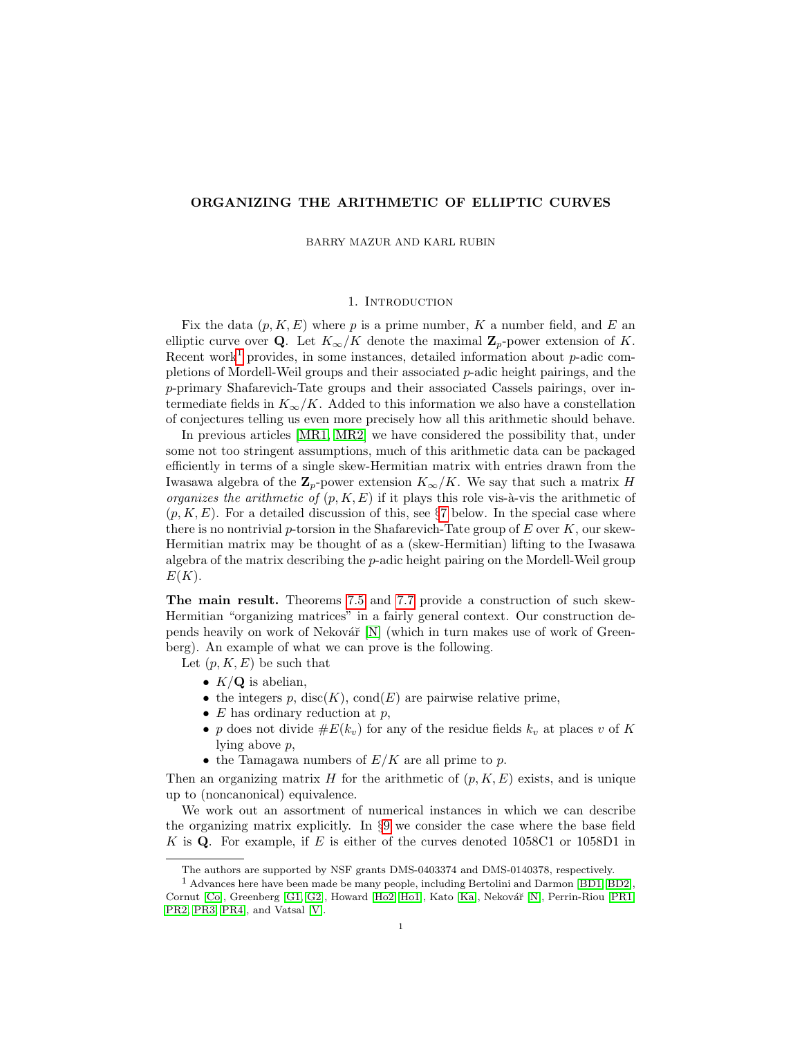## ORGANIZING THE ARITHMETIC OF ELLIPTIC CURVES

BARRY MAZUR AND KARL RUBIN

## 1. INTRODUCTION

Fix the data  $(p, K, E)$  where p is a prime number, K a number field, and E an elliptic curve over Q. Let  $K_{\infty}/K$  denote the maximal  $\mathbb{Z}_p$ -power extension of K. Recent work<sup>[1](#page-0-0)</sup> provides, in some instances, detailed information about  $p$ -adic completions of Mordell-Weil groups and their associated p-adic height pairings, and the p-primary Shafarevich-Tate groups and their associated Cassels pairings, over intermediate fields in  $K_{\infty}/K$ . Added to this information we also have a constellation of conjectures telling us even more precisely how all this arithmetic should behave.

In previous articles [\[MR1,](#page-32-0) [MR2\]](#page-32-1) we have considered the possibility that, under some not too stringent assumptions, much of this arithmetic data can be packaged efficiently in terms of a single skew-Hermitian matrix with entries drawn from the Iwasawa algebra of the  $\mathbb{Z}_p$ -power extension  $K_{\infty}/K$ . We say that such a matrix H organizes the arithmetic of  $(p, K, E)$  if it plays this role vis-à-vis the arithmetic of  $(p, K, E)$ . For a detailed discussion of this, see §[7](#page-15-0) below. In the special case where there is no nontrivial p-torsion in the Shafarevich-Tate group of  $E$  over  $K$ , our skew-Hermitian matrix may be thought of as a (skew-Hermitian) lifting to the Iwasawa algebra of the matrix describing the p-adic height pairing on the Mordell-Weil group  $E(K)$ .

The main result. Theorems [7.5](#page-16-0) and [7.7](#page-16-1) provide a construction of such skew-Hermitian "organizing matrices" in a fairly general context. Our construction depends heavily on work of Nekovář  $[N]$  (which in turn makes use of work of Greenberg). An example of what we can prove is the following.

Let  $(p, K, E)$  be such that

- $K/Q$  is abelian,
- the integers  $p$ , disc $(K)$ , cond $(E)$  are pairwise relative prime,
- $E$  has ordinary reduction at  $p$ ,
- p does not divide  $\#E(k_v)$  for any of the residue fields  $k_v$  at places v of K lying above p,
- the Tamagawa numbers of  $E/K$  are all prime to p.

Then an organizing matrix H for the arithmetic of  $(p, K, E)$  exists, and is unique up to (noncanonical) equivalence.

We work out an assortment of numerical instances in which we can describe the organizing matrix explicitly. In §[9](#page-20-0) we consider the case where the base field K is Q. For example, if  $E$  is either of the curves denoted 1058C1 or 1058D1 in

<span id="page-0-0"></span>The authors are supported by NSF grants DMS-0403374 and DMS-0140378, respectively.

<sup>1</sup> Advances here have been made be many people, including Bertolini and Darmon [\[BD1,](#page-31-0) [BD2\]](#page-31-1), Cornut [\[Co\]](#page-31-2), Greenberg [\[G1,](#page-31-3) [G2\]](#page-31-4), Howard [\[Ho2,](#page-32-3) [Ho1\]](#page-31-5), Kato [\[Ka\]](#page-32-4), Nekovář [\[N\]](#page-32-2), Perrin-Riou [\[PR1,](#page-32-5) [PR2,](#page-32-6) [PR3,](#page-32-7) [PR4\]](#page-32-8), and Vatsal [\[V\]](#page-32-9).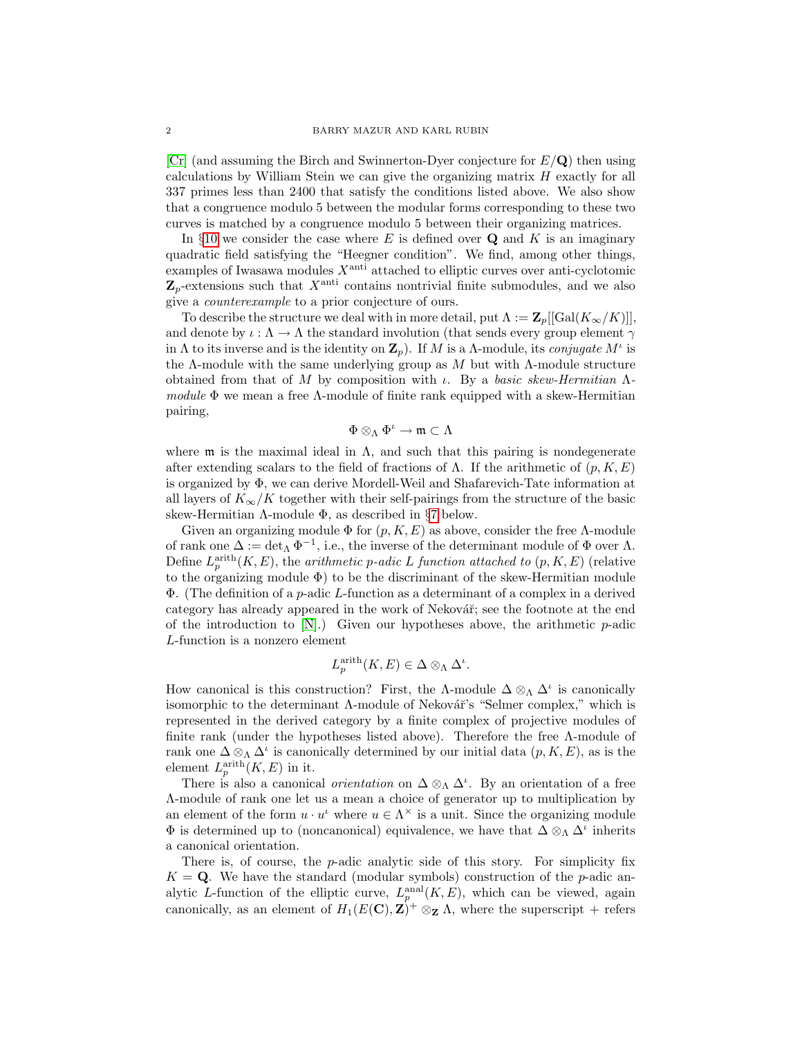$\left[Cr\right]$  (and assuming the Birch and Swinnerton-Dyer conjecture for  $E/Q$ ) then using calculations by William Stein we can give the organizing matrix H exactly for all 337 primes less than 2400 that satisfy the conditions listed above. We also show that a congruence modulo 5 between the modular forms corresponding to these two curves is matched by a congruence modulo 5 between their organizing matrices.

In §[10](#page-24-0) we consider the case where E is defined over  $\bf{Q}$  and K is an imaginary quadratic field satisfying the "Heegner condition". We find, among other things, examples of Iwasawa modules  $X^{\text{anti}}$  attached to elliptic curves over anti-cyclotomic  $\mathbf{Z}_p$ -extensions such that  $X^{\text{anti}}$  contains nontrivial finite submodules, and we also give a counterexample to a prior conjecture of ours.

To describe the structure we deal with in more detail, put  $\Lambda := \mathbb{Z}_p[[\text{Gal}(K_{\infty}/K)]],$ and denote by  $\iota : \Lambda \to \Lambda$  the standard involution (that sends every group element  $\gamma$ in  $\Lambda$  to its inverse and is the identity on  $\mathbf{Z}_p$ ). If M is a  $\Lambda$ -module, its *conjugate*  $M^{\iota}$  is the Λ-module with the same underlying group as  $M$  but with Λ-module structure obtained from that of M by composition with  $\iota$ . By a basic skew-Hermitian  $\Lambda$ module  $\Phi$  we mean a free  $\Lambda$ -module of finite rank equipped with a skew-Hermitian pairing,

$$
\Phi\otimes_\Lambda\Phi^\iota\to\mathfrak{m}\subset\Lambda
$$

where  $\mathfrak m$  is the maximal ideal in  $\Lambda$ , and such that this pairing is nondegenerate after extending scalars to the field of fractions of  $\Lambda$ . If the arithmetic of  $(p, K, E)$ is organized by Φ, we can derive Mordell-Weil and Shafarevich-Tate information at all layers of  $K_{\infty}/K$  together with their self-pairings from the structure of the basic skew-Hermitian Λ-module Φ, as described in  $§7$  $§7$  below.

Given an organizing module  $\Phi$  for  $(p, K, E)$  as above, consider the free  $\Lambda$ -module of rank one  $\Delta := \det_{\Lambda} \Phi^{-1}$ , i.e., the inverse of the determinant module of  $\Phi$  over  $\Lambda$ . Define  $L_p^{\text{arith}}(K, E)$ , the *arithmetic p-adic L function attached to*  $(p, K, E)$  (relative to the organizing module  $\Phi$ ) to be the discriminant of the skew-Hermitian module  $\Phi$ . (The definition of a *p*-adic L-function as a determinant of a complex in a derived category has already appeared in the work of Nekovář; see the footnote at the end of the introduction to  $[N]$ .) Given our hypotheses above, the arithmetic p-adic L-function is a nonzero element

$$
L_p^{\text{arith}}(K, E) \in \Delta \otimes_{\Lambda} \Delta^{\iota}.
$$

How canonical is this construction? First, the  $\Lambda$ -module  $\Delta \otimes_{\Lambda} \Delta^{\iota}$  is canonically isomorphic to the determinant  $\Lambda$ -module of Nekovář's "Selmer complex," which is represented in the derived category by a finite complex of projective modules of finite rank (under the hypotheses listed above). Therefore the free  $\Lambda$ -module of rank one  $\Delta \otimes_{\Lambda} \Delta^i$  is canonically determined by our initial data  $(p, K, E)$ , as is the element  $L_p^{\text{arith}}(K, E)$  in it.

There is also a canonical *orientation* on  $\Delta \otimes_{\Lambda} \Delta^{\iota}$ . By an orientation of a free Λ-module of rank one let us a mean a choice of generator up to multiplication by an element of the form  $u \cdot u^i$  where  $u \in \Lambda^\times$  is a unit. Since the organizing module  $\Phi$  is determined up to (noncanonical) equivalence, we have that  $\Delta \otimes_{\Lambda} \Delta^{\iota}$  inherits a canonical orientation.

There is, of course, the p-adic analytic side of this story. For simplicity fix  $K = Q$ . We have the standard (modular symbols) construction of the p-adic analytic L-function of the elliptic curve,  $L_p^{\text{anal}}(K, E)$ , which can be viewed, again canonically, as an element of  $H_1(E(\mathbf{C}), \mathbf{Z})^+ \otimes_{\mathbf{Z}} \Lambda$ , where the superscript + refers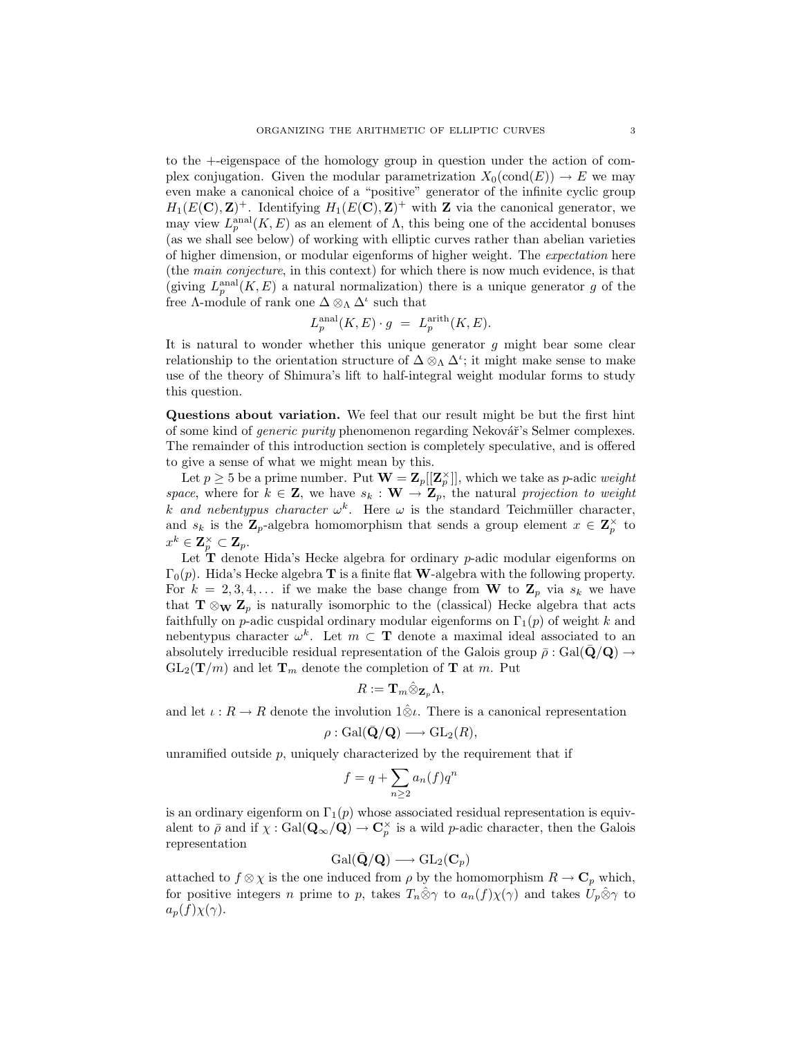to the +-eigenspace of the homology group in question under the action of complex conjugation. Given the modular parametrization  $X_0(\text{cond}(E)) \to E$  we may even make a canonical choice of a "positive" generator of the infinite cyclic group  $H_1(E(\mathbf{C}), \mathbf{Z})^+$ . Identifying  $H_1(E(\mathbf{C}), \mathbf{Z})^+$  with **Z** via the canonical generator, we may view  $L_p^{\text{anal}}(K, E)$  as an element of  $\Lambda$ , this being one of the accidental bonuses (as we shall see below) of working with elliptic curves rather than abelian varieties of higher dimension, or modular eigenforms of higher weight. The expectation here (the main conjecture, in this context) for which there is now much evidence, is that (giving  $L_p^{\text{anal}}(K, E)$  a natural normalization) there is a unique generator g of the free  $\Lambda$ -module of rank one  $\Delta \otimes_{\Lambda} \Delta^{\iota}$  such that

$$
L_p^{\text{anal}}(K, E) \cdot g = L_p^{\text{arith}}(K, E).
$$

It is natural to wonder whether this unique generator  $g$  might bear some clear relationship to the orientation structure of  $\Delta \otimes_{\Lambda} \Delta^{\iota}$ ; it might make sense to make use of the theory of Shimura's lift to half-integral weight modular forms to study this question.

Questions about variation. We feel that our result might be but the first hint of some kind of *generic purity* phenomenon regarding Nekovář's Selmer complexes. The remainder of this introduction section is completely speculative, and is offered to give a sense of what we might mean by this.

Let  $p \geq 5$  be a prime number. Put  $\mathbf{W} = \mathbf{Z}_p[[\mathbf{Z}_p^{\times}]]$ , which we take as p-adic weight space, where for  $k \in \mathbf{Z}$ , we have  $s_k : \mathbf{W} \to \mathbf{Z}_p$ , the natural projection to weight k and nebentypus character  $\omega^k$ . Here  $\omega$  is the standard Teichmüller character, and  $s_k$  is the  $\mathbf{Z}_p$ -algebra homomorphism that sends a group element  $x \in \mathbf{Z}_p^{\times}$  to  $x^k \in \mathbf{Z}_p^\times \subset \mathbf{Z}_p.$ 

Let  $T$  denote Hida's Hecke algebra for ordinary  $p$ -adic modular eigenforms on  $\Gamma_0(p)$ . Hida's Hecke algebra **T** is a finite flat **W**-algebra with the following property. For  $k = 2, 3, 4, \ldots$  if we make the base change from W to  $\mathbb{Z}_p$  via  $s_k$  we have that  $\mathbf{T} \otimes_{\mathbf{W}} \mathbf{Z}_p$  is naturally isomorphic to the (classical) Hecke algebra that acts faithfully on p-adic cuspidal ordinary modular eigenforms on  $\Gamma_1(p)$  of weight k and nebentypus character  $\omega^k$ . Let  $m \subset \mathbf{T}$  denote a maximal ideal associated to an absolutely irreducible residual representation of the Galois group  $\bar{\rho}$  : Gal( $\mathbf{Q}/\mathbf{Q}$ )  $\rightarrow$  $GL_2(\mathbf{T}/m)$  and let  $\mathbf{T}_m$  denote the completion of **T** at m. Put

$$
R:=\mathbf{T}_m\hat{\otimes}_{\mathbf{Z}_p}\Lambda,
$$

and let  $\iota : R \to R$  denote the involution  $1\hat{\otimes} \iota$ . There is a canonical representation

$$
\rho: \operatorname{Gal}(\bar{\mathbf{Q}}/\mathbf{Q}) \longrightarrow \operatorname{GL}_2(R),
$$

unramified outside  $p$ , uniquely characterized by the requirement that if

$$
f = q + \sum_{n \ge 2} a_n(f) q^n
$$

is an ordinary eigenform on  $\Gamma_1(p)$  whose associated residual representation is equivalent to  $\bar{\rho}$  and if  $\chi : \text{Gal}(\mathbf{Q}_{\infty}/\mathbf{Q}) \to \mathbf{C}^{\times}_{p}$  is a wild p-adic character, then the Galois representation

$$
\operatorname{Gal}(\bar{\mathbf{Q}}/\mathbf{Q}) \longrightarrow \operatorname{GL}_2(\mathbf{C}_p)
$$

attached to  $f \otimes \chi$  is the one induced from  $\rho$  by the homomorphism  $R \to \mathbf{C}_p$  which, for positive integers n prime to p, takes  $T_n\hat{\otimes}\gamma$  to  $a_n(f)\chi(\gamma)$  and takes  $U_p\hat{\otimes}\gamma$  to  $a_p(f)\chi(\gamma)$ .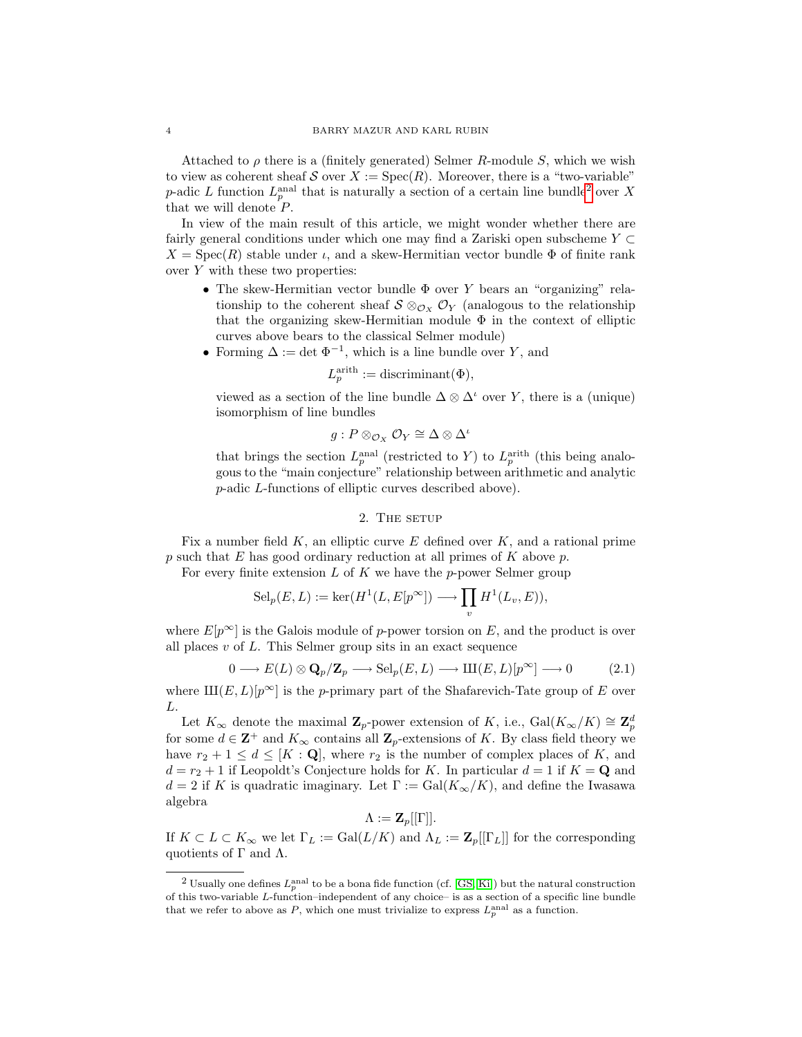Attached to  $\rho$  there is a (finitely generated) Selmer R-module S, which we wish to view as coherent sheaf S over  $X := \text{Spec}(R)$ . Moreover, there is a "two-variable" *p*-adic L function  $L_p^{\text{anal}}$  that is naturally a section of a certain line bundle<sup>[2](#page-3-0)</sup> over X that we will denote  $P$ .

In view of the main result of this article, we might wonder whether there are fairly general conditions under which one may find a Zariski open subscheme  $Y \subset$  $X = \text{Spec}(R)$  stable under  $\iota$ , and a skew-Hermitian vector bundle  $\Phi$  of finite rank over  $Y$  with these two properties:

- The skew-Hermitian vector bundle  $\Phi$  over Y bears an "organizing" relationship to the coherent sheaf  $S \otimes_{\mathcal{O}_X} \mathcal{O}_Y$  (analogous to the relationship that the organizing skew-Hermitian module  $\Phi$  in the context of elliptic curves above bears to the classical Selmer module)
- Forming  $\Delta := \det \Phi^{-1}$ , which is a line bundle over Y, and

$$
L_p^{\text{arith}} := \text{discriminant}(\Phi),
$$

viewed as a section of the line bundle  $\Delta \otimes \Delta^i$  over Y, there is a (unique) isomorphism of line bundles

$$
g: P \otimes_{\mathcal{O}_X} \mathcal{O}_Y \cong \Delta \otimes \Delta^{\iota}
$$

that brings the section  $L_p^{\text{anal}}$  (restricted to Y) to  $L_p^{\text{arith}}$  (this being analogous to the "main conjecture" relationship between arithmetic and analytic p-adic L-functions of elliptic curves described above).

## 2. THE SETUP

<span id="page-3-1"></span>Fix a number field  $K$ , an elliptic curve  $E$  defined over  $K$ , and a rational prime  $p$  such that  $E$  has good ordinary reduction at all primes of  $K$  above  $p$ .

For every finite extension  $L$  of  $K$  we have the p-power Selmer group

$$
\mathrm{Sel}_p(E, L) := \ker(H^1(L, E[p^\infty]) \longrightarrow \prod_v H^1(L_v, E)),
$$

where  $E[p^{\infty}]$  is the Galois module of p-power torsion on E, and the product is over all places  $v$  of  $L$ . This Selmer group sits in an exact sequence

$$
0 \longrightarrow E(L) \otimes \mathbf{Q}_p/\mathbf{Z}_p \longrightarrow \mathrm{Sel}_p(E, L) \longrightarrow \mathrm{III}(E, L)[p^{\infty}] \longrightarrow 0 \tag{2.1}
$$

where  $\text{III}(E, L)[p^{\infty}]$  is the p-primary part of the Shafarevich-Tate group of E over L.

Let  $K_{\infty}$  denote the maximal  $\mathbf{Z}_p$ -power extension of K, i.e.,  $Gal(K_{\infty}/K) \cong \mathbf{Z}_p^d$ for some  $d \in \mathbb{Z}^+$  and  $K_{\infty}$  contains all  $\mathbb{Z}_p$ -extensions of K. By class field theory we have  $r_2 + 1 \leq d \leq [K : \mathbf{Q}]$ , where  $r_2$  is the number of complex places of K, and  $d = r_2 + 1$  if Leopoldt's Conjecture holds for K. In particular  $d = 1$  if  $K = \mathbf{Q}$  and  $d = 2$  if K is quadratic imaginary. Let  $\Gamma := \text{Gal}(K_{\infty}/K)$ , and define the Iwasawa algebra

 $\Lambda := \mathbf{Z}_p[[\Gamma]].$ 

If  $K \subset L \subset K_{\infty}$  we let  $\Gamma_L := \text{Gal}(L/K)$  and  $\Lambda_L := \mathbf{Z}_p[[\Gamma_L]]$  for the corresponding quotients of  $\Gamma$  and  $\Lambda$ .

<span id="page-3-0"></span><sup>&</sup>lt;sup>2</sup> Usually one defines  $L_p^{\text{anal}}$  to be a bona fide function (cf. [\[GS,](#page-31-7) [Ki\]](#page-32-10)) but the natural construction of this two-variable L-function–independent of any choice– is as a section of a specific line bundle that we refer to above as P, which one must trivialize to express  $L_p^{\text{anal}}$  as a function.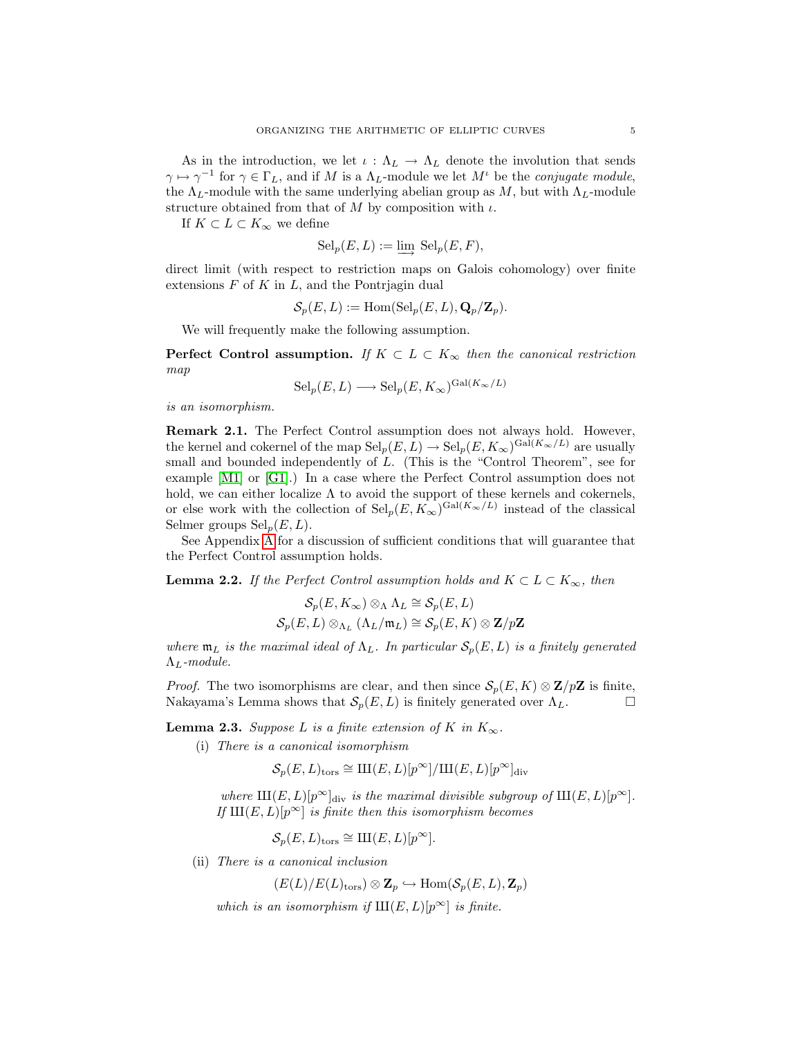As in the introduction, we let  $\iota : \Lambda_L \to \Lambda_L$  denote the involution that sends  $\gamma \mapsto \gamma^{-1}$  for  $\gamma \in \Gamma_L$ , and if M is a  $\Lambda_L$ -module we let  $M^{\iota}$  be the *conjugate module*, the  $\Lambda_L$ -module with the same underlying abelian group as M, but with  $\Lambda_L$ -module structure obtained from that of  $M$  by composition with  $\iota$ .

If  $K \subset L \subset K_{\infty}$  we define

$$
Sel_p(E, L) := \varinjlim Sel_p(E, F),
$$

direct limit (with respect to restriction maps on Galois cohomology) over finite extensions  $F$  of  $K$  in  $L$ , and the Pontrjagin dual

$$
\mathcal{S}_p(E, L) := \text{Hom}(\text{Sel}_p(E, L), \mathbf{Q}_p/\mathbf{Z}_p).
$$

We will frequently make the following assumption.

**Perfect Control assumption.** If  $K \subset L \subset K_{\infty}$  then the canonical restriction map

$$
Sel_p(E, L) \longrightarrow Sel_p(E, K_{\infty})^{Gal(K_{\infty}/L)}
$$

is an isomorphism.

Remark 2.1. The Perfect Control assumption does not always hold. However, the kernel and cokernel of the map  $\text{Sel}_p(E, L) \to \text{Sel}_p(E, K_\infty)^{\text{Gal}(K_\infty/L)}$  are usually small and bounded independently of L. (This is the "Control Theorem", see for example [\[M1\]](#page-32-11) or [\[G1\]](#page-31-3).) In a case where the Perfect Control assumption does not hold, we can either localize  $\Lambda$  to avoid the support of these kernels and cokernels, or else work with the collection of  $\text{Sel}_p(E, K_\infty)^{\text{Gal}(K_\infty/L)}$  instead of the classical Selmer groups  $\text{Sel}_p(E, L)$ .

See Appendix [A](#page-27-0) for a discussion of sufficient conditions that will guarantee that the Perfect Control assumption holds.

<span id="page-4-1"></span>**Lemma 2.2.** If the Perfect Control assumption holds and  $K \subset L \subset K_{\infty}$ , then

$$
\mathcal{S}_p(E, K_\infty) \otimes_\Lambda \Lambda_L \cong \mathcal{S}_p(E, L)
$$
  

$$
\mathcal{S}_p(E, L) \otimes_{\Lambda_L} (\Lambda_L / \mathfrak{m}_L) \cong \mathcal{S}_p(E, K) \otimes \mathbf{Z}/p\mathbf{Z}
$$

where  $\mathfrak{m}_L$  is the maximal ideal of  $\Lambda_L$ . In particular  $\mathcal{S}_p(E, L)$  is a finitely generated  $\Lambda_L$ -module.

*Proof.* The two isomorphisms are clear, and then since  $S_n(E, K) \otimes \mathbb{Z}/p\mathbb{Z}$  is finite, Nakayama's Lemma shows that  $S_p(E, L)$  is finitely generated over  $\Lambda_L$ .

<span id="page-4-0"></span>**Lemma 2.3.** Suppose L is a finite extension of K in  $K_{\infty}$ .

(i) There is a canonical isomorphism

$$
\mathcal{S}_p(E, L)_{\text{tors}} \cong \text{III}(E, L)[p^{\infty}]/\text{III}(E, L)[p^{\infty}]_{\text{div}}
$$

where  $\text{III}(E, L)[p^{\infty}]_{div}$  is the maximal divisible subgroup of  $\text{III}(E, L)[p^{\infty}]$ . If  $III(E, L)[p^{\infty}]$  is finite then this isomorphism becomes

$$
\mathcal{S}_p(E, L)_{\text{tors}} \cong \text{III}(E, L)[p^{\infty}].
$$

(ii) There is a canonical inclusion

 $(E(L)/E(L)_{\text{tors}}) \otimes \mathbf{Z}_n \hookrightarrow \text{Hom}(\mathcal{S}_n(E,L), \mathbf{Z}_n)$ 

which is an isomorphism if  $III(E, L)[p^{\infty}]$  is finite.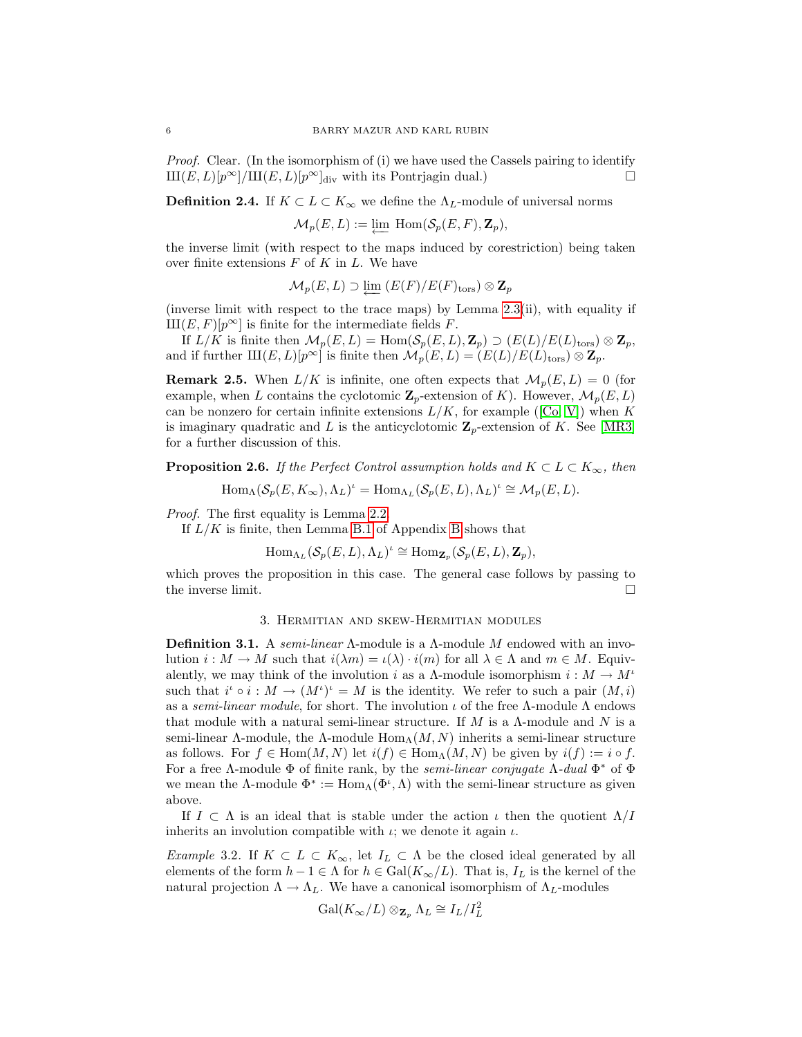*Proof.* Clear. (In the isomorphism of (i) we have used the Cassels pairing to identify  $\text{III}(E, L)[p^{\infty}]/\text{III}(E, L)[p^{\infty}]_{div}$  with its Pontrjagin dual.)

<span id="page-5-1"></span>**Definition 2.4.** If  $K \subset L \subset K_{\infty}$  we define the  $\Lambda_L$ -module of universal norms

 $\mathcal{M}_p(E, L) := \varprojlim \text{ Hom}(\mathcal{S}_p(E, F), \mathbf{Z}_p),$ 

the inverse limit (with respect to the maps induced by corestriction) being taken over finite extensions  $F$  of  $K$  in  $L$ . We have

$$
\mathcal{M}_p(E,L) \supset \varprojlim \left( E(F)/E(F)_{\mathrm{tors}} \right) \otimes \mathbf{Z}_p
$$

(inverse limit with respect to the trace maps) by Lemma [2.3\(](#page-4-0)ii), with equality if  $\text{III}(E, F)[p^{\infty}]$  is finite for the intermediate fields F.

If  $L/K$  is finite then  $\mathcal{M}_p(E, L) = \text{Hom}(\mathcal{S}_p(E, L), \mathbb{Z}_p) \supset (E(L)/E(L)_{\text{tors}}) \otimes \mathbb{Z}_p$ , and if further  $\text{III}(E, L)[p^{\infty}]$  is finite then  $\mathcal{M}_p(E, L) = (E(L)/E(L)_{\text{tors}}) \otimes \mathbf{Z}_p$ .

**Remark 2.5.** When  $L/K$  is infinite, one often expects that  $\mathcal{M}_p(E, L) = 0$  (for example, when L contains the cyclotomic  $\mathbf{Z}_p$ -extension of K). However,  $\mathcal{M}_p(E, L)$ canbe nonzero for certain infinite extensions  $L/K$ , for example ([\[Co,](#page-31-2) [V\]](#page-32-9)) when K is imaginary quadratic and L is the anticyclotomic  $\mathbb{Z}_p$ -extension of K. See [\[MR3\]](#page-32-12) for a further discussion of this.

<span id="page-5-2"></span>**Proposition 2.6.** If the Perfect Control assumption holds and  $K \subset L \subset K_{\infty}$ , then

$$
\operatorname{Hom}_{\Lambda}(\mathcal{S}_{p}(E, K_{\infty}), \Lambda_{L})^{\iota} = \operatorname{Hom}_{\Lambda_{L}}(\mathcal{S}_{p}(E, L), \Lambda_{L})^{\iota} \cong \mathcal{M}_{p}(E, L).
$$

Proof. The first equality is Lemma [2.2.](#page-4-1)

If  $L/K$  is finite, then Lemma [B.1](#page-29-0) of Appendix [B](#page-29-1) shows that

 $\text{Hom}_{\Lambda_L}(\mathcal{S}_p(E,L),\Lambda_L)^{\iota} \cong \text{Hom}_{\mathbf{Z}_p}(\mathcal{S}_p(E,L),\mathbf{Z}_p),$ 

which proves the proposition in this case. The general case follows by passing to the inverse limit.  $\square$ 

### 3. Hermitian and skew-Hermitian modules

**Definition 3.1.** A semi-linear  $\Lambda$ -module is a  $\Lambda$ -module M endowed with an involution  $i : M \to M$  such that  $i(\lambda m) = \iota(\lambda) \cdot i(m)$  for all  $\lambda \in \Lambda$  and  $m \in M$ . Equivalently, we may think of the involution i as a  $\Lambda$ -module isomorphism  $i : M \to M^{\iota}$ such that  $i^{\iota} \circ i : M \to (M^{\iota})^{\iota} = M$  is the identity. We refer to such a pair  $(M, i)$ as a semi-linear module, for short. The involution  $\iota$  of the free Λ-module Λ endows that module with a natural semi-linear structure. If M is a  $\Lambda$ -module and N is a semi-linear Λ-module, the Λ-module  $\text{Hom}_{\Lambda}(M, N)$  inherits a semi-linear structure as follows. For  $f \in \text{Hom}(M, N)$  let  $i(f) \in \text{Hom}_{\Lambda}(M, N)$  be given by  $i(f) := i \circ f$ . For a free Λ-module  $\Phi$  of finite rank, by the *semi-linear conjugate* Λ-dual  $\Phi^*$  of  $\Phi$ we mean the  $\Lambda$ -module  $\Phi^* := \text{Hom}_{\Lambda}(\Phi^{\iota}, \Lambda)$  with the semi-linear structure as given above.

If  $I \subset \Lambda$  is an ideal that is stable under the action  $\iota$  then the quotient  $\Lambda/I$ inherits an involution compatible with  $\iota$ ; we denote it again  $\iota$ .

<span id="page-5-0"></span>Example 3.2. If  $K \subset L \subset K_{\infty}$ , let  $I_L \subset \Lambda$  be the closed ideal generated by all elements of the form  $h - 1 \in \Lambda$  for  $h \in \text{Gal}(K_{\infty}/L)$ . That is,  $I_L$  is the kernel of the natural projection  $\Lambda \to \Lambda_L$ . We have a canonical isomorphism of  $\Lambda_L$ -modules

$$
\operatorname{Gal}(K_{\infty}/L) \otimes_{\mathbf{Z}_p} \Lambda_L \cong I_L/I_L^2
$$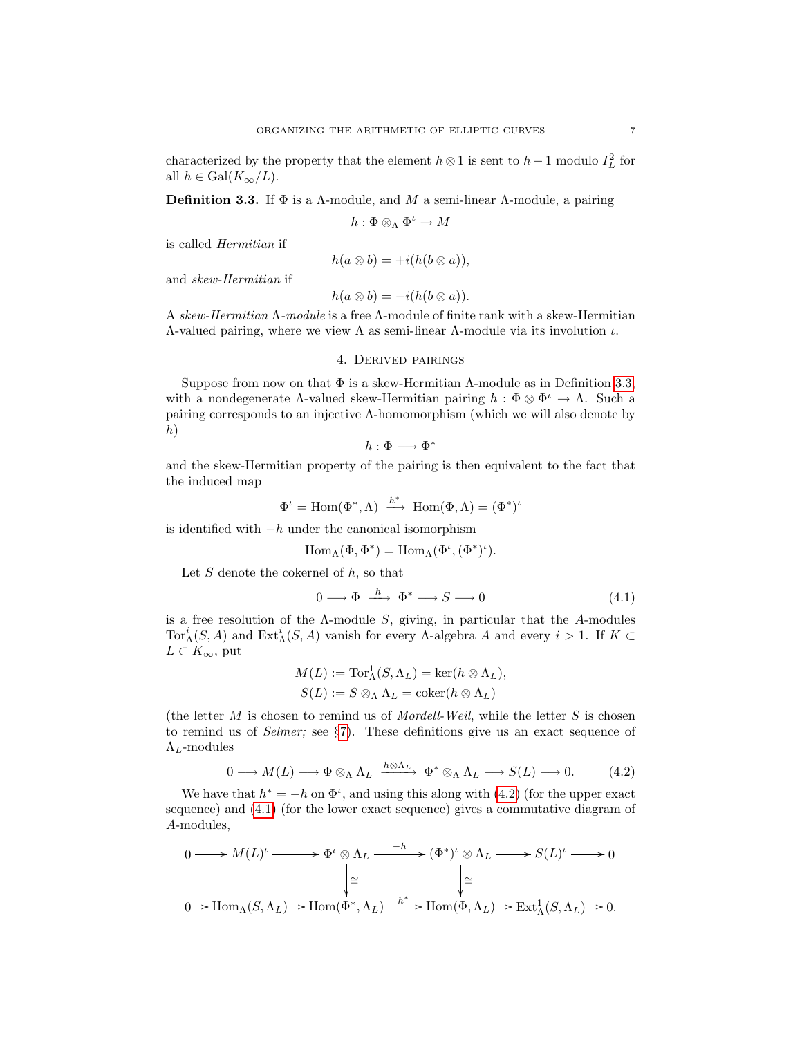characterized by the property that the element  $h \otimes 1$  is sent to  $h-1$  modulo  $I_L^2$  for all  $h \in \text{Gal}(K_{\infty}/L)$ .

<span id="page-6-0"></span>**Definition 3.3.** If  $\Phi$  is a Λ-module, and M a semi-linear Λ-module, a pairing

$$
h: \Phi \otimes_{\Lambda} \Phi^{\iota} \to M
$$

is called Hermitian if

$$
h(a\otimes b) = +i(h(b\otimes a)),
$$

and skew-Hermitian if

$$
h(a\otimes b) = -i(h(b\otimes a)).
$$

A skew-Hermitian Λ-module is a free Λ-module of finite rank with a skew-Hermitian  $Λ$ -valued pairing, where we view  $Λ$  as semi-linear  $Λ$ -module via its involution  $ι$ .

### 4. Derived pairings

<span id="page-6-3"></span>Suppose from now on that  $\Phi$  is a skew-Hermitian  $\Lambda$ -module as in Definition [3.3,](#page-6-0) with a nondegenerate  $\Lambda$ -valued skew-Hermitian pairing  $h : \Phi \otimes \Phi^{\iota} \to \Lambda$ . Such a pairing corresponds to an injective Λ-homomorphism (which we will also denote by  $h)$ 

$$
h:\Phi\longrightarrow \Phi^*
$$

and the skew-Hermitian property of the pairing is then equivalent to the fact that the induced map

$$
\Phi^\iota = \mathrm{Hom}(\Phi^*,\Lambda) \ \xrightarrow{h^*} \ \mathrm{Hom}(\Phi,\Lambda) = (\Phi^*)^\iota
$$

is identified with  $-h$  under the canonical isomorphism

$$
\operatorname{Hom}\nolimits_\Lambda(\Phi,\Phi^*)=\operatorname{Hom}\nolimits_\Lambda(\Phi^\iota,(\Phi^*)^\iota).
$$

Let  $S$  denote the cokernel of  $h$ , so that

<span id="page-6-2"></span>
$$
0 \longrightarrow \Phi \stackrel{h}{\longrightarrow} \Phi^* \longrightarrow S \longrightarrow 0 \tag{4.1}
$$

is a free resolution of the  $\Lambda$ -module  $S$ , giving, in particular that the  $A$ -modules Tor<sup>i</sup><sub>A</sub>(S, A) and Ext<sup>i</sup><sub>A</sub>(S, A) vanish for every A-algebra A and every  $i > 1$ . If  $K \subset$  $L \subset K_{\infty}$ , put

$$
M(L) := \operatorname{Tor}^1_{\Lambda}(S, \Lambda_L) = \ker(h \otimes \Lambda_L),
$$
  

$$
S(L) := S \otimes_{\Lambda} \Lambda_L = \operatorname{coker}(h \otimes \Lambda_L)
$$

(the letter  $M$  is chosen to remind us of *Mordell-Weil*, while the letter  $S$  is chosen to remind us of Selmer; see §[7\)](#page-15-0). These definitions give us an exact sequence of  $\Lambda_L$ -modules

<span id="page-6-1"></span>
$$
0 \longrightarrow M(L) \longrightarrow \Phi \otimes_{\Lambda} \Lambda_L \xrightarrow{h \otimes \Lambda_L} \Phi^* \otimes_{\Lambda} \Lambda_L \longrightarrow S(L) \longrightarrow 0. \tag{4.2}
$$

We have that  $h^* = -h$  on  $\Phi^t$ , and using this along with [\(4.2\)](#page-6-1) (for the upper exact sequence) and [\(4.1\)](#page-6-2) (for the lower exact sequence) gives a commutative diagram of A-modules,

$$
0 \longrightarrow M(L)^{\iota} \longrightarrow \Phi^{\iota} \otimes \Lambda_L \longrightarrow^{h*} (\Phi^*)^{\iota} \otimes \Lambda_L \longrightarrow S(L)^{\iota} \longrightarrow 0
$$
  
\n
$$
\downarrow \cong \qquad \qquad \downarrow \cong
$$
  
\n
$$
0 \to \text{Hom}_{\Lambda}(S, \Lambda_L) \to \text{Hom}(\Phi^*, \Lambda_L) \longrightarrow^{h*} \text{Hom}(\Phi, \Lambda_L) \to \text{Ext}^1_{\Lambda}(S, \Lambda_L) \to 0.
$$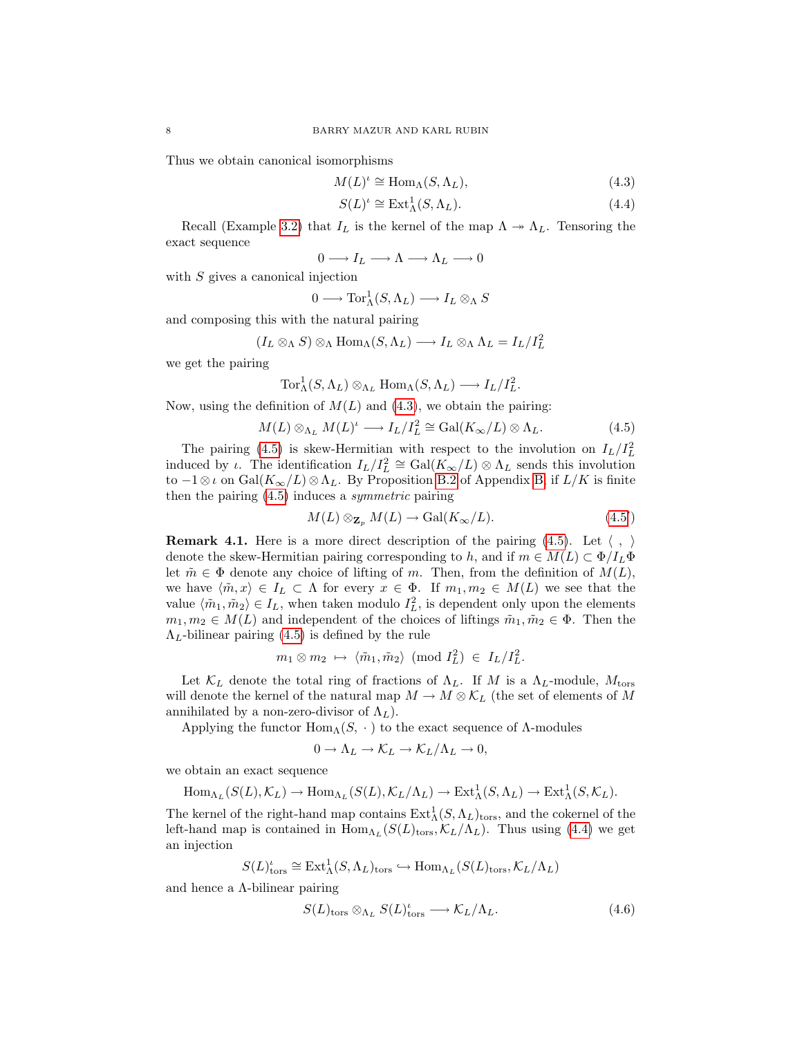Thus we obtain canonical isomorphisms

$$
M(L)^{\iota} \cong \text{Hom}_{\Lambda}(S, \Lambda_L), \tag{4.3}
$$

<span id="page-7-2"></span><span id="page-7-0"></span>
$$
S(L)^{\iota} \cong \text{Ext}_{\Lambda}^{1}(S, \Lambda_{L}). \tag{4.4}
$$

Recall (Example [3.2\)](#page-5-0) that  $I_L$  is the kernel of the map  $\Lambda \rightarrow \Lambda_L$ . Tensoring the exact sequence

$$
0 \longrightarrow I_L \longrightarrow \Lambda \longrightarrow \Lambda_L \longrightarrow 0
$$

with  $S$  gives a canonical injection

$$
0 \longrightarrow \operatorname{Tor}^1_{\Lambda}(S, \Lambda_L) \longrightarrow I_L \otimes_{\Lambda} S
$$

and composing this with the natural pairing

$$
(I_L \otimes_{\Lambda} S) \otimes_{\Lambda} \text{Hom}_{\Lambda}(S, \Lambda_L) \longrightarrow I_L \otimes_{\Lambda} \Lambda_L = I_L / I_L^2
$$

we get the pairing

$$
\operatorname{Tor}^1_{\Lambda}(S,\Lambda_L)\otimes_{\Lambda_L} \operatorname{Hom}_{\Lambda}(S,\Lambda_L) \longrightarrow I_L/I_L^2.
$$

Now, using the definition of  $M(L)$  and  $(4.3)$ , we obtain the pairing:

<span id="page-7-1"></span>
$$
M(L) \otimes_{\Lambda_L} M(L)^{\iota} \longrightarrow I_L/I_L^2 \cong \text{Gal}(K_{\infty}/L) \otimes \Lambda_L. \tag{4.5}
$$

The pairing [\(4.5\)](#page-7-1) is skew-Hermitian with respect to the involution on  $I_L/I_L^2$ induced by  $\iota$ . The identification  $I_L/I_L^2 \cong \text{Gal}(K_\infty/L) \otimes \Lambda_L$  sends this involution to  $-1 \otimes \iota$  on Gal $(K_\infty/L) \otimes \Lambda_L$ . By Proposition [B.2](#page-29-2) of Appendix [B,](#page-29-1) if  $L/K$  is finite then the pairing  $(4.5)$  induces a *symmetric* pairing

<span id="page-7-3"></span>
$$
M(L) \otimes_{\mathbf{Z}_p} M(L) \to \text{Gal}(K_{\infty}/L). \tag{4.5'}
$$

<span id="page-7-4"></span>**Remark 4.1.** Here is a more direct description of the pairing [\(4.5\)](#page-7-1). Let  $\langle , \rangle$ denote the skew-Hermitian pairing corresponding to h, and if  $m \in M(L) \subset \Phi/I_L\Phi$ let  $\tilde{m} \in \Phi$  denote any choice of lifting of m. Then, from the definition of  $M(L)$ , we have  $\langle \tilde{m}, x \rangle \in I_L \subset \Lambda$  for every  $x \in \Phi$ . If  $m_1, m_2 \in M(L)$  we see that the value  $\langle \tilde{m}_1, \tilde{m}_2 \rangle \in I_L$ , when taken modulo  $I_L^2$ , is dependent only upon the elements  $m_1, m_2 \in M(L)$  and independent of the choices of liftings  $\tilde{m}_1, \tilde{m}_2 \in \Phi$ . Then the  $\Lambda_L$ -bilinear pairing [\(4.5\)](#page-7-1) is defined by the rule

$$
m_1 \otimes m_2 \mapsto \langle \tilde{m}_1, \tilde{m}_2 \rangle \pmod{I_L^2} \in I_L/I_L^2.
$$

Let  $\mathcal{K}_L$  denote the total ring of fractions of  $\Lambda_L$ . If M is a  $\Lambda_L$ -module,  $M_{\text{tors}}$ will denote the kernel of the natural map  $M \to M \otimes \mathcal{K}_L$  (the set of elements of M annihilated by a non-zero-divisor of  $\Lambda_L$ ).

Applying the functor  $\text{Hom}_{\Lambda}(S, \cdot)$  to the exact sequence of  $\Lambda$ -modules

$$
0 \to \Lambda_L \to \mathcal{K}_L \to \mathcal{K}_L/\Lambda_L \to 0,
$$

we obtain an exact sequence

$$
\text{Hom}_{\Lambda_L}(S(L), \mathcal{K}_L) \to \text{Hom}_{\Lambda_L}(S(L), \mathcal{K}_L/\Lambda_L) \to \text{Ext}^1_{\Lambda}(S, \Lambda_L) \to \text{Ext}^1_{\Lambda}(S, \mathcal{K}_L).
$$

The kernel of the right-hand map contains  $\text{Ext}^1_{\Lambda}(S,\Lambda_L)_{\text{tors}},$  and the cokernel of the left-hand map is contained in  $\text{Hom}_{\Lambda_L}(S(L)_{\text{tors}}, \mathcal{K}_L/\Lambda_L)$ . Thus using [\(4.4\)](#page-7-2) we get an injection

$$
S(L)^{\iota}_{\operatorname{tors}}\cong \operatorname{Ext}_\Lambda^1(S,\Lambda_L)_{\operatorname{tors}} \hookrightarrow \operatorname{Hom}_{\Lambda_L}(S(L)_{\operatorname{tors}}, \mathcal{K}_L/\Lambda_L)
$$

and hence a  $\Lambda$ -bilinear pairing

$$
S(L)_{\text{tors}} \otimes_{\Lambda_L} S(L)_{\text{tors}}^{\iota} \longrightarrow \mathcal{K}_L/\Lambda_L. \tag{4.6}
$$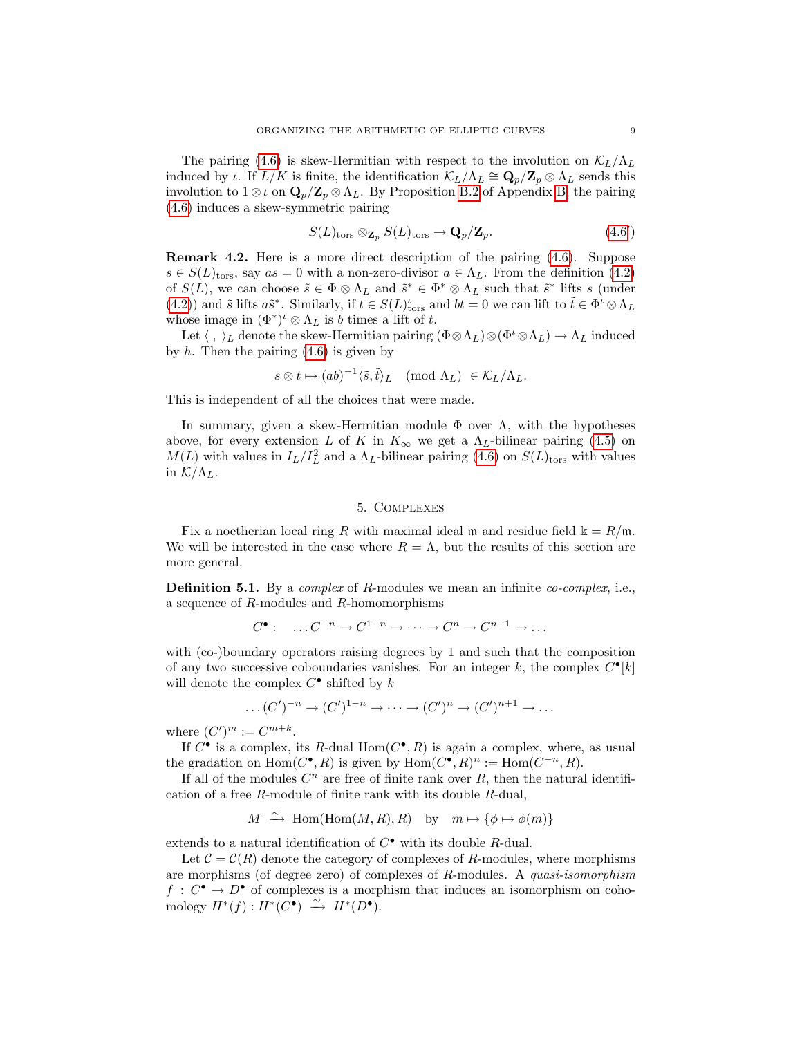The pairing [\(4.6\)](#page-7-3) is skew-Hermitian with respect to the involution on  $\mathcal{K}_L/\Lambda_L$ induced by *ι*. If  $L/K$  is finite, the identification  $\mathcal{K}_L/\Lambda_L \cong \mathbf{Q}_p/\mathbf{Z}_p \otimes \Lambda_L$  sends this involution to  $1 \otimes \iota$  on  $\mathbf{Q}_p/\mathbf{Z}_p \otimes \Lambda_L$ . By Proposition [B.2](#page-29-2) of Appendix [B,](#page-29-1) the pairing [\(4.6\)](#page-7-3) induces a skew-symmetric pairing

$$
S(L)_{\text{tors}} \otimes_{\mathbf{Z}_p} S(L)_{\text{tors}} \to \mathbf{Q}_p/\mathbf{Z}_p. \tag{4.6'}
$$

Remark 4.2. Here is a more direct description of the pairing [\(4.6\)](#page-7-3). Suppose  $s \in S(L)_{\text{tors}}$ , say  $as = 0$  with a non-zero-divisor  $a \in \Lambda_L$ . From the definition [\(4.2\)](#page-6-1) of  $S(L)$ , we can choose  $\tilde{s} \in \Phi \otimes \Lambda_L$  and  $\tilde{s}^* \in \Phi^* \otimes \Lambda_L$  such that  $\tilde{s}^*$  lifts s (under [\(4.2\)](#page-6-1)) and  $\tilde{s}$  lifts  $a\tilde{s}^*$ . Similarly, if  $t \in S(L)_{\text{tors}}^{\iota}$  and  $bt = 0$  we can lift to  $\tilde{t} \in \Phi^{\iota} \otimes \Lambda_L$ whose image in  $(\Phi^*)^{\iota} \otimes \Lambda_L$  is b times a lift of t.

Let  $\langle , \rangle_L$  denote the skew-Hermitian pairing  $(\Phi \otimes \Lambda_L) \otimes (\Phi^t \otimes \Lambda_L) \to \Lambda_L$  induced by  $h$ . Then the pairing  $(4.6)$  is given by

$$
s \otimes t \mapsto (ab)^{-1} \langle \tilde{s}, \tilde{t} \rangle_L \pmod{\Lambda_L} \in \mathcal{K}_L/\Lambda_L.
$$

This is independent of all the choices that were made.

In summary, given a skew-Hermitian module  $\Phi$  over  $\Lambda$ , with the hypotheses above, for every extension L of K in  $K_{\infty}$  we get a  $\Lambda_L$ -bilinear pairing [\(4.5\)](#page-7-1) on  $M(L)$  with values in  $I_L/I_L^2$  and a  $\Lambda_L$ -bilinear pairing [\(4.6\)](#page-7-3) on  $S(L)_{\text{tors}}$  with values in  $\mathcal{K}/\Lambda_L$ .

### 5. Complexes

<span id="page-8-0"></span>Fix a noetherian local ring R with maximal ideal m and residue field  $k = R/m$ . We will be interested in the case where  $R = \Lambda$ , but the results of this section are more general.

**Definition 5.1.** By a *complex* of R-modules we mean an infinite *co-complex*, i.e., a sequence of R-modules and R-homomorphisms

$$
C^{\bullet}: \quad \dots C^{-n} \to C^{1-n} \to \dots \to C^n \to C^{n+1} \to \dots
$$

with (co-)boundary operators raising degrees by 1 and such that the composition of any two successive coboundaries vanishes. For an integer k, the complex  $C^{\bullet}[k]$ will denote the complex  $C^{\bullet}$  shifted by k

$$
\dots (C')^{-n} \to (C')^{1-n} \to \dots \to (C')^{n} \to (C')^{n+1} \to \dots
$$

where  $(C')^m := C^{m+k}$ .

If  $C^{\bullet}$  is a complex, its R-dual Hom $(C^{\bullet}, R)$  is again a complex, where, as usual the gradation on  $Hom(C^{\bullet}, R)$  is given by  $Hom(C^{\bullet}, R)^n := Hom(C^{-n}, R)$ .

If all of the modules  $C^n$  are free of finite rank over  $R$ , then the natural identification of a free R-module of finite rank with its double R-dual,

$$
M \xrightarrow{\sim} \text{Hom}(\text{Hom}(M, R), R)
$$
 by  $m \mapsto {\phi \mapsto \phi(m)}$ 

extends to a natural identification of  $C^{\bullet}$  with its double R-dual.

Let  $C = C(R)$  denote the category of complexes of R-modules, where morphisms are morphisms (of degree zero) of complexes of R-modules. A quasi-isomorphism  $f: C^{\bullet} \to D^{\bullet}$  of complexes is a morphism that induces an isomorphism on cohomology  $H^*(f) : H^*(C^{\bullet}) \stackrel{\sim}{\longrightarrow} H^*(D^{\bullet}).$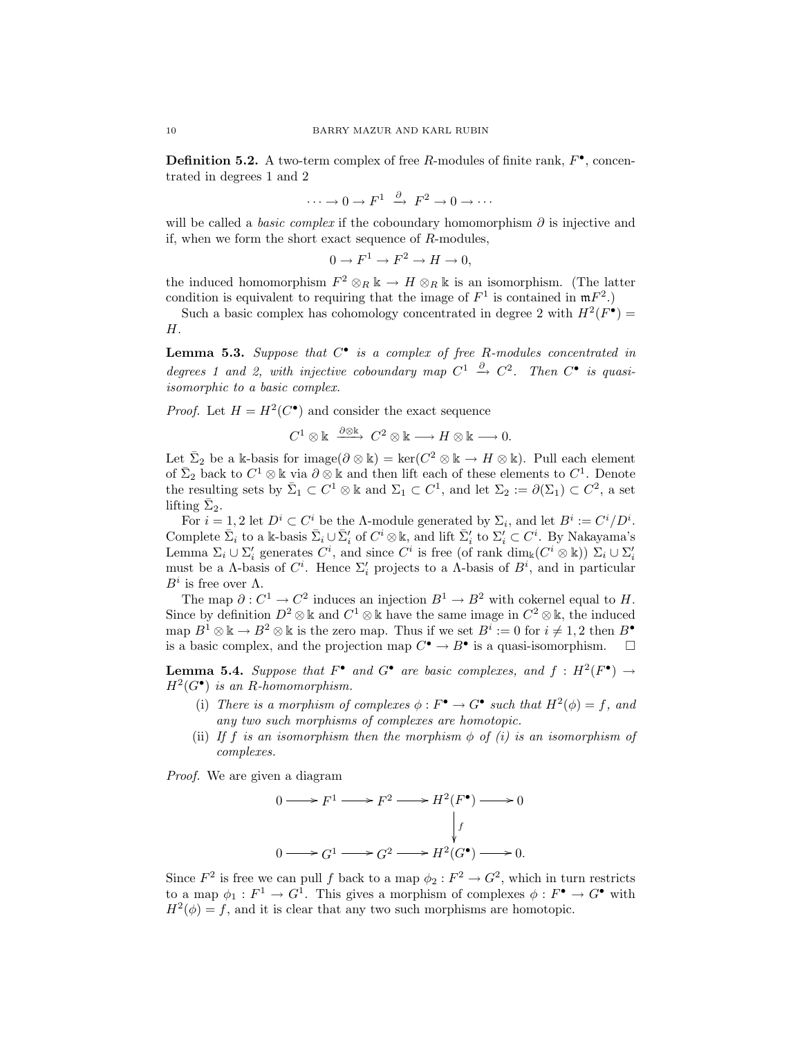**Definition 5.2.** A two-term complex of free R-modules of finite rank,  $F^{\bullet}$ , concentrated in degrees 1 and 2

$$
\cdots \to 0 \to F^1 \stackrel{\partial}{\to} F^2 \to 0 \to \cdots
$$

will be called a *basic complex* if the coboundary homomorphism  $\partial$  is injective and if, when we form the short exact sequence of  $R$ -modules,

$$
0 \to F^1 \to F^2 \to H \to 0,
$$

the induced homomorphism  $F^2 \otimes_R \mathbb{k} \to H \otimes_R \mathbb{k}$  is an isomorphism. (The latter condition is equivalent to requiring that the image of  $F^1$  is contained in  $mF^2$ .)

Such a basic complex has cohomology concentrated in degree 2 with  $H^2(F^{\bullet}) =$ H.

<span id="page-9-1"></span>**Lemma 5.3.** Suppose that  $C^{\bullet}$  is a complex of free R-modules concentrated in degrees 1 and 2, with injective coboundary map  $C^1 \stackrel{\partial}{\rightarrow} C^2$ . Then  $C^{\bullet}$  is quasiisomorphic to a basic complex.

*Proof.* Let  $H = H^2(C^{\bullet})$  and consider the exact sequence

$$
C^1\otimes \Bbbk\ \xrightarrow{\ \partial \otimes \Bbbk\ } \ C^2\otimes \Bbbk\longrightarrow H\otimes \Bbbk\longrightarrow 0.
$$

Let  $\bar{\Sigma}_2$  be a k-basis for image $(\partial \otimes \mathbb{k}) = \ker(C^2 \otimes \mathbb{k} \to H \otimes \mathbb{k})$ . Pull each element of  $\bar{\Sigma}_2$  back to  $C^1 \otimes \mathbb{k}$  via  $\partial \otimes \mathbb{k}$  and then lift each of these elements to  $C^1$ . Denote the resulting sets by  $\bar{\Sigma}_1 \subset C^1 \otimes \Bbbk$  and  $\Sigma_1 \subset C^1$ , and let  $\Sigma_2 := \partial(\Sigma_1) \subset C^2$ , a set lifting  $\bar{\Sigma}_2$ .

For  $i = 1, 2$  let  $D^i \subset C^i$  be the A-module generated by  $\Sigma_i$ , and let  $B^i := C^i/D^i$ . Complete  $\bar{\Sigma}_i$  to a k-basis  $\bar{\Sigma}_i \cup \bar{\Sigma}'_i$  of  $C^i \otimes \mathbb{k}$ , and lift  $\bar{\Sigma}'_i$  to  $\Sigma'_i \subset C^i$ . By Nakayama's Lemma  $\Sigma_i \cup \Sigma'_i$  generates  $C^i$ , and since  $C^i$  is free (of rank  $\dim_k(C^i \otimes \Bbbk))$   $\Sigma_i \cup \Sigma'_i$ must be a  $\Lambda$ -basis of  $C^i$ . Hence  $\Sigma'_i$  projects to a  $\Lambda$ -basis of  $B^i$ , and in particular  $B^i$  is free over  $\Lambda$ .

The map  $\partial: C^1 \to C^2$  induces an injection  $B^1 \to B^2$  with cokernel equal to H. Since by definition  $D^2 \otimes \mathbb{k}$  and  $C^1 \otimes \mathbb{k}$  have the same image in  $C^2 \otimes \mathbb{k}$ , the induced map  $B^1 \otimes \mathbb{k} \to B^2 \otimes \mathbb{k}$  is the zero map. Thus if we set  $B^i := 0$  for  $i \neq 1, 2$  then  $B^{\bullet}$ is a basic complex, and the projection map  $C^{\bullet} \to B^{\bullet}$  is a quasi-isomorphism.  $\square$ 

<span id="page-9-0"></span>**Lemma 5.4.** Suppose that  $F^{\bullet}$  and  $G^{\bullet}$  are basic complexes, and  $f : H^2(F^{\bullet}) \to$  $H^2(G^{\bullet})$  is an R-homomorphism.

- (i) There is a morphism of complexes  $\phi : F^{\bullet} \to G^{\bullet}$  such that  $H^2(\phi) = f$ , and any two such morphisms of complexes are homotopic.
- (ii) If f is an isomorphism then the morphism  $\phi$  of (i) is an isomorphism of complexes.

Proof. We are given a diagram

$$
0 \longrightarrow F^1 \longrightarrow F^2 \longrightarrow H^2(F^{\bullet}) \longrightarrow 0
$$
  
\n
$$
\downarrow
$$
  
\n
$$
0 \longrightarrow G^1 \longrightarrow G^2 \longrightarrow H^2(G^{\bullet}) \longrightarrow 0.
$$

Since  $F^2$  is free we can pull f back to a map  $\phi_2 : F^2 \to G^2$ , which in turn restricts to a map  $\phi_1: F^1 \to G^1$ . This gives a morphism of complexes  $\phi: F^{\bullet} \to G^{\bullet}$  with  $H^2(\phi) = f$ , and it is clear that any two such morphisms are homotopic.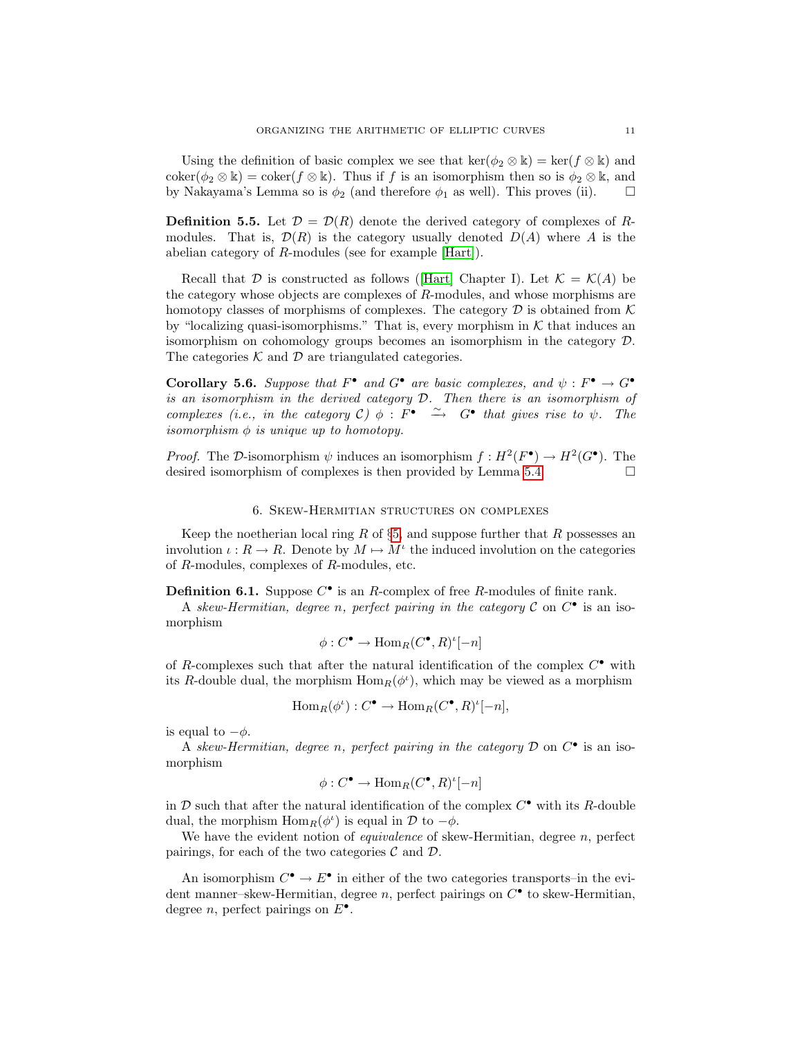Using the definition of basic complex we see that  $\ker(\phi_2 \otimes \mathbb{k}) = \ker(f \otimes \mathbb{k})$  and coker( $\phi_2 \otimes \mathbb{k}$ ) = coker( $f \otimes \mathbb{k}$ ). Thus if f is an isomorphism then so is  $\phi_2 \otimes \mathbb{k}$ , and by Nakayama's Lemma so is  $\phi_2$  (and therefore  $\phi_1$  as well). This proves (ii).

**Definition 5.5.** Let  $\mathcal{D} = \mathcal{D}(R)$  denote the derived category of complexes of Rmodules. That is,  $\mathcal{D}(R)$  is the category usually denoted  $D(A)$  where A is the abelian category of R-modules (see for example [\[Hart\]](#page-31-8)).

Recallthat D is constructed as follows (Hart) Chapter I). Let  $\mathcal{K} = \mathcal{K}(A)$  be the category whose objects are complexes of R-modules, and whose morphisms are homotopy classes of morphisms of complexes. The category  $\mathcal D$  is obtained from  $\mathcal K$ by "localizing quasi-isomorphisms." That is, every morphism in  $K$  that induces an isomorphism on cohomology groups becomes an isomorphism in the category D. The categories  $K$  and  $D$  are triangulated categories.

<span id="page-10-0"></span>Corollary 5.6. Suppose that  $F^{\bullet}$  and  $G^{\bullet}$  are basic complexes, and  $\psi : F^{\bullet} \to G^{\bullet}$ is an isomorphism in the derived category D. Then there is an isomorphism of complexes (i.e., in the category C)  $\phi$ :  $F^{\bullet} \cong G^{\bullet}$  that gives rise to  $\psi$ . The isomorphism  $\phi$  is unique up to homotopy.

*Proof.* The D-isomorphism  $\psi$  induces an isomorphism  $f: H^2(F^{\bullet}) \to H^2(G^{\bullet})$ . The desired isomorphism of complexes is then provided by Lemma [5.4.](#page-9-0)

#### 6. Skew-Hermitian structures on complexes

Keep the noetherian local ring  $R$  of §[5,](#page-8-0) and suppose further that  $R$  possesses an involution  $\iota: R \to R$ . Denote by  $M \mapsto M^{\iota}$  the induced involution on the categories of R-modules, complexes of R-modules, etc.

**Definition 6.1.** Suppose  $C^{\bullet}$  is an R-complex of free R-modules of finite rank.

A skew-Hermitian, degree n, perfect pairing in the category  $\mathcal C$  on  $C^{\bullet}$  is an isomorphism

$$
\phi: C^{\bullet} \to \text{Hom}_{R}(C^{\bullet}, R)^{\iota}[-n]
$$

of R-complexes such that after the natural identification of the complex  $C^{\bullet}$  with its R-double dual, the morphism  $\text{Hom}_R(\phi^t)$ , which may be viewed as a morphism

$$
\operatorname{Hom}_R(\phi^{\iota}): C^{\bullet} \to \operatorname{Hom}_R(C^{\bullet}, R)^{\iota}[-n],
$$

is equal to  $-\phi$ .

A skew-Hermitian, degree n, perfect pairing in the category  $D$  on  $C^{\bullet}$  is an isomorphism

$$
\phi: C^{\bullet} \to \text{Hom}_{R}(C^{\bullet}, R)^{\iota}[-n]
$$

in  $D$  such that after the natural identification of the complex  $C^{\bullet}$  with its R-double dual, the morphism  $\text{Hom}_R(\phi^{\iota})$  is equal in  $\mathcal D$  to  $-\phi$ .

We have the evident notion of *equivalence* of skew-Hermitian, degree  $n$ , perfect pairings, for each of the two categories  $\mathcal C$  and  $\mathcal D$ .

<span id="page-10-1"></span>An isomorphism  $C^{\bullet} \to E^{\bullet}$  in either of the two categories transports–in the evident manner-skew-Hermitian, degree n, perfect pairings on  $C^{\bullet}$  to skew-Hermitian, degree *n*, perfect pairings on  $E^{\bullet}$ .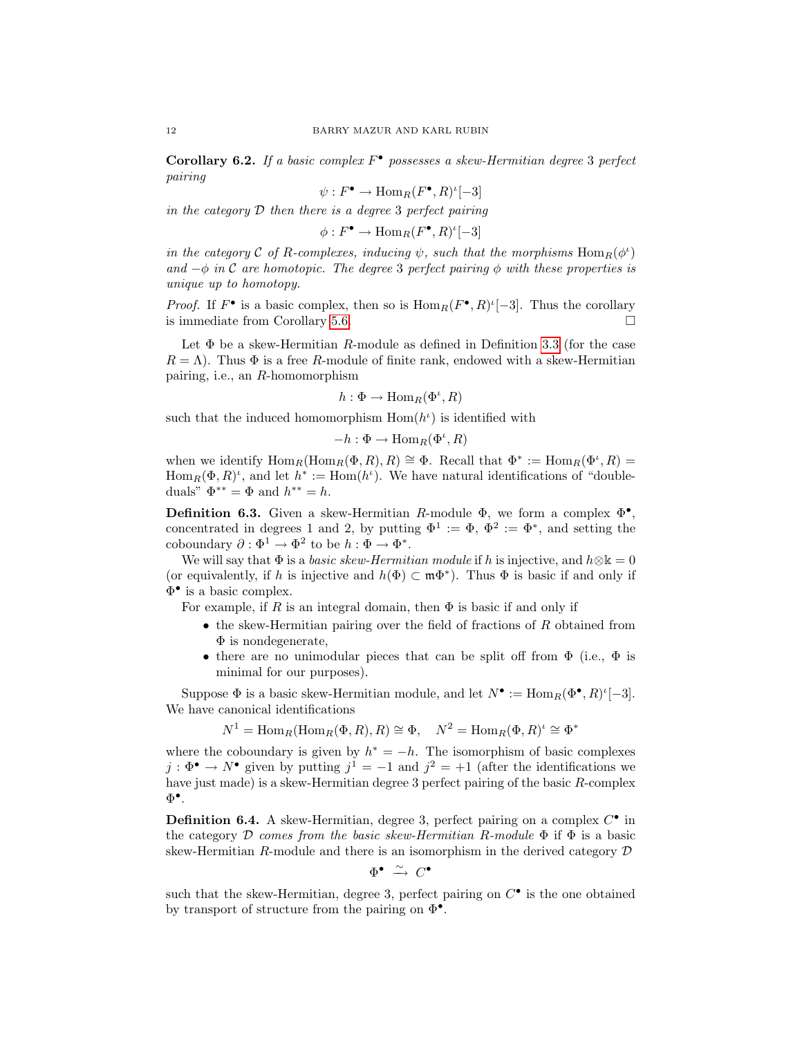Corollary 6.2. If a basic complex  $F^{\bullet}$  possesses a skew-Hermitian degree 3 perfect pairing

$$
\psi: F^{\bullet} \to \text{Hom}_{R}(F^{\bullet}, R)^{\iota}[-3]
$$

in the category  $D$  then there is a degree 3 perfect pairing

 $\phi: F^{\bullet} \to \text{Hom}_R(F^{\bullet}, R)^{\iota}[-3]$ 

in the category C of R-complexes, inducing  $\psi$ , such that the morphisms  $\text{Hom}_R(\phi^{\iota})$ and  $-\phi$  in C are homotopic. The degree 3 perfect pairing  $\phi$  with these properties is unique up to homotopy.

*Proof.* If  $F^{\bullet}$  is a basic complex, then so is  $\text{Hom}_R(F^{\bullet}, R)^t[-3]$ . Thus the corollary is immediate from Corollary [5.6.](#page-10-0)

Let  $\Phi$  be a skew-Hermitian R-module as defined in Definition [3.3](#page-6-0) (for the case  $R = \Lambda$ ). Thus  $\Phi$  is a free R-module of finite rank, endowed with a skew-Hermitian pairing, i.e., an R-homomorphism

$$
h:\Phi\to\operatorname{Hom}_R(\Phi^\iota,R)
$$

such that the induced homomorphism  $Hom(h^{\iota})$  is identified with

$$
-h:\Phi\to\operatorname{Hom}_R(\Phi^\iota,R)
$$

when we identify  $\text{Hom}_R(\text{Hom}_R(\Phi, R), R) \cong \Phi$ . Recall that  $\Phi^* := \text{Hom}_R(\Phi^*, R) =$  $\text{Hom}_R(\Phi, R)^t$ , and let  $h^* := \text{Hom}(h^t)$ . We have natural identifications of "doubleduals"  $\Phi^{**} = \Phi$  and  $h^{**} = h$ .

<span id="page-11-0"></span>**Definition 6.3.** Given a skew-Hermitian R-module  $\Phi$ , we form a complex  $\Phi^{\bullet}$ , concentrated in degrees 1 and 2, by putting  $\Phi^1 := \Phi$ ,  $\Phi^2 := \Phi^*$ , and setting the coboundary  $\partial : \Phi^1 \to \Phi^2$  to be  $h : \Phi \to \Phi^*$ .

We will say that  $\Phi$  is a *basic skew-Hermitian module* if h is injective, and  $h \otimes \mathbb{k} = 0$ (or equivalently, if h is injective and  $h(\Phi) \subset \mathfrak{m}\Phi^*$ ). Thus  $\Phi$  is basic if and only if Φ • is a basic complex.

For example, if R is an integral domain, then  $\Phi$  is basic if and only if

- the skew-Hermitian pairing over the field of fractions of  $R$  obtained from  $\Phi$  is nondegenerate,
- there are no unimodular pieces that can be split off from  $\Phi$  (i.e.,  $\Phi$  is minimal for our purposes).

Suppose  $\Phi$  is a basic skew-Hermitian module, and let  $N^{\bullet} := \text{Hom}_{R}(\Phi^{\bullet}, R)^{\iota}[-3]$ . We have canonical identifications

$$
N^1 = \text{Hom}_R(\text{Hom}_R(\Phi, R), R) \cong \Phi, \quad N^2 = \text{Hom}_R(\Phi, R)^t \cong \Phi^*
$$

where the coboundary is given by  $h^* = -h$ . The isomorphism of basic complexes  $j : \Phi^{\bullet} \to N^{\bullet}$  given by putting  $j^{1} = -1$  and  $j^{2} = +1$  (after the identifications we have just made) is a skew-Hermitian degree 3 perfect pairing of the basic R-complex  $\Phi^\bullet$ .

<span id="page-11-1"></span>**Definition 6.4.** A skew-Hermitian, degree 3, perfect pairing on a complex  $C^{\bullet}$  in the category D comes from the basic skew-Hermitian R-module  $\Phi$  if  $\Phi$  is a basic skew-Hermitian R-module and there is an isomorphism in the derived category  $D$ 

$$
\Phi^\bullet\;\xrightarrow{\,\sim\,}\;C^\bullet
$$

such that the skew-Hermitian, degree 3, perfect pairing on  $C^{\bullet}$  is the one obtained by transport of structure from the pairing on  $\Phi^{\bullet}$ .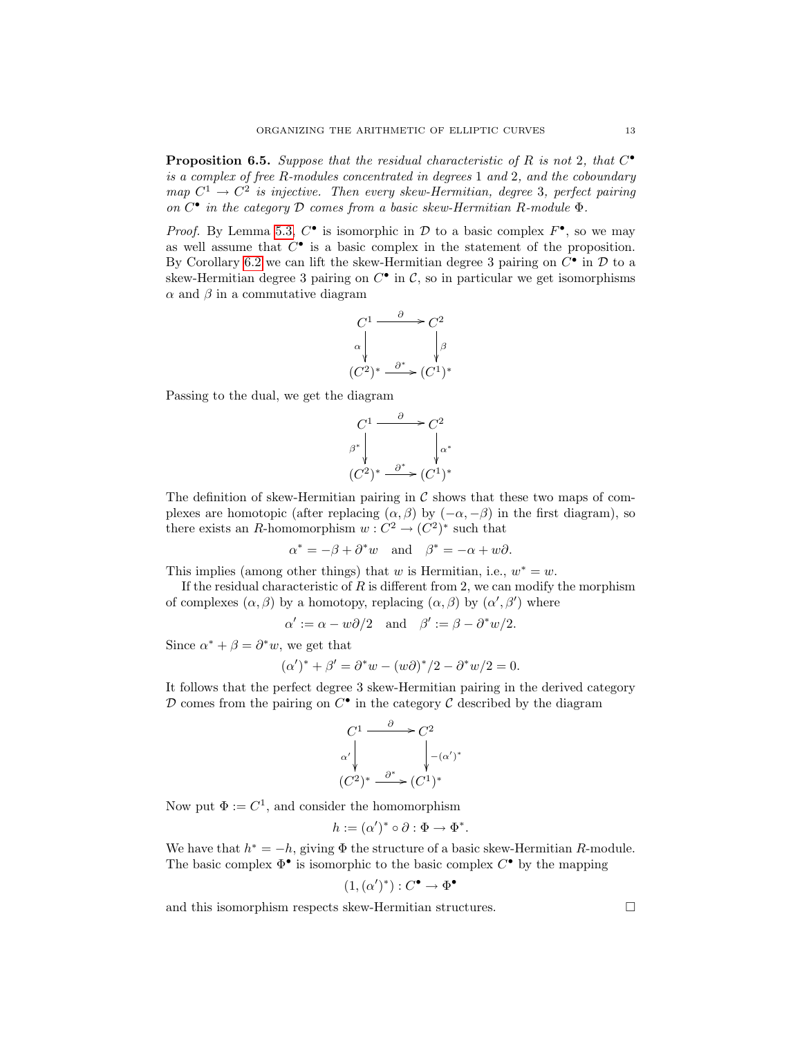<span id="page-12-1"></span>**Proposition 6.5.** Suppose that the residual characteristic of R is not 2, that  $C^{\bullet}$ is a complex of free R-modules concentrated in degrees 1 and 2, and the coboundary map  $C^1 \rightarrow C^2$  is injective. Then every skew-Hermitian, degree 3, perfect pairing on  $C^{\bullet}$  in the category  $\mathcal D$  comes from a basic skew-Hermitian R-module  $\Phi$ .

*Proof.* By Lemma [5.3,](#page-9-1)  $C^{\bullet}$  is isomorphic in  $D$  to a basic complex  $F^{\bullet}$ , so we may as well assume that  $C^{\bullet}$  is a basic complex in the statement of the proposition. By Corollary [6.2](#page-10-1) we can lift the skew-Hermitian degree 3 pairing on  $C^{\bullet}$  in  $\mathcal D$  to a skew-Hermitian degree 3 pairing on  $C^{\bullet}$  in  $\mathcal{C}$ , so in particular we get isomorphisms  $\alpha$  and  $\beta$  in a commutative diagram

$$
C1 \xrightarrow{\partial} C2 \n\alpha \downarrow \qquad \qquad \downarrow \beta \n(C2)^* \xrightarrow{\partial^*} (C1)^*
$$

Passing to the dual, we get the diagram

$$
C^{1} \xrightarrow{\partial} C^{2}
$$
  
\n
$$
\beta^* \downarrow \qquad \qquad \downarrow \alpha^*
$$
  
\n
$$
(C^2)^* \xrightarrow{\partial^*} (C^1)^*
$$

The definition of skew-Hermitian pairing in  $\mathcal C$  shows that these two maps of complexes are homotopic (after replacing  $(\alpha, \beta)$  by  $(-\alpha, -\beta)$ ) in the first diagram), so there exists an R-homomorphism  $w: C^2 \to (C^2)^*$  such that

$$
\alpha^* = -\beta + \partial^* w \quad \text{and} \quad \beta^* = -\alpha + w\partial.
$$

This implies (among other things) that w is Hermitian, i.e.,  $w^* = w$ .

If the residual characteristic of  $R$  is different from 2, we can modify the morphism of complexes  $(\alpha, \beta)$  by a homotopy, replacing  $(\alpha, \beta)$  by  $(\alpha', \beta')$  where

$$
\alpha' := \alpha - w\partial/2
$$
 and  $\beta' := \beta - \partial^*w/2$ .

Since  $\alpha^* + \beta = \partial^* w$ , we get that

$$
(\alpha')^* + \beta' = \partial^* w - (w\partial)^* / 2 - \partial^* w / 2 = 0.
$$

It follows that the perfect degree 3 skew-Hermitian pairing in the derived category  $D$  comes from the pairing on  $C^{\bullet}$  in the category  $C$  described by the diagram

$$
C^{1} \longrightarrow C^{2}
$$
  
\n
$$
\alpha' \downarrow \qquad \qquad \downarrow -(\alpha')
$$
  
\n
$$
(C^{2})^{*} \longrightarrow^{\alpha^{*}} (C^{1})^{*}
$$

∗

Now put  $\Phi := C^1$ , and consider the homomorphism

$$
h := (\alpha')^* \circ \partial : \Phi \to \Phi^*.
$$

We have that  $h^* = -h$ , giving  $\Phi$  the structure of a basic skew-Hermitian R-module. The basic complex  $\Phi^{\bullet}$  is isomorphic to the basic complex  $C^{\bullet}$  by the mapping

$$
(1, (\alpha')^*) : C^{\bullet} \to \Phi^{\bullet}
$$

<span id="page-12-0"></span>and this isomorphism respects skew-Hermitian structures.  $\hfill \Box$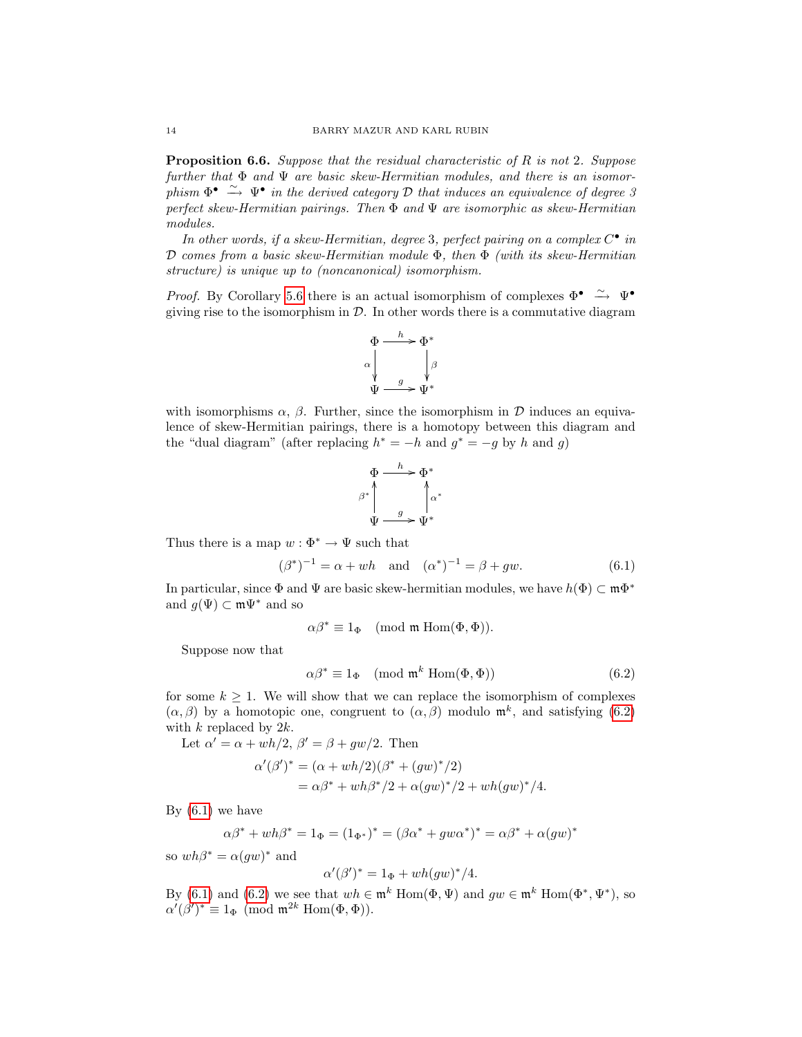**Proposition 6.6.** Suppose that the residual characteristic of R is not 2. Suppose further that  $\Phi$  and  $\Psi$  are basic skew-Hermitian modules, and there is an isomorphism  $\Phi^{\bullet} \stackrel{\sim}{\to} \Psi^{\bullet}$  in the derived category D that induces an equivalence of degree 3 perfect skew-Hermitian pairings. Then  $\Phi$  and  $\Psi$  are isomorphic as skew-Hermitian modules.

In other words, if a skew-Hermitian, degree 3, perfect pairing on a complex  $C^{\bullet}$  in D comes from a basic skew-Hermitian module  $\Phi$ , then  $\Phi$  (with its skew-Hermitian structure) is unique up to (noncanonical) isomorphism.

*Proof.* By Corollary [5.6](#page-10-0) there is an actual isomorphism of complexes  $\Phi^{\bullet} \stackrel{\sim}{\rightarrow} \Psi^{\bullet}$ giving rise to the isomorphism in  $\mathcal{D}$ . In other words there is a commutative diagram



with isomorphisms  $\alpha$ ,  $\beta$ . Further, since the isomorphism in D induces an equivalence of skew-Hermitian pairings, there is a homotopy between this diagram and the "dual diagram" (after replacing  $h^* = -h$  and  $g^* = -g$  by h and g)

$$
\Phi \xrightarrow{h} \Phi^*
$$
\n
$$
\beta^* \downarrow \qquad \qquad \downarrow \alpha^*
$$
\n
$$
\Psi \xrightarrow{g} \Psi^*
$$

Thus there is a map  $w : \Phi^* \to \Psi$  such that

<span id="page-13-1"></span>
$$
(\beta^*)^{-1} = \alpha + wh \text{ and } (\alpha^*)^{-1} = \beta + gw. \tag{6.1}
$$

In particular, since  $\Phi$  and  $\Psi$  are basic skew-hermitian modules, we have  $h(\Phi) \subset \mathfrak{m}\Phi^*$ and  $g(\Psi) \subset m\Psi^*$  and so

$$
\alpha \beta^* \equiv 1_{\Phi} \pmod{\mathfrak{m} \operatorname{Hom}(\Phi, \Phi)}.
$$

Suppose now that

<span id="page-13-0"></span>
$$
\alpha \beta^* \equiv 1_{\Phi} \pmod{\mathfrak{m}^k \text{ Hom}(\Phi, \Phi)}
$$
(6.2)

for some  $k \geq 1$ . We will show that we can replace the isomorphism of complexes  $(\alpha, \beta)$  by a homotopic one, congruent to  $(\alpha, \beta)$  modulo  $\mathfrak{m}^k$ , and satisfying [\(6.2\)](#page-13-0) with  $k$  replaced by  $2k$ .

Let  $\alpha' = \alpha + wh/2$ ,  $\beta' = \beta + gw/2$ . Then

$$
\alpha'(\beta')^* = (\alpha + wh/2)(\beta^* + (gw)^*/2)
$$
  
=  $\alpha\beta^* + wh\beta^*/2 + \alpha(gw)^*/2 + wh(gw)^*/4.$ 

By  $(6.1)$  we have

$$
\alpha \beta^* + wh\beta^* = 1_{\Phi} = (1_{\Phi^*})^* = (\beta \alpha^* + g w \alpha^*)^* = \alpha \beta^* + \alpha (gw)^*
$$

so  $wh\beta^* = \alpha(gw)^*$  and

$$
\alpha'(\beta')^* = 1_{\Phi} + wh(gw)^*/4.
$$

By [\(6.1\)](#page-13-1) and [\(6.2\)](#page-13-0) we see that  $wh \in \mathfrak{m}^k$  Hom $(\Phi, \Psi)$  and  $gw \in \mathfrak{m}^k$  Hom $(\Phi^*, \Psi^*)$ , so  $\alpha'(\beta')^* \equiv 1_{\Phi} \pmod{\mathfrak{m}^{2k} \operatorname{Hom}(\Phi, \Phi)}$ .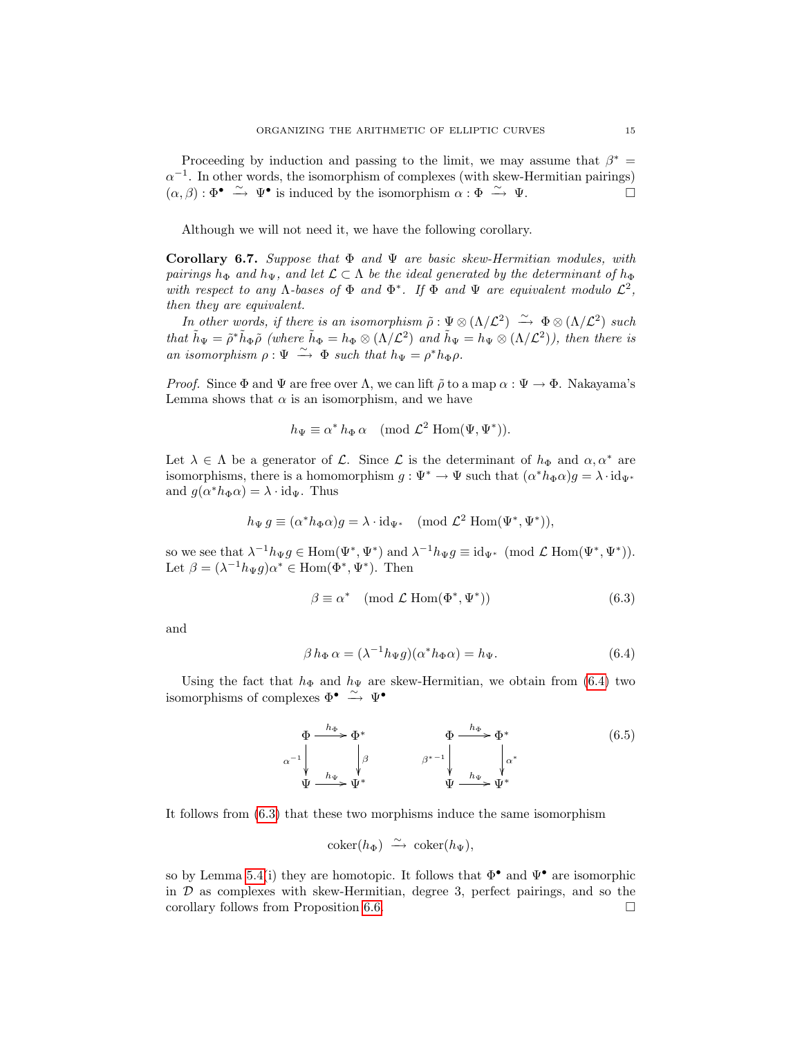Proceeding by induction and passing to the limit, we may assume that  $\beta^* =$  $\alpha^{-1}$ . In other words, the isomorphism of complexes (with skew-Hermitian pairings)  $(\alpha, \beta) : \Phi^{\bullet} \stackrel{\sim}{\to} \Psi^{\bullet}$  is induced by the isomorphism  $\alpha : \Phi \stackrel{\sim}{\to} \Psi$ .

Although we will not need it, we have the following corollary.

Corollary 6.7. Suppose that  $\Phi$  and  $\Psi$  are basic skew-Hermitian modules, with pairings  $h_{\Phi}$  and  $h_{\Psi}$ , and let  $\mathcal{L} \subset \Lambda$  be the ideal generated by the determinant of  $h_{\Phi}$ with respect to any  $\Lambda$ -bases of  $\Phi$  and  $\Phi^*$ . If  $\Phi$  and  $\Psi$  are equivalent modulo  $\mathcal{L}^2$ , then they are equivalent.

In other words, if there is an isomorphism  $\tilde{\rho}: \Psi \otimes (\Lambda/\mathcal{L}^2) \longrightarrow \Phi \otimes (\Lambda/\mathcal{L}^2)$  such that  $\tilde{h}_{\Psi} = \tilde{\rho}^* \tilde{h}_{\Phi} \tilde{\rho}$  (where  $\tilde{h}_{\Phi} = h_{\Phi} \otimes (\Lambda / \mathcal{L}^2)$  and  $\tilde{h}_{\Psi} = h_{\Psi} \otimes (\Lambda / \mathcal{L}^2)$ ), then there is an isomorphism  $\rho : \Psi \stackrel{\sim}{\longrightarrow} \Phi$  such that  $h_{\Psi} = \rho^* h_{\Phi} \rho$ .

*Proof.* Since  $\Phi$  and  $\Psi$  are free over  $\Lambda$ , we can lift  $\tilde{\rho}$  to a map  $\alpha : \Psi \to \Phi$ . Nakayama's Lemma shows that  $\alpha$  is an isomorphism, and we have

$$
h_{\Psi} \equiv \alpha^* h_{\Phi} \alpha \pmod{\mathcal{L}^2 \operatorname{Hom}(\Psi, \Psi^*)}.
$$

Let  $\lambda \in \Lambda$  be a generator of  $\mathcal{L}$ . Since  $\mathcal{L}$  is the determinant of  $h_{\Phi}$  and  $\alpha, \alpha^*$  are isomorphisms, there is a homomorphism  $g: \Psi^* \to \Psi$  such that  $(\alpha^* h_{\Phi} \alpha) g = \lambda \cdot id_{\Psi^*}$ and  $g(\alpha^* h_{\Phi} \alpha) = \lambda \cdot id_{\Psi}$ . Thus

$$
h_{\Psi} g \equiv (\alpha^* h_{\Phi} \alpha) g = \lambda \cdot \mathrm{id}_{\Psi^*} \pmod{\mathcal{L}^2 \operatorname{Hom}(\Psi^*, \Psi^*)},
$$

so we see that  $\lambda^{-1}h_{\Psi}g \in \text{Hom}(\Psi^*, \Psi^*)$  and  $\lambda^{-1}h_{\Psi}g \equiv \text{id}_{\Psi^*} \pmod{\mathcal{L} \text{ Hom}(\Psi^*, \Psi^*)}$ . Let  $\beta = (\lambda^{-1} h_{\Psi} g) \alpha^* \in \text{Hom}(\Phi^*, \Psi^*)$ . Then

<span id="page-14-1"></span>
$$
\beta \equiv \alpha^* \pmod{\mathcal{L} \operatorname{Hom}(\Phi^*, \Psi^*)}
$$
\n(6.3)

and

<span id="page-14-0"></span>
$$
\beta h_{\Phi} \alpha = (\lambda^{-1} h_{\Psi} g)(\alpha^* h_{\Phi} \alpha) = h_{\Psi}.
$$
\n(6.4)

Using the fact that  $h_{\Phi}$  and  $h_{\Psi}$  are skew-Hermitian, we obtain from [\(6.4\)](#page-14-0) two isomorphisms of complexes  $\Phi^{\bullet} \stackrel{\sim}{\longrightarrow} \Psi^{\bullet}$ 

$$
\Phi \xrightarrow{h_{\Phi}} \Phi^* \qquad \Phi \xrightarrow{h_{\Phi}} \Phi^* \qquad (6.5)
$$
\n
$$
\alpha^{-1} \downarrow \qquad \qquad \beta \qquad \qquad \beta^{*-1} \downarrow \qquad \qquad \downarrow \alpha^* \qquad \qquad \psi \xrightarrow{h_{\Psi}} \Psi^* \qquad \qquad \Psi \xrightarrow{h_{\Psi}} \Psi^* \qquad \qquad \psi
$$

It follows from [\(6.3\)](#page-14-1) that these two morphisms induce the same isomorphism

$$
\mathrm{coker}(h_\Phi) \; \xrightarrow{\sim} \; \mathrm{coker}(h_\Psi),
$$

so by Lemma [5.4\(](#page-9-0)i) they are homotopic. It follows that  $\Phi^{\bullet}$  and  $\Psi^{\bullet}$  are isomorphic in  $\mathcal D$  as complexes with skew-Hermitian, degree 3, perfect pairings, and so the corollary follows from Proposition [6.6.](#page-12-0)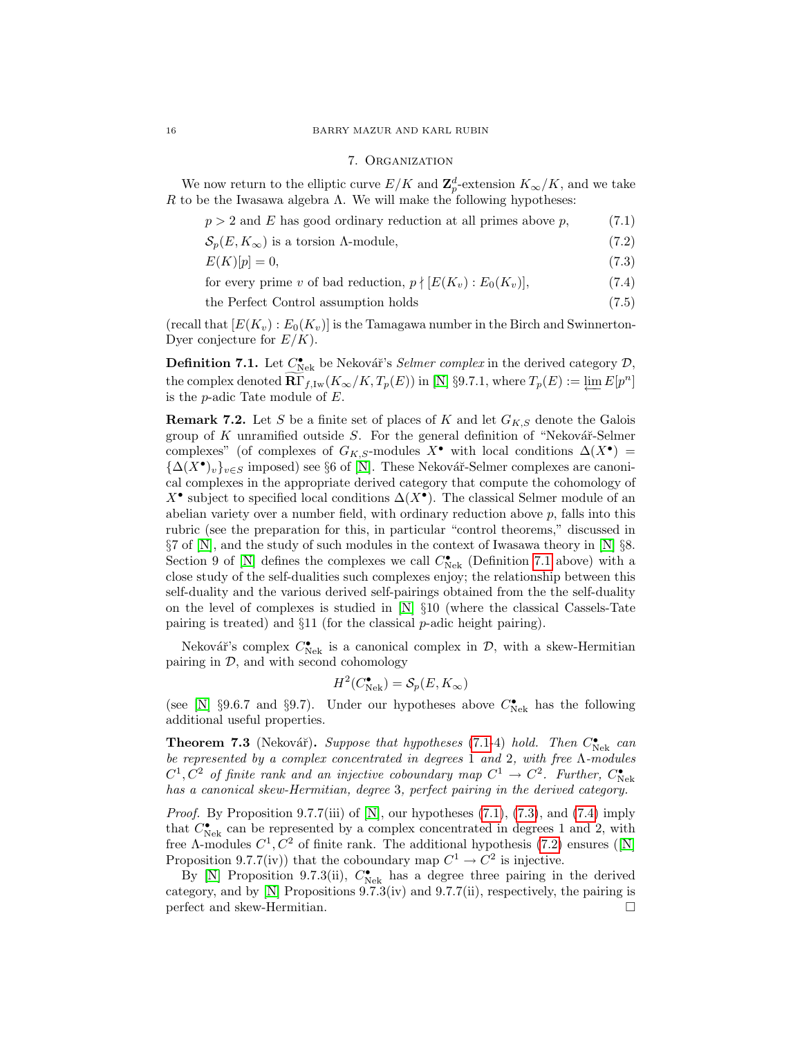## 16 BARRY MAZUR AND KARL RUBIN

### <span id="page-15-7"></span><span id="page-15-5"></span><span id="page-15-4"></span><span id="page-15-3"></span><span id="page-15-2"></span>7. Organization

We now return to the elliptic curve  $E/K$  and  $\mathbf{Z}_{p}^{d}$ -extension  $K_{\infty}/K$ , and we take R to be the Iwasawa algebra  $\Lambda$ . We will make the following hypotheses:

| $p > 2$ and E has good ordinary reduction at all primes above p, | (7.1) |
|------------------------------------------------------------------|-------|
| $\mathcal{S}_p(E, K_\infty)$ is a torsion $\Lambda$ -module,     | (7.2) |
| $E(K)[p] = 0,$                                                   | (7.3) |

for every prime v of bad reduction,  $p \nmid [E(K_v) : E_0(K_v)],$  (7.4)

the Perfect Control assumption holds (7.5)

(recall that  $[E(K_v):E_0(K_v)]$  is the Tamagawa number in the Birch and Swinnerton-Dyer conjecture for  $E/K$ ).

<span id="page-15-1"></span>**Definition 7.1.** Let  $C_{\text{Nek}}^{\bullet}$  be Nekovář's *Selmer complex* in the derived category  $\mathcal{D}$ , the complex denoted  $\overline{\mathbf{R}\Gamma}_{f,\mathrm{Iw}}(K_{\infty}/K,T_p(E))$  in [\[N\]](#page-32-2) §9.7.1, where  $T_p(E) := \varprojlim E[p^n]$ is the  $p$ -adic Tate module of  $E$ .

**Remark 7.2.** Let S be a finite set of places of K and let  $G_{K,S}$  denote the Galois group of  $K$  unramified outside  $S$ . For the general definition of "Nekovář-Selmer complexes" (of complexes of  $G_{K,S}$ -modules  $X^{\bullet}$  with local conditions  $\Delta(X^{\bullet})$  =  ${\{\Delta(X^{\bullet})_v\}}_{v\in S}$  imposed) see §6 of [\[N\]](#page-32-2). These Nekovář-Selmer complexes are canonical complexes in the appropriate derived category that compute the cohomology of X<sup>•</sup> subject to specified local conditions  $\Delta(X^{\bullet})$ . The classical Selmer module of an abelian variety over a number field, with ordinary reduction above p, falls into this rubric (see the preparation for this, in particular "control theorems," discussed in §7 of [\[N\]](#page-32-2), and the study of such modules in the context of Iwasawa theory in [\[N\]](#page-32-2) §8. Section 9 of [\[N\]](#page-32-2) defines the complexes we call  $C_{\rm Nek}^{\bullet}$  (Definition [7.1](#page-15-1) above) with a close study of the self-dualities such complexes enjoy; the relationship between this self-duality and the various derived self-pairings obtained from the the self-duality on the level of complexes is studied in  $[N] \S 10$  (where the classical Cassels-Tate pairing is treated) and §11 (for the classical p-adic height pairing).

Nekovář's complex  $C_{\text{Nek}}^{\bullet}$  is a canonical complex in  $\mathcal{D}$ , with a skew-Hermitian pairing in  $\mathcal{D}$ , and with second cohomology

$$
H^2(C_{\text{Nek}}^{\bullet}) = \mathcal{S}_p(E, K_{\infty})
$$

(see [\[N\]](#page-32-2) §9.6.7 and §9.7). Under our hypotheses above  $C_{\text{Nek}}^{\bullet}$  has the following additional useful properties.

<span id="page-15-6"></span>**Theorem 7.3** (Nekovář). Suppose that hypotheses [\(7.1-](#page-15-2)4) hold. Then  $C_{\text{Nek}}^{\bullet}$  can be represented by a complex concentrated in degrees 1 and 2, with free Λ-modules  $C^1, C^2$  of finite rank and an injective coboundary map  $C^1 \rightarrow C^2$ . Further,  $C_{\text{Nek}}^{\bullet}$ has a canonical skew-Hermitian, degree 3, perfect pairing in the derived category.

*Proof.* By Proposition 9.7.7(iii) of  $[N]$ , our hypotheses  $(7.1)$ ,  $(7.3)$ , and  $(7.4)$  imply that  $C_{\text{Nek}}^{\bullet}$  can be represented by a complex concentrated in degrees 1 and 2, with free $\Lambda$ -modules  $C^1, C^2$  of finite rank. The additional hypothesis [\(7.2\)](#page-15-5) ensures ([\[N\]](#page-32-2) Proposition 9.7.7(iv)) that the coboundary map  $C^1 \to C^2$  is injective.

By [\[N\]](#page-32-2) Proposition 9.7.3(ii),  $C_{\text{Nek}}^{\bullet}$  has a degree three pairing in the derived category, and by  $[N]$  Propositions 9.7.3(iv) and 9.7.7(ii), respectively, the pairing is perfect and skew-Hermitian.

<span id="page-15-0"></span>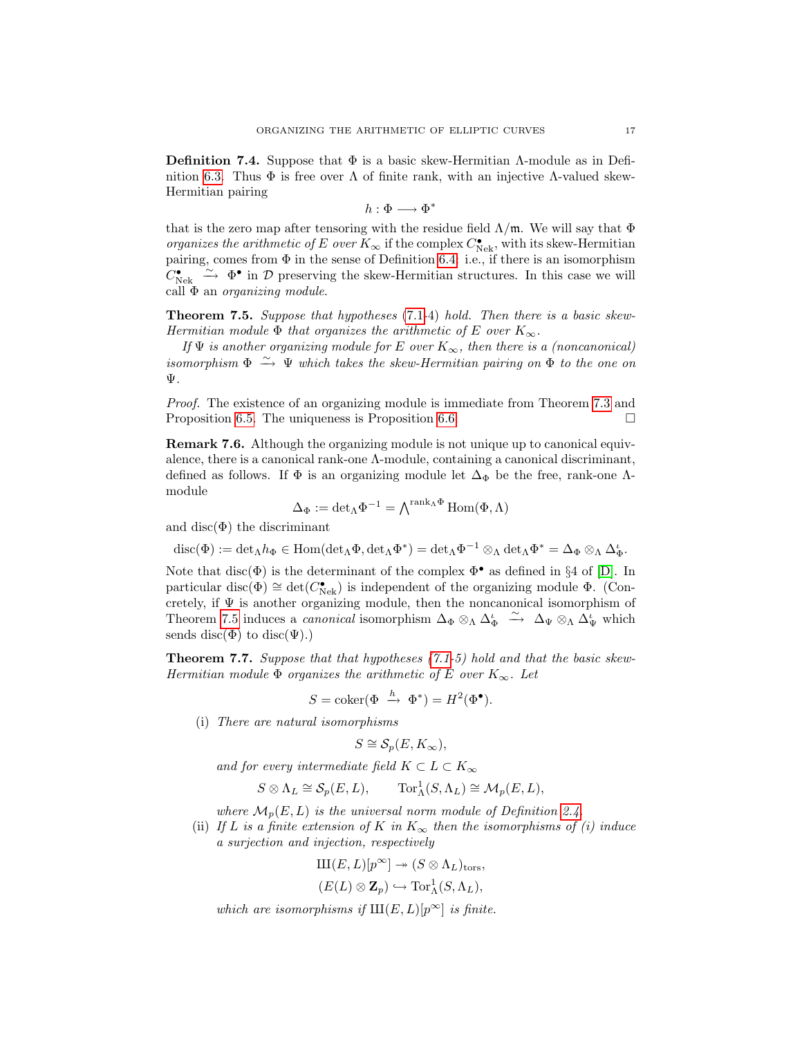**Definition 7.4.** Suppose that  $\Phi$  is a basic skew-Hermitian  $\Lambda$ -module as in Defi-nition [6.3.](#page-11-0) Thus  $\Phi$  is free over  $\Lambda$  of finite rank, with an injective  $\Lambda$ -valued skew-Hermitian pairing

$$
h:\Phi\longrightarrow\Phi^*
$$

that is the zero map after tensoring with the residue field  $\Lambda/\mathfrak{m}$ . We will say that  $\Phi$ organizes the arithmetic of E over  $K_{\infty}$  if the complex  $C_{\rm Nek}^{\bullet}$ , with its skew-Hermitian pairing, comes from  $\Phi$  in the sense of Definition [6.4:](#page-11-1) i.e., if there is an isomorphism  $C_{\text{Nek}}^{\bullet} \stackrel{\sim}{\longrightarrow} \Phi^{\bullet}$  in  $\mathcal D$  preserving the skew-Hermitian structures. In this case we will call  $\Phi$  an *organizing module*.

<span id="page-16-0"></span>Theorem 7.5. Suppose that hypotheses [\(7.1-](#page-15-2)4) hold. Then there is a basic skew-Hermitian module  $\Phi$  that organizes the arithmetic of E over  $K_{\infty}$ .

If  $\Psi$  is another organizing module for E over  $K_{\infty}$ , then there is a (noncanonical) isomorphism  $\Phi \stackrel{\sim}{\to} \Psi$  which takes the skew-Hermitian pairing on  $\Phi$  to the one on Ψ.

Proof. The existence of an organizing module is immediate from Theorem [7.3](#page-15-6) and Proposition [6.5.](#page-12-1) The uniqueness is Proposition [6.6.](#page-12-0)  $\Box$ 

Remark 7.6. Although the organizing module is not unique up to canonical equivalence, there is a canonical rank-one Λ-module, containing a canonical discriminant, defined as follows. If  $\Phi$  is an organizing module let  $\Delta_{\Phi}$  be the free, rank-one  $\Lambda$ module

$$
\Delta_\Phi:=\mathrm{det}_\Lambda \Phi^{-1}=\textstyle\bigwedge^{\mathrm{rank}_\Lambda\Phi}\mathrm{Hom}(\Phi,\Lambda)
$$

and disc( $\Phi$ ) the discriminant

$$
\mathrm{disc}(\Phi):=\mathrm{det}_\Lambda h_\Phi\in \mathrm{Hom}(\mathrm{det}_\Lambda \Phi,\mathrm{det}_\Lambda \Phi^*)=\mathrm{det}_\Lambda \Phi^{-1}\otimes_\Lambda \mathrm{det}_\Lambda \Phi^*=\Delta_\Phi\otimes_\Lambda \Delta_\Phi^{\iota}.
$$

Note that disc( $\Phi$ ) is the determinant of the complex  $\Phi^{\bullet}$  as defined in §4 of [\[D\]](#page-31-9). In particular disc( $\Phi$ ) ≅ det( $C_{\text{Nek}}^{\bullet}$ ) is independent of the organizing module  $\Phi$ . (Concretely, if  $\Psi$  is another organizing module, then the noncanonical isomorphism of Theorem [7.5](#page-16-0) induces a *canonical* isomorphism  $\Delta_{\Phi} \otimes_{\Lambda} \Delta_{\Phi}^{\iota} \stackrel{\sim}{\longrightarrow} \Delta_{\Psi} \otimes_{\Lambda} \Delta_{\Psi}^{\iota}$  which sends disc( $\Phi$ ) to disc( $\Psi$ ).)

<span id="page-16-1"></span>Theorem 7.7. Suppose that that hypotheses [\(7.1-](#page-15-2)5) hold and that the basic skew-Hermitian module  $\Phi$  organizes the arithmetic of E over  $K_{\infty}$ . Let

$$
S = \operatorname{coker}(\Phi \stackrel{h}{\to} \Phi^*) = H^2(\Phi^{\bullet}).
$$

(i) There are natural isomorphisms

$$
S \cong \mathcal{S}_p(E, K_{\infty}),
$$

and for every intermediate field  $K \subset L \subset K_{\infty}$ 

$$
S\otimes \Lambda_L\cong \mathcal{S}_p(E,L),\qquad \text{Tor}^1_\Lambda(S,\Lambda_L)\cong \mathcal{M}_p(E,L),
$$

where  $\mathcal{M}_p(E, L)$  is the universal norm module of Definition [2.4.](#page-5-1)

(ii) If L is a finite extension of K in  $K_{\infty}$  then the isomorphisms of (i) induce a surjection and injection, respectively

$$
\mathrm{III}(E,L)[p^{\infty}] \twoheadrightarrow (S \otimes \Lambda_L)_{\mathrm{tors}},
$$
  

$$
(E(L) \otimes \mathbf{Z}_p) \hookrightarrow \mathrm{Tor}^1_{\Lambda}(S, \Lambda_L),
$$

which are isomorphisms if  $III(E, L)[p^{\infty}]$  is finite.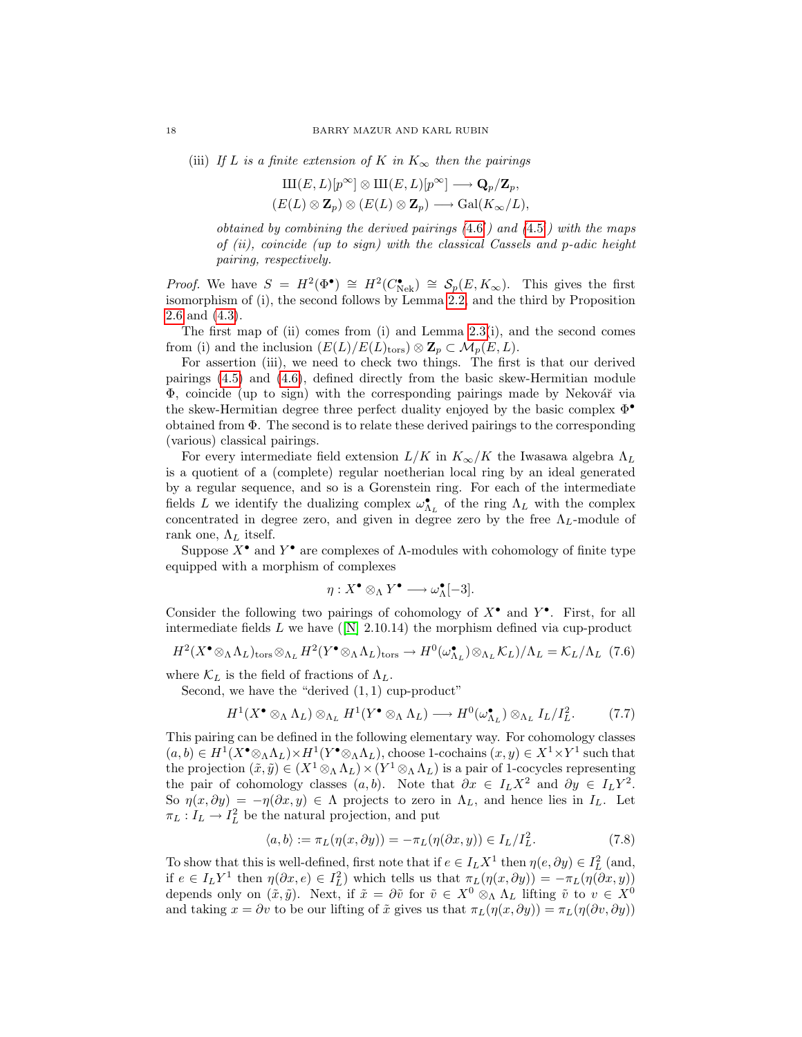(iii) If L is a finite extension of K in  $K_{\infty}$  then the pairings

$$
\text{III}(E,L)[p^{\infty}] \otimes \text{III}(E,L)[p^{\infty}] \longrightarrow \mathbf{Q}_p/\mathbf{Z}_p,
$$
  

$$
(E(L) \otimes \mathbf{Z}_p) \otimes (E(L) \otimes \mathbf{Z}_p) \longrightarrow \text{Gal}(K_{\infty}/L),
$$

obtained by combining the derived pairings  $(4.6')$  $(4.6')$  $(4.6')$  and  $(4.5')$  with the maps of  $(ii)$ , coincide (up to sign) with the classical Cassels and p-adic height pairing, respectively.

*Proof.* We have  $S = H^2(\Phi^{\bullet}) \cong H^2(C_{\text{Nek}}^{\bullet}) \cong \mathcal{S}_p(E, K_{\infty})$ . This gives the first isomorphism of (i), the second follows by Lemma [2.2,](#page-4-1) and the third by Proposition [2.6](#page-5-2) and [\(4.3\)](#page-7-0).

The first map of (ii) comes from (i) and Lemma  $2.3(i)$ , and the second comes from (i) and the inclusion  $(E(L)/E(L)<sub>tors</sub>) \otimes \mathbb{Z}_p \subset \mathcal{M}_p(E, L)$ .

For assertion (iii), we need to check two things. The first is that our derived pairings [\(4.5\)](#page-7-1) and [\(4.6\)](#page-7-3), defined directly from the basic skew-Hermitian module  $\Phi$ , coincide (up to sign) with the corresponding pairings made by Nekovář via the skew-Hermitian degree three perfect duality enjoyed by the basic complex Φ• obtained from Φ. The second is to relate these derived pairings to the corresponding (various) classical pairings.

For every intermediate field extension  $L/K$  in  $K_{\infty}/K$  the Iwasawa algebra  $\Lambda_L$ is a quotient of a (complete) regular noetherian local ring by an ideal generated by a regular sequence, and so is a Gorenstein ring. For each of the intermediate fields L we identify the dualizing complex  $\omega_{\Lambda_L}^{\bullet}$  of the ring  $\Lambda_L$  with the complex concentrated in degree zero, and given in degree zero by the free  $\Lambda_L$ -module of rank one,  $\Lambda_L$  itself.

Suppose  $X^{\bullet}$  and  $Y^{\bullet}$  are complexes of  $\Lambda$ -modules with cohomology of finite type equipped with a morphism of complexes

$$
\eta: X^\bullet \otimes_\Lambda Y^\bullet \longrightarrow \omega_\Lambda^\bullet[-3].
$$

Consider the following two pairings of cohomology of  $X^{\bullet}$  and  $Y^{\bullet}$ . First, for all intermediatefields L we have  $([N] \ 2.10.14)$  $([N] \ 2.10.14)$  $([N] \ 2.10.14)$  the morphism defined via cup-product

<span id="page-17-1"></span>
$$
H^2(X^{\bullet} \otimes_{\Lambda} \Lambda_L)_{\text{tors}} \otimes_{\Lambda_L} H^2(Y^{\bullet} \otimes_{\Lambda} \Lambda_L)_{\text{tors}} \to H^0(\omega_{\Lambda_L}^{\bullet}) \otimes_{\Lambda_L} \mathcal{K}_L) / \Lambda_L = \mathcal{K}_L / \Lambda_L \tag{7.6}
$$

where  $\mathcal{K}_L$  is the field of fractions of  $\Lambda_L$ .

Second, we have the "derived  $(1, 1)$  cup-product"

$$
H^1(X^{\bullet} \otimes_{\Lambda} \Lambda_L) \otimes_{\Lambda_L} H^1(Y^{\bullet} \otimes_{\Lambda} \Lambda_L) \longrightarrow H^0(\omega_{\Lambda_L}^{\bullet}) \otimes_{\Lambda_L} I_L/I_L^2. \tag{7.7}
$$

This pairing can be defined in the following elementary way. For cohomology classes  $(a, b) \in H^1(X^{\bullet} \otimes_{\Lambda} \Lambda_L) \times H^1(Y^{\bullet} \otimes_{\Lambda} \Lambda_L)$ , choose 1-cochains  $(x, y) \in X^1 \times Y^1$  such that the projection  $(\tilde{x}, \tilde{y}) \in (X^1 \otimes_A \Lambda_L) \times (Y^1 \otimes_A \Lambda_L)$  is a pair of 1-cocycles representing the pair of cohomology classes  $(a, b)$ . Note that  $\partial x \in I_L X^2$  and  $\partial y \in I_L Y^2$ . So  $\eta(x, \partial y) = -\eta(\partial x, y) \in \Lambda$  projects to zero in  $\Lambda_L$ , and hence lies in  $I_L$ . Let  $\pi_L: I_L \to I_L^2$  be the natural projection, and put

<span id="page-17-0"></span>
$$
\langle a, b \rangle := \pi_L(\eta(x, \partial y)) = -\pi_L(\eta(\partial x, y)) \in I_L/I_L^2.
$$
 (7.8)

To show that this is well-defined, first note that if  $e \in I_L X^1$  then  $\eta(e, \partial y) \in I_L^2$  (and, if  $e \in I_L Y^1$  then  $\eta(\partial x, e) \in I_L^2$  which tells us that  $\pi_L(\eta(x, \partial y)) = -\pi_L(\eta(\partial x, y))$ depends only on  $(\tilde{x}, \tilde{y})$ . Next, if  $\tilde{x} = \partial \tilde{v}$  for  $\tilde{v} \in X^0 \otimes_{\Lambda} \Lambda_L$  lifting  $\tilde{v}$  to  $v \in X^0$ and taking  $x = \partial v$  to be our lifting of  $\tilde{x}$  gives us that  $\pi_L(\eta(x, \partial y)) = \pi_L(\eta(\partial v, \partial y))$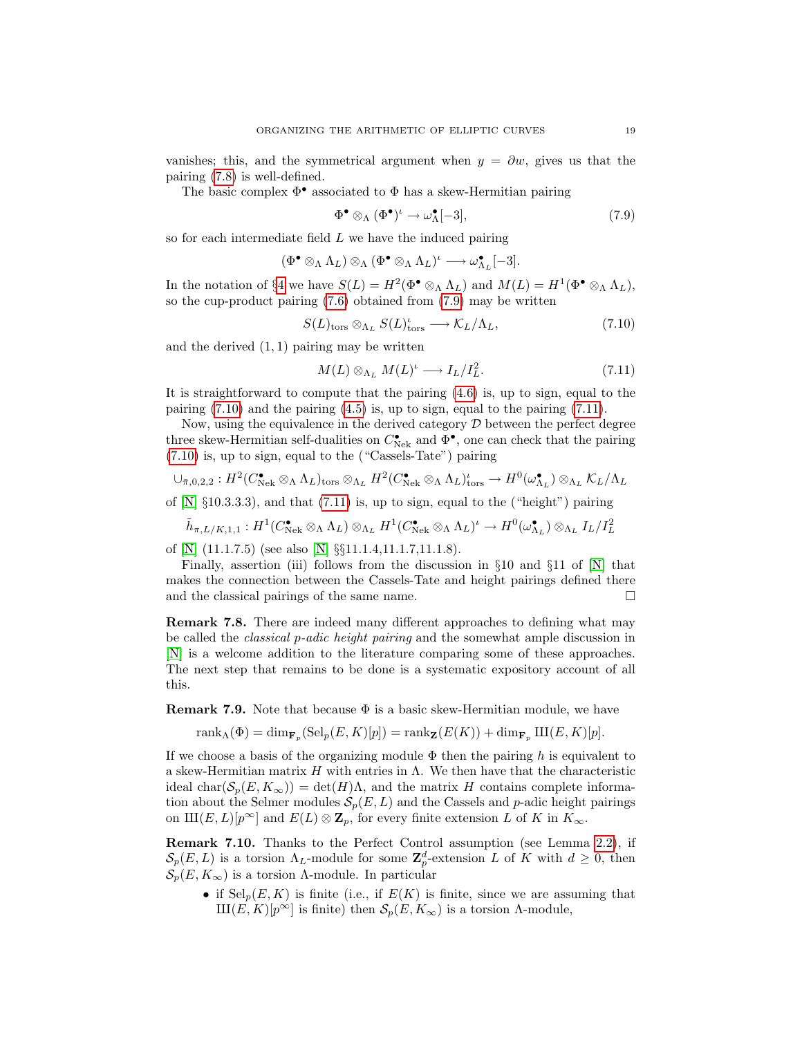vanishes; this, and the symmetrical argument when  $y = \partial w$ , gives us that the pairing [\(7.8\)](#page-17-0) is well-defined.

The basic complex  $\Phi^{\bullet}$  associated to  $\Phi$  has a skew-Hermitian pairing

<span id="page-18-0"></span>
$$
\Phi^{\bullet} \otimes_{\Lambda} (\Phi^{\bullet})^{\iota} \to \omega_{\Lambda}^{\bullet}[-3], \tag{7.9}
$$

so for each intermediate field  $L$  we have the induced pairing

$$
(\Phi^\bullet\otimes_\Lambda \Lambda_L)\otimes_\Lambda (\Phi^\bullet\otimes_\Lambda \Lambda_L)^\iota\longrightarrow \omega^\bullet_{\Lambda_L}[-3].
$$

In the notation of §[4](#page-6-3) we have  $S(L) = H^2(\Phi^{\bullet} \otimes_{\Lambda} \Lambda_L)$  and  $M(L) = H^1(\Phi^{\bullet} \otimes_{\Lambda} \Lambda_L)$ , so the cup-product pairing [\(7.6\)](#page-17-1) obtained from [\(7.9\)](#page-18-0) may be written

<span id="page-18-1"></span>
$$
S(L)_{\text{tors}} \otimes_{\Lambda_L} S(L)_{\text{tors}}^{\iota} \longrightarrow \mathcal{K}_L/\Lambda_L, \tag{7.10}
$$

and the derived  $(1, 1)$  pairing may be written

<span id="page-18-2"></span>
$$
M(L) \otimes_{\Lambda_L} M(L)^t \longrightarrow I_L/I_L^2. \tag{7.11}
$$

It is straightforward to compute that the pairing [\(4.6\)](#page-7-3) is, up to sign, equal to the pairing [\(7.10\)](#page-18-1) and the pairing [\(4.5\)](#page-7-1) is, up to sign, equal to the pairing [\(7.11\)](#page-18-2).

Now, using the equivalence in the derived category  $\mathcal D$  between the perfect degree three skew-Hermitian self-dualities on  $C^{\bullet}_{\rm Nek}$  and  $\Phi^{\bullet}$ , one can check that the pairing [\(7.10\)](#page-18-1) is, up to sign, equal to the ("Cassels-Tate") pairing

$$
\cup_{\bar{\pi},0,2,2}: H^2(C_{\text{Nek}}^{\bullet} \otimes_{\Lambda} \Lambda_L)_{\text{tors}} \otimes_{\Lambda_L} H^2(C_{\text{Nek}}^{\bullet} \otimes_{\Lambda} \Lambda_L)_{\text{tors}}^{\iota} \to H^0(\omega_{\Lambda_L}^{\bullet}) \otimes_{\Lambda_L} \mathcal{K}_L/\Lambda_L
$$

of  $[N] \S 10.3.3.3$ , and that  $(7.11)$  is, up to sign, equal to the ("height") pairing

$$
\tilde{h}_{\pi,L/K,1,1}:H^1(C_{\mathrm{Nek}}^{\bullet}\otimes_{\Lambda}\Lambda_L)\otimes_{\Lambda_L}H^1(C_{\mathrm{Nek}}^{\bullet}\otimes_{\Lambda}\Lambda_L)^{\iota}\to H^0(\omega_{\Lambda_L}^{\bullet})\otimes_{\Lambda_L}I_L/I_L^2
$$

of [\[N\]](#page-32-2)  $(11.1.7.5)$  (see also [N]  $\S$  $11.1.4$ ,11.1.7,11.1.8).

Finally, assertion (iii) follows from the discussion in  $\S 10$  and  $\S 11$  of  $[N]$  that makes the connection between the Cassels-Tate and height pairings defined there and the classical pairings of the same name.  $\square$ 

Remark 7.8. There are indeed many different approaches to defining what may be called the classical p-adic height pairing and the somewhat ample discussion in [\[N\]](#page-32-2) is a welcome addition to the literature comparing some of these approaches. The next step that remains to be done is a systematic expository account of all this.

**Remark 7.9.** Note that because  $\Phi$  is a basic skew-Hermitian module, we have

 $\text{rank}_{\Lambda}(\Phi) = \dim_{\mathbf{F}_p} (\text{Sel}_p(E, K)[p]) = \text{rank}_{\mathbf{Z}}(E(K)) + \dim_{\mathbf{F}_p} \text{III}(E, K)[p].$ 

If we choose a basis of the organizing module  $\Phi$  then the pairing h is equivalent to a skew-Hermitian matrix  $H$  with entries in  $\Lambda$ . We then have that the characteristic ideal char $(\mathcal{S}_p(E, K_\infty)) = \det(H)\Lambda$ , and the matrix H contains complete information about the Selmer modules  $\mathcal{S}_p(E, L)$  and the Cassels and p-adic height pairings on  $\text{III}(E, L)[p^{\infty}]$  and  $E(L) \otimes \mathbb{Z}_p$ , for every finite extension L of K in  $K_{\infty}$ .

<span id="page-18-3"></span>Remark 7.10. Thanks to the Perfect Control assumption (see Lemma [2.2\)](#page-4-1), if  $\mathcal{S}_p(E,L)$  is a torsion  $\Lambda_L$ -module for some  $\mathbb{Z}_p^d$ -extension L of K with  $d \geq 0$ , then  $\mathcal{S}_p(E, K_\infty)$  is a torsion Λ-module. In particular

• if  $\text{Sel}_p(E, K)$  is finite (i.e., if  $E(K)$  is finite, since we are assuming that  $\text{III}(E, K)[p^{\infty}]$  is finite) then  $\mathcal{S}_p(E, K_{\infty})$  is a torsion  $\Lambda$ -module,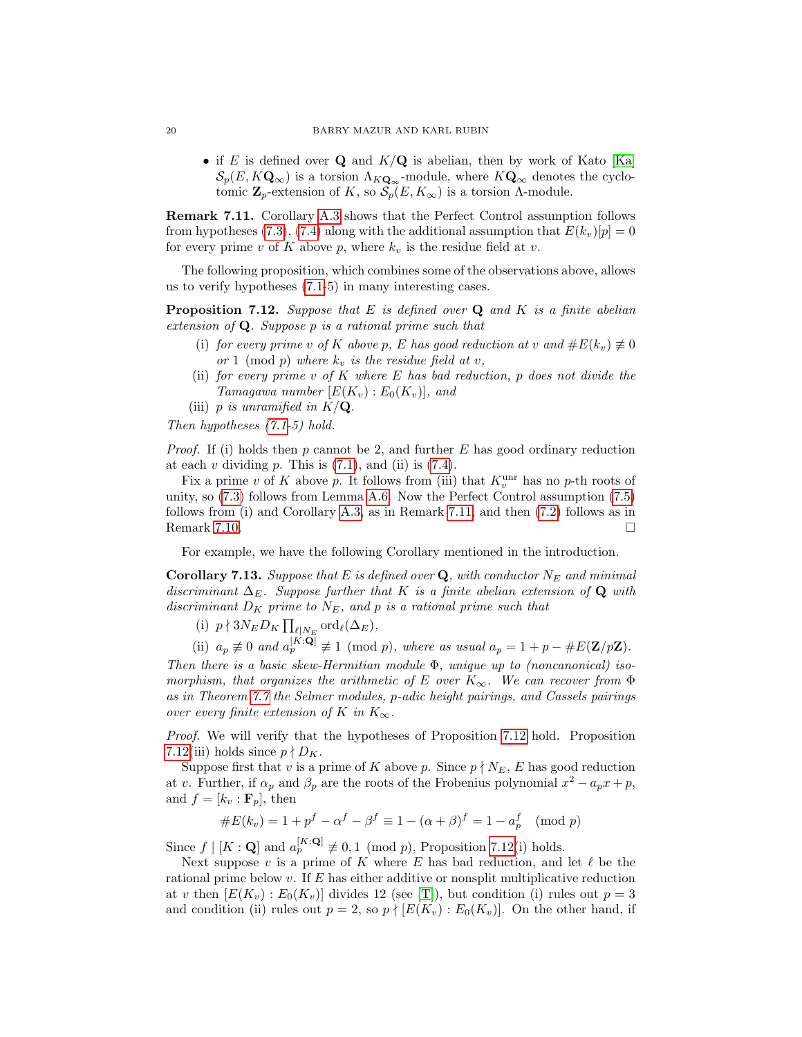• if E is defined over Q and  $K/\mathbf{Q}$  is abelian, then by work of Kato [\[Ka\]](#page-32-4)  $\mathcal{S}_p(E, K\mathbf{Q}_{\infty})$  is a torsion  $\Lambda_{K\mathbf{Q}_{\infty}}$ -module, where  $K\mathbf{Q}_{\infty}$  denotes the cyclotomic  $\mathbf{Z}_p$ -extension of K, so  $\mathcal{S}_p(E, K_\infty)$  is a torsion  $\Lambda$ -module.

<span id="page-19-0"></span>Remark 7.11. Corollary [A.3](#page-28-0) shows that the Perfect Control assumption follows from hypotheses [\(7.3\)](#page-15-3), [\(7.4\)](#page-15-4) along with the additional assumption that  $E(k_v)[p] = 0$ for every prime v of K above p, where  $k_v$  is the residue field at v.

The following proposition, which combines some of the observations above, allows us to verify hypotheses [\(7.1-](#page-15-2)5) in many interesting cases.

<span id="page-19-1"></span>**Proposition 7.12.** Suppose that E is defined over  $Q$  and K is a finite abelian extension of  $Q$ . Suppose p is a rational prime such that

- (i) for every prime v of K above p, E has good reduction at v and  $\#E(k_v) \neq 0$ or 1 (mod p) where  $k_v$  is the residue field at v,
- (ii) for every prime v of K where E has bad reduction, p does not divide the Tamagawa number  $[E(K_v):E_0(K_v)]$ , and
- (iii) p is unramified in  $K/\mathbf{Q}$ .

Then hypotheses [\(7.1-](#page-15-2)5) hold.

*Proof.* If (i) holds then p cannot be 2, and further E has good ordinary reduction at each  $v$  dividing  $p$ . This is  $(7.1)$ , and (ii) is  $(7.4)$ .

Fix a prime v of K above p. It follows from (iii) that  $K_v^{\text{unr}}$  has no p-th roots of unity, so [\(7.3\)](#page-15-3) follows from Lemma [A.6.](#page-29-3) Now the Perfect Control assumption [\(7.5\)](#page-15-7) follows from (i) and Corollary [A.3,](#page-28-0) as in Remark [7.11,](#page-19-0) and then [\(7.2\)](#page-15-5) follows as in Remark [7.10.](#page-18-3)  $\Box$ 

For example, we have the following Corollary mentioned in the introduction.

**Corollary 7.13.** Suppose that E is defined over  $Q$ , with conductor  $N_E$  and minimal discriminant  $\Delta_E$ . Suppose further that K is a finite abelian extension of Q with discriminant  $D_K$  prime to  $N_E$ , and p is a rational prime such that

- (i)  $p \nmid 3N_E D_K \prod_{\ell|N_E} \text{ord}_{\ell}(\Delta_E)$ ,
- (ii)  $a_p \not\equiv 0$  and  $a_p^{[K:\mathbf{Q}]} \not\equiv 1 \pmod{p}$ , where as usual  $a_p = 1 + p \#E(\mathbf{Z}/p\mathbf{Z})$ .

Then there is a basic skew-Hermitian module  $\Phi$ , unique up to (noncanonical) isomorphism, that organizes the arithmetic of E over  $K_{\infty}$ . We can recover from  $\Phi$ as in Theorem [7.7](#page-16-1) the Selmer modules, p-adic height pairings, and Cassels pairings over every finite extension of K in  $K_{\infty}$ .

Proof. We will verify that the hypotheses of Proposition [7.12](#page-19-1) hold. Proposition [7.12\(](#page-19-1)iii) holds since  $p \nmid D_K$ .

Suppose first that v is a prime of K above p. Since  $p \nmid N_E$ , E has good reduction at v. Further, if  $\alpha_p$  and  $\beta_p$  are the roots of the Frobenius polynomial  $x^2 - a_p x + p$ , and  $f = [k_v : \mathbf{F}_p]$ , then

#E(kv) = 1 + p <sup>f</sup> − α <sup>f</sup> − β <sup>f</sup> ≡ 1 − (α + β) <sup>f</sup> = 1 − a f p (mod p)

Since  $f \mid [K : \mathbf{Q}]$  and  $a_p^{[K:\mathbf{Q}]} \not\equiv 0, 1 \pmod{p}$ , Proposition [7.12\(](#page-19-1)i) holds.

Next suppose  $v$  is a prime of K where E has bad reduction, and let  $\ell$  be the rational prime below  $v$ . If  $E$  has either additive or nonsplit multiplicative reduction at v then  $[E(K_v): E_0(K_v)]$  divides 12 (see [\[T\]](#page-32-13)), but condition (i) rules out  $p=3$ and condition (ii) rules out  $p = 2$ , so  $p \nmid [E(K_v) : E_0(K_v)]$ . On the other hand, if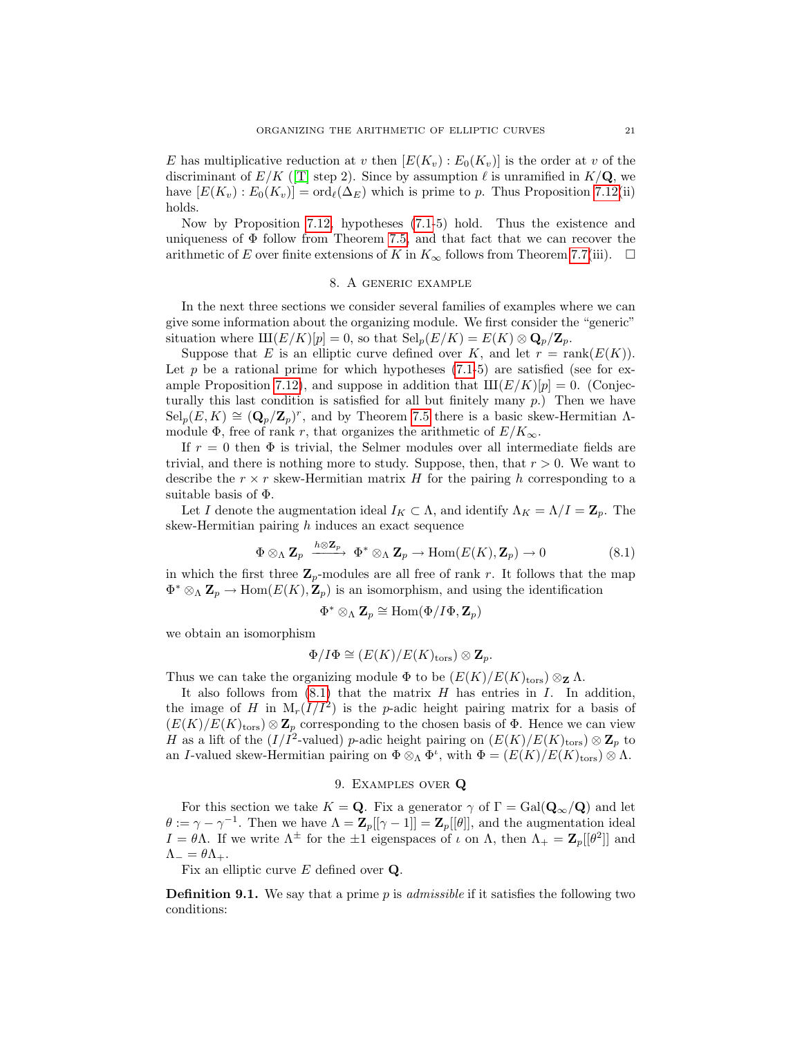E has multiplicative reduction at v then  $[E(K_v): E_0(K_v)]$  is the order at v of the discriminant of  $E/K$  ([\[T\]](#page-32-13) step 2). Since by assumption  $\ell$  is unramified in  $K/Q$ , we have  $[E(K_v): E_0(K_v)] = \text{ord}_{\ell}(\Delta_E)$  which is prime to p. Thus Proposition [7.12\(](#page-19-1)ii) holds.

Now by Proposition [7.12,](#page-19-1) hypotheses [\(7.1-](#page-15-2)5) hold. Thus the existence and uniqueness of  $\Phi$  follow from Theorem [7.5,](#page-16-0) and that fact that we can recover the arithmetic of E over finite extensions of K in  $K_{\infty}$  follows from Theorem [7.7\(](#page-16-1)iii).  $\square$ 

### 8. A generic example

<span id="page-20-2"></span>In the next three sections we consider several families of examples where we can give some information about the organizing module. We first consider the "generic" situation where  $\text{III}(E/K)[p] = 0$ , so that  $\text{Sel}_p(E/K) = E(K) \otimes \mathbf{Q}_p/\mathbf{Z}_p$ .

Suppose that E is an elliptic curve defined over K, and let  $r = \text{rank}(E(K))$ . Let p be a rational prime for which hypotheses  $(7.1-5)$  are satisfied (see for ex-ample Proposition [7.12\)](#page-19-1), and suppose in addition that  $III(E/K)[p] = 0$ . (Conjecturally this last condition is satisfied for all but finitely many  $p$ .) Then we have  $\text{Sel}_p(E, K) \cong (\mathbf{Q}_p/\mathbf{Z}_p)^r$ , and by Theorem [7.5](#page-16-0) there is a basic skew-Hermitian  $\Lambda$ module  $\Phi$ , free of rank r, that organizes the arithmetic of  $E/K_{\infty}$ .

If  $r = 0$  then  $\Phi$  is trivial, the Selmer modules over all intermediate fields are trivial, and there is nothing more to study. Suppose, then, that  $r > 0$ . We want to describe the  $r \times r$  skew-Hermitian matrix H for the pairing h corresponding to a suitable basis of Φ.

Let I denote the augmentation ideal  $I_K \subset \Lambda$ , and identify  $\Lambda_K = \Lambda/I = \mathbb{Z}_p$ . The skew-Hermitian pairing  $h$  induces an exact sequence

<span id="page-20-1"></span>
$$
\Phi \otimes_{\Lambda} \mathbf{Z}_{p} \xrightarrow{h \otimes \mathbf{Z}_{p}} \Phi^{*} \otimes_{\Lambda} \mathbf{Z}_{p} \to \text{Hom}(E(K), \mathbf{Z}_{p}) \to 0 \tag{8.1}
$$

in which the first three  $\mathbb{Z}_p$ -modules are all free of rank r. It follows that the map  $\Phi^* \otimes_{\Lambda} \mathbf{Z}_p \to \text{Hom}(E(K), \mathbf{Z}_p)$  is an isomorphism, and using the identification

$$
\Phi^* \otimes_{\Lambda} \mathbf{Z}_p \cong \text{Hom}(\Phi/I\Phi, \mathbf{Z}_p)
$$

we obtain an isomorphism

$$
\Phi/I\Phi \cong (E(K)/E(K)_{\text{tors}}) \otimes \mathbf{Z}_p.
$$

Thus we can take the organizing module  $\Phi$  to be  $(E(K)/E(K)_{tors}) \otimes_{\mathbf{Z}} \Lambda$ .

It also follows from  $(8.1)$  that the matrix H has entries in I. In addition, the image of H in  $M_r(I/I^2)$  is the p-adic height pairing matrix for a basis of  $(E(K)/E(K)<sub>tors</sub>) \otimes \mathbb{Z}_p$  corresponding to the chosen basis of  $\Phi$ . Hence we can view H as a lift of the  $(I/I^2$ -valued) p-adic height pairing on  $(E(K)/E(K)_{\text{tors}}) \otimes \mathbb{Z}_p$  to an I-valued skew-Hermitian pairing on  $\Phi \otimes_{\Lambda} \Phi^{\iota}$ , with  $\Phi = (E(K)/E(K)_{\text{tors}}) \otimes \Lambda$ .

## 9. Examples over Q

<span id="page-20-0"></span>For this section we take  $K = \mathbf{Q}$ . Fix a generator  $\gamma$  of  $\Gamma = \text{Gal}(\mathbf{Q}_{\infty}/\mathbf{Q})$  and let  $\theta := \gamma - \gamma^{-1}$ . Then we have  $\Lambda = \mathbf{Z}_p[[\gamma - 1]] = \mathbf{Z}_p[[\theta]],$  and the augmentation ideal  $I = \theta \Lambda$ . If we write  $\Lambda^{\pm}$  for the  $\pm 1$  eigenspaces of  $\iota$  on  $\Lambda$ , then  $\Lambda_{+} = \mathbb{Z}_{p}[[\theta^{2}]]$  and  $\Lambda_- = \theta \Lambda_+.$ 

Fix an elliptic curve E defined over Q.

**Definition 9.1.** We say that a prime p is *admissible* if it satisfies the following two conditions: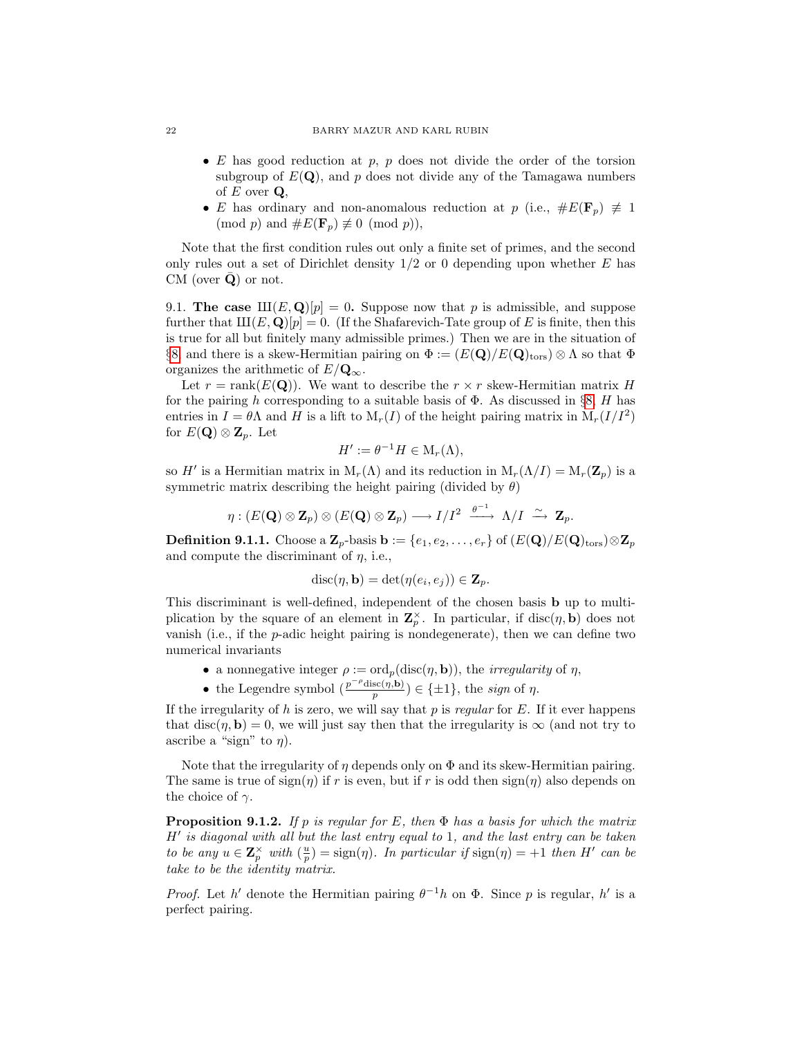#### 22 BARRY MAZUR AND KARL RUBIN

- E has good reduction at  $p, p$  does not divide the order of the torsion subgroup of  $E(Q)$ , and p does not divide any of the Tamagawa numbers of  $E$  over  $Q$ ,
- E has ordinary and non-anomalous reduction at p (i.e.,  $\#E(\mathbf{F}_p) \neq 1$  $(\text{mod } p)$  and  $\#E(\mathbf{F}_p) \not\equiv 0 \pmod{p}$ ,

Note that the first condition rules out only a finite set of primes, and the second only rules out a set of Dirichlet density  $1/2$  or 0 depending upon whether E has CM (over  $\bar{Q}$ ) or not.

<span id="page-21-1"></span>9.1. The case  $\text{III}(E, \textbf{Q})[p] = 0$ . Suppose now that p is admissible, and suppose further that  $III(E, Q)[p] = 0$ . (If the Shafarevich-Tate group of E is finite, then this is true for all but finitely many admissible primes.) Then we are in the situation of §[8,](#page-20-2) and there is a skew-Hermitian pairing on  $\Phi := (E(\mathbf{Q})/E(\mathbf{Q})_{\text{tors}}) \otimes \Lambda$  so that  $\Phi$ organizes the arithmetic of  $E/\mathbf{Q}_{\infty}$ .

Let  $r = \text{rank}(E(\mathbf{Q}))$ . We want to describe the  $r \times r$  skew-Hermitian matrix H for the pairing h corresponding to a suitable basis of  $\Phi$ . As discussed in §[8,](#page-20-2) H has entries in  $I = \theta \Lambda$  and H is a lift to  $M_r(I)$  of the height pairing matrix in  $M_r(I/I^2)$ for  $E(\mathbf{Q}) \otimes \mathbf{Z}_p$ . Let

$$
H' := \theta^{-1} H \in M_r(\Lambda),
$$

so H' is a Hermitian matrix in  $M_r(\Lambda)$  and its reduction in  $M_r(\Lambda/I) = M_r(\mathbf{Z}_p)$  is a symmetric matrix describing the height pairing (divided by  $\theta$ )

$$
\eta: (E(\mathbf{Q}) \otimes \mathbf{Z}_p) \otimes (E(\mathbf{Q}) \otimes \mathbf{Z}_p) \longrightarrow I/I^2 \xrightarrow{\theta^{-1}} \Lambda/I \xrightarrow{\sim} \mathbf{Z}_p.
$$

<span id="page-21-2"></span>**Definition 9.1.1.** Choose a  $\mathbf{Z}_p$ -basis  $\mathbf{b} := \{e_1, e_2, \ldots, e_r\}$  of  $(E(\mathbf{Q})/E(\mathbf{Q})_{\text{tors}}) \otimes \mathbf{Z}_p$ and compute the discriminant of  $\eta$ , i.e.,

$$
\operatorname{disc}(\eta, \mathbf{b}) = \det(\eta(e_i, e_j)) \in \mathbf{Z}_p.
$$

This discriminant is well-defined, independent of the chosen basis b up to multiplication by the square of an element in  $\mathbf{Z}_p^{\times}$ . In particular, if disc $(\eta, \mathbf{b})$  does not vanish (i.e., if the p-adic height pairing is nondegenerate), then we can define two numerical invariants

- a nonnegative integer  $\rho := \text{ord}_p(\text{disc}(\eta, \mathbf{b}))$ , the *irregularity* of  $\eta$ ,
- the Legendre symbol  $\left(\frac{p^{-\rho}\text{disc}(\eta,\mathbf{b})}{n}\right)$  $\frac{\mathrm{sc}(\eta,\mathbf{b})}{p}) \in {\{\pm 1\}}$ , the sign of  $\eta$ .

If the irregularity of  $h$  is zero, we will say that  $p$  is regular for  $E$ . If it ever happens that disc( $\eta$ , b) = 0, we will just say then that the irregularity is  $\infty$  (and not try to ascribe a "sign" to  $\eta$ ).

Note that the irregularity of  $\eta$  depends only on  $\Phi$  and its skew-Hermitian pairing. The same is true of  $sign(\eta)$  if r is even, but if r is odd then  $sign(\eta)$  also depends on the choice of  $\gamma$ .

<span id="page-21-0"></span>**Proposition 9.1.2.** If p is regular for E, then  $\Phi$  has a basis for which the matrix  $H'$  is diagonal with all but the last entry equal to 1, and the last entry can be taken to be any  $u \in \mathbb{Z}_p^{\times}$  with  $\left(\frac{u}{p}\right) = \text{sign}(\eta)$ . In particular if  $\text{sign}(\eta) = +1$  then H' can be take to be the identity matrix.

*Proof.* Let h' denote the Hermitian pairing  $\theta^{-1}h$  on  $\Phi$ . Since p is regular, h' is a perfect pairing.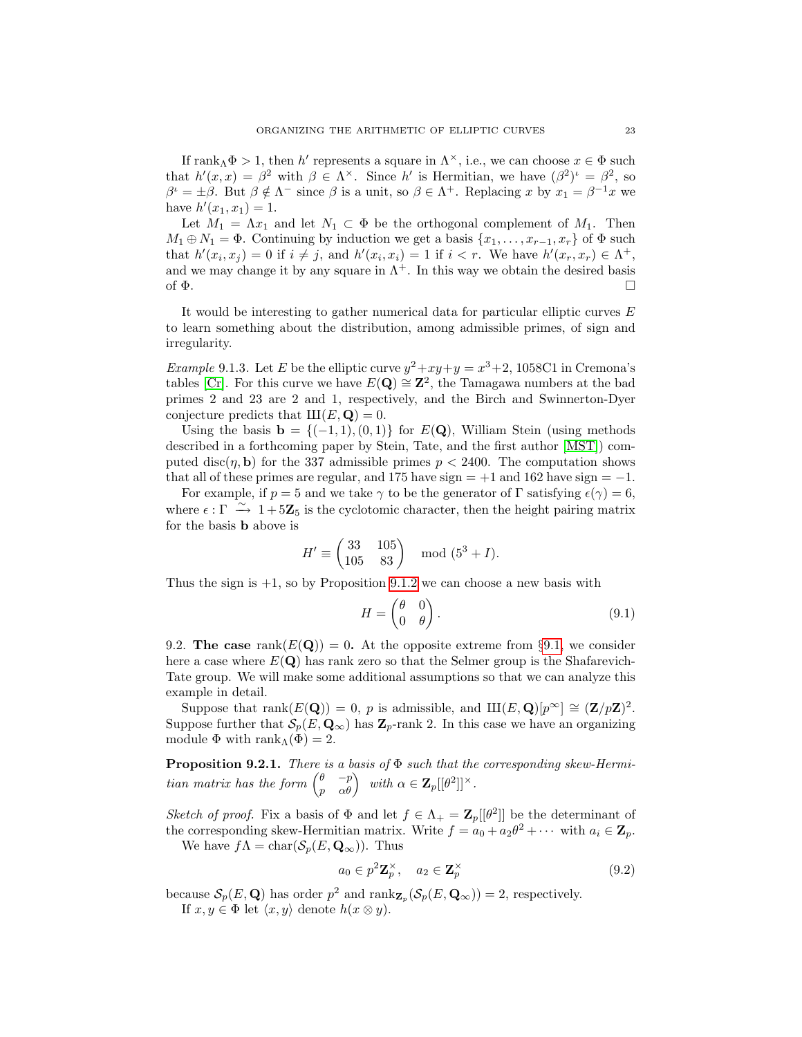If rank<sub>Λ</sub> $\Phi > 1$ , then h' represents a square in  $\Lambda^{\times}$ , i.e., we can choose  $x \in \Phi$  such that  $h'(x,x) = \beta^2$  with  $\beta \in \Lambda^\times$ . Since h' is Hermitian, we have  $(\beta^2)^t = \beta^2$ , so  $\beta^{\iota} = \pm \beta$ . But  $\beta \notin \Lambda^-$  since  $\beta$  is a unit, so  $\beta \in \Lambda^+$ . Replacing x by  $x_1 = \beta^{-1}x$  we have  $h'(x_1, x_1) = 1$ .

Let  $M_1 = \Lambda x_1$  and let  $N_1 \subset \Phi$  be the orthogonal complement of  $M_1$ . Then  $M_1 \oplus N_1 = \Phi$ . Continuing by induction we get a basis  $\{x_1, \ldots, x_{r-1}, x_r\}$  of  $\Phi$  such that  $h'(x_i, x_j) = 0$  if  $i \neq j$ , and  $h'(x_i, x_i) = 1$  if  $i < r$ . We have  $h'(x_r, x_r) \in \Lambda^+$ , and we may change it by any square in  $\Lambda^+$ . In this way we obtain the desired basis of  $\Phi$ .

It would be interesting to gather numerical data for particular elliptic curves  $E$ to learn something about the distribution, among admissible primes, of sign and irregularity.

<span id="page-22-3"></span>*Example* 9.1.3. Let E be the elliptic curve  $y^2 + xy + y = x^3 + 2$ , 1058C1 in Cremona's tables [\[Cr\]](#page-31-6). For this curve we have  $E(\mathbf{Q}) \cong \mathbf{Z}^2$ , the Tamagawa numbers at the bad primes 2 and 23 are 2 and 1, respectively, and the Birch and Swinnerton-Dyer conjecture predicts that  $III(E, Q) = 0$ .

Using the basis  $\mathbf{b} = \{(-1, 1), (0, 1)\}\$ for  $E(\mathbf{Q})$ , William Stein (using methods described in a forthcoming paper by Stein, Tate, and the first author [\[MST\]](#page-32-14)) computed disc( $\eta$ , b) for the 337 admissible primes  $p < 2400$ . The computation shows that all of these primes are regular, and 175 have sign  $= +1$  and 162 have sign  $= -1$ .

For example, if  $p = 5$  and we take  $\gamma$  to be the generator of  $\Gamma$  satisfying  $\epsilon(\gamma) = 6$ , where  $\epsilon : \Gamma \stackrel{\sim}{\rightarrow} 1+5\mathbb{Z}_5$  is the cyclotomic character, then the height pairing matrix for the basis b above is

$$
H' \equiv \begin{pmatrix} 33 & 105 \\ 105 & 83 \end{pmatrix} \mod (5^3 + I).
$$

Thus the sign is  $+1$ , so by Proposition [9.1.2](#page-21-0) we can choose a new basis with

<span id="page-22-4"></span>
$$
H = \begin{pmatrix} \theta & 0 \\ 0 & \theta \end{pmatrix}.
$$
 (9.1)

<span id="page-22-1"></span>9.2. The case rank $(E(Q)) = 0$ . At the opposite extreme from §[9.1,](#page-21-1) we consider here a case where  $E(Q)$  has rank zero so that the Selmer group is the Shafarevich-Tate group. We will make some additional assumptions so that we can analyze this example in detail.

Suppose that rank $(E(\mathbf{Q})) = 0$ , p is admissible, and  $\text{III}(E,\mathbf{Q})[p^{\infty}] \cong (\mathbf{Z}/p\mathbf{Z})^2$ . Suppose further that  $\mathcal{S}_p(E, \mathbf{Q}_{\infty})$  has  $\mathbf{Z}_p$ -rank 2. In this case we have an organizing module  $\Phi$  with rank $\Lambda(\Phi) = 2$ .

<span id="page-22-2"></span>**Proposition 9.2.1.** There is a basis of  $\Phi$  such that the corresponding skew-Hermitian matrix has the form  $\begin{pmatrix} \theta & -p \\ p & \alpha \theta \end{pmatrix}$  with  $\alpha \in \mathbf{Z}_p[[\theta^2]]^{\times}$ .

Sketch of proof. Fix a basis of  $\Phi$  and let  $f \in \Lambda_+ = \mathbb{Z}_p[[\theta^2]]$  be the determinant of the corresponding skew-Hermitian matrix. Write  $f = a_0 + a_2\theta^2 + \cdots$  with  $a_i \in \mathbf{Z}_p$ .

We have  $f\Lambda = \text{char}(\mathcal{S}_p(E, \mathbf{Q}_\infty))$ . Thus

<span id="page-22-0"></span>
$$
a_0 \in p^2 \mathbf{Z}_p^{\times}, \quad a_2 \in \mathbf{Z}_p^{\times} \tag{9.2}
$$

because  $\mathcal{S}_p(E, \mathbf{Q})$  has order  $p^2$  and  $\text{rank}_{\mathbf{Z}_p}(\mathcal{S}_p(E, \mathbf{Q}_{\infty})) = 2$ , respectively. If  $x, y \in \Phi$  let  $\langle x, y \rangle$  denote  $h(x \otimes y)$ .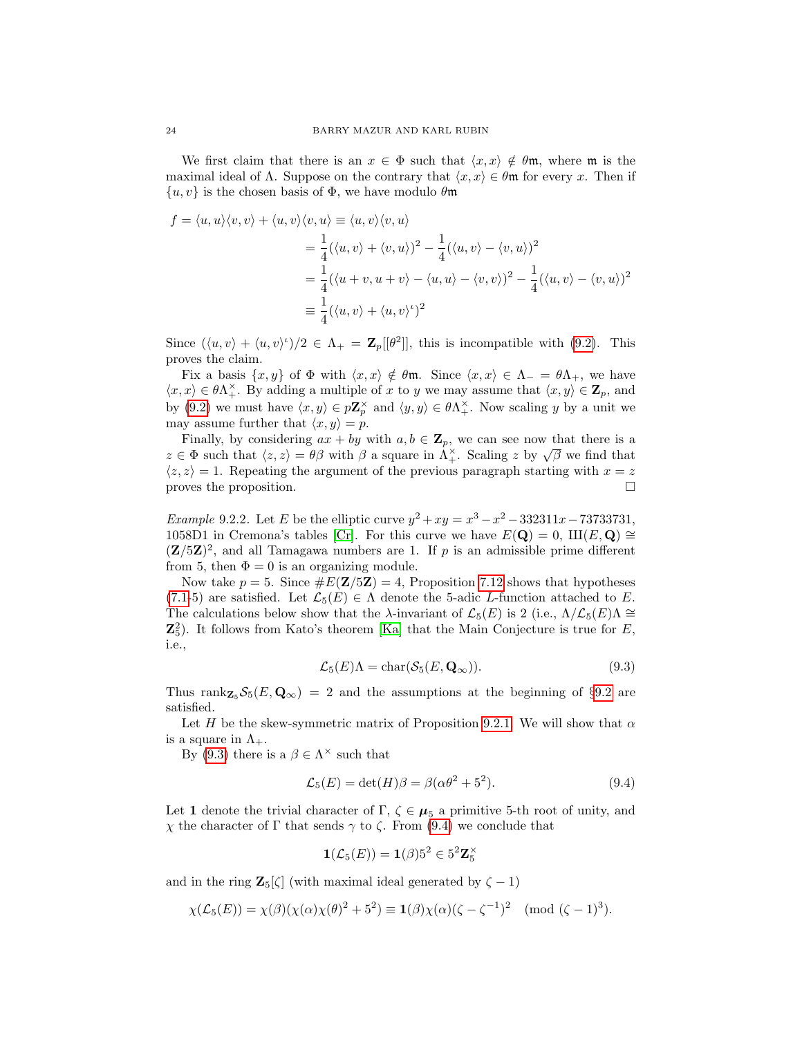We first claim that there is an  $x \in \Phi$  such that  $\langle x, x \rangle \notin \theta \mathfrak{m}$ , where  $\mathfrak{m}$  is the maximal ideal of  $\Lambda$ . Suppose on the contrary that  $\langle x, x \rangle \in \theta \mathfrak{m}$  for every x. Then if  $\{u, v\}$  is the chosen basis of  $\Phi$ , we have modulo  $\theta$ m

$$
f = \langle u, u \rangle \langle v, v \rangle + \langle u, v \rangle \langle v, u \rangle \equiv \langle u, v \rangle \langle v, u \rangle
$$
  
=  $\frac{1}{4} (\langle u, v \rangle + \langle v, u \rangle)^2 - \frac{1}{4} (\langle u, v \rangle - \langle v, u \rangle)^2$   
=  $\frac{1}{4} (\langle u + v, u + v \rangle - \langle u, u \rangle - \langle v, v \rangle)^2 - \frac{1}{4} (\langle u, v \rangle - \langle v, u \rangle)^2$   
=  $\frac{1}{4} (\langle u, v \rangle + \langle u, v \rangle^2)^2$ 

Since  $(\langle u, v \rangle + \langle u, v \rangle) / 2 \in \Lambda_+ = \mathbb{Z}_p[[\theta^2]],$  this is incompatible with [\(9.2\)](#page-22-0). This proves the claim.

Fix a basis  $\{x, y\}$  of  $\Phi$  with  $\langle x, x \rangle \notin \theta \mathfrak{m}$ . Since  $\langle x, x \rangle \in \Lambda_- = \theta \Lambda_+$ , we have  $\langle x, x \rangle \in \theta \Lambda^{\times}_+$ . By adding a multiple of x to y we may assume that  $\langle x, y \rangle \in \mathbb{Z}_p$ , and by [\(9.2\)](#page-22-0) we must have  $\langle x, y \rangle \in p\mathbb{Z}_p^{\times}$  and  $\langle y, y \rangle \in \theta \Lambda_+^{\times}$ . Now scaling y by a unit we may assume further that  $\langle x, y \rangle = p$ .

Finally, by considering  $ax + by$  with  $a, b \in \mathbb{Z}_p$ , we can see now that there is a Finany, by considering  $ax + by$  with  $a, b \in \mathbb{Z}_p$ , we can see now that there is a  $z \in \Phi$  such that  $\langle z, z \rangle = \theta \beta$  with  $\beta$  a square in  $\Lambda^{\times}_+$ . Scaling z by  $\sqrt{\beta}$  we find that  $\langle z, z \rangle = 1$ . Repeating the argument of the previous paragraph starting with  $x = z$ proves the proposition.

<span id="page-23-2"></span>*Example* 9.2.2. Let *E* be the elliptic curve  $y^2 + xy = x^3 - x^2 - 332311x - 73733731$ , 1058D1 in Cremona's tables [\[Cr\]](#page-31-6). For this curve we have  $E(Q) = 0$ ,  $III(E, Q) \cong$  $(Z/5Z)^2$ , and all Tamagawa numbers are 1. If p is an admissible prime different from 5, then  $\Phi = 0$  is an organizing module.

Now take  $p = 5$ . Since  $\#E(\mathbf{Z}/5\mathbf{Z}) = 4$ , Proposition [7.12](#page-19-1) shows that hypotheses  $(7.1-5)$  $(7.1-5)$  are satisfied. Let  $\mathcal{L}_5(E) \in \Lambda$  denote the 5-adic L-function attached to E. The calculations below show that the  $\lambda$ -invariant of  $\mathcal{L}_5(E)$  is 2 (i.e.,  $\Lambda/\mathcal{L}_5(E)\Lambda \cong$  $\mathbb{Z}_5^2$ ). It follows from Kato's theorem [\[Ka\]](#page-32-4) that the Main Conjecture is true for E, i.e.,

<span id="page-23-0"></span>
$$
\mathcal{L}_5(E)\Lambda = \text{char}(\mathcal{S}_5(E, \mathbf{Q}_{\infty})).\tag{9.3}
$$

Thus rank $Z_5 \mathcal{S}_5(E, \mathbf{Q}_\infty) = 2$  and the assumptions at the beginning of §[9.2](#page-22-1) are satisfied.

Let H be the skew-symmetric matrix of Proposition [9.2.1.](#page-22-2) We will show that  $\alpha$ is a square in  $\Lambda_{+}$ .

By [\(9.3\)](#page-23-0) there is a  $\beta \in \Lambda^{\times}$  such that

<span id="page-23-1"></span>
$$
\mathcal{L}_5(E) = \det(H)\beta = \beta(\alpha\theta^2 + 5^2). \tag{9.4}
$$

Let 1 denote the trivial character of  $\Gamma$ ,  $\zeta \in \mu_5$  a primitive 5-th root of unity, and  $χ$  the character of Γ that sends  $γ$  to  $ζ$ . From [\(9.4\)](#page-23-1) we conclude that

$$
\mathbf{1}(\mathcal{L}_5(E)) = \mathbf{1}(\beta)5^2 \in 5^2 \mathbf{Z}_5^{\times}
$$

and in the ring  $\mathbf{Z}_5[\zeta]$  (with maximal ideal generated by  $\zeta - 1$ )

$$
\chi(\mathcal{L}_5(E)) = \chi(\beta)(\chi(\alpha)\chi(\theta)^2 + 5^2) \equiv \mathbf{1}(\beta)\chi(\alpha)(\zeta - \zeta^{-1})^2 \pmod{(\zeta - 1)^3}.
$$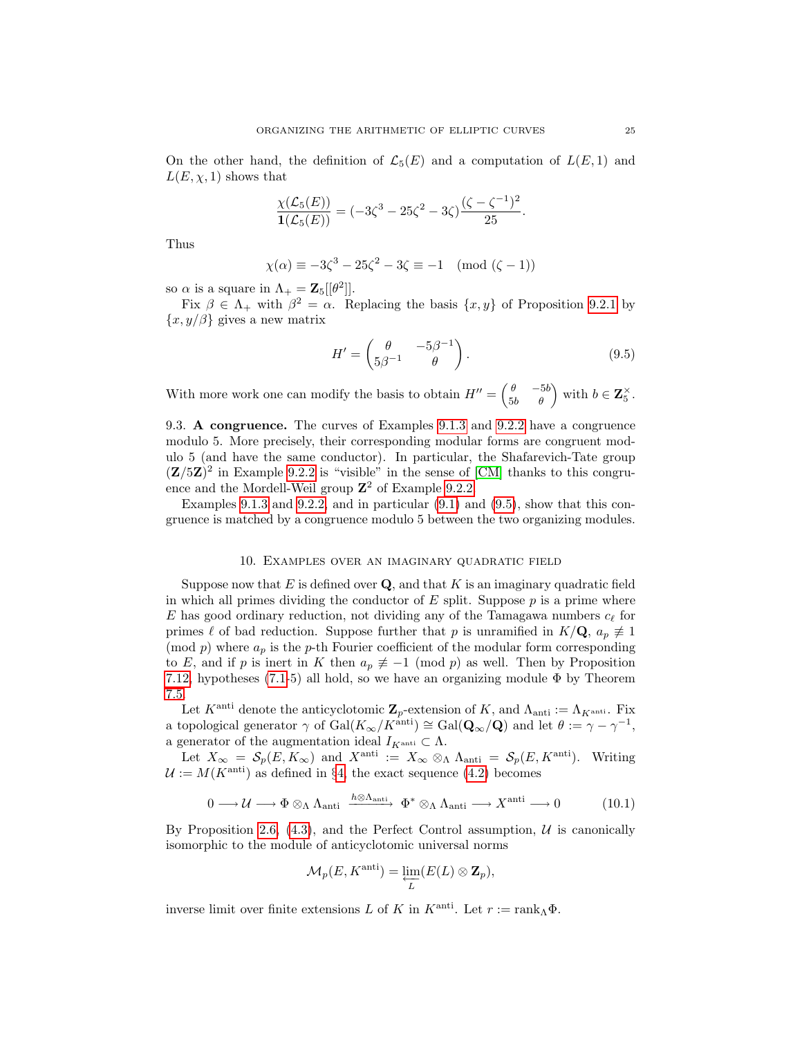On the other hand, the definition of  $\mathcal{L}_5(E)$  and a computation of  $L(E, 1)$  and  $L(E, \chi, 1)$  shows that

$$
\frac{\chi(\mathcal{L}_5(E))}{\mathbf{1}(\mathcal{L}_5(E))} = (-3\zeta^3 - 25\zeta^2 - 3\zeta)\frac{(\zeta - \zeta^{-1})^2}{25}.
$$

Thus

$$
\chi(\alpha) \equiv -3\zeta^3 - 25\zeta^2 - 3\zeta \equiv -1 \pmod{(\zeta - 1)}
$$

so  $\alpha$  is a square in  $\Lambda_+ = \mathbf{Z}_5[[\theta^2]].$ 

Fix  $\beta \in \Lambda_+$  with  $\beta^2 = \alpha$ . Replacing the basis  $\{x, y\}$  of Proposition [9.2.1](#page-22-2) by  ${x, y/\beta}$  gives a new matrix

<span id="page-24-1"></span>
$$
H' = \begin{pmatrix} \theta & -5\beta^{-1} \\ 5\beta^{-1} & \theta \end{pmatrix}.
$$
 (9.5)

With more work one can modify the basis to obtain  $H'' = \begin{pmatrix} \theta & -5b \\ 5b & \theta \end{pmatrix}$  with  $b \in \mathbb{Z}_5^{\times}$ .

9.3. A congruence. The curves of Examples [9.1.3](#page-22-3) and [9.2.2](#page-23-2) have a congruence modulo 5. More precisely, their corresponding modular forms are congruent modulo 5 (and have the same conductor). In particular, the Shafarevich-Tate group  $(Z/5Z)^2$  in Example [9.2.2](#page-23-2) is "visible" in the sense of [\[CM\]](#page-31-10) thanks to this congruence and the Mordell-Weil group  $\mathbb{Z}^2$  of Example [9.2.2.](#page-23-2)

Examples [9.1.3](#page-22-3) and [9.2.2,](#page-23-2) and in particular  $(9.1)$  and  $(9.5)$ , show that this congruence is matched by a congruence modulo 5 between the two organizing modules.

### 10. Examples over an imaginary quadratic field

<span id="page-24-0"></span>Suppose now that E is defined over  $\mathbf{Q}$ , and that K is an imaginary quadratic field in which all primes dividing the conductor of  $E$  split. Suppose  $p$  is a prime where E has good ordinary reduction, not dividing any of the Tamagawa numbers  $c_{\ell}$  for primes  $\ell$  of bad reduction. Suppose further that p is unramified in  $K/\mathbf{Q}$ ,  $a_p \neq 1$ (mod  $p$ ) where  $a_p$  is the p-th Fourier coefficient of the modular form corresponding to E, and if p is inert in K then  $a_p \neq -1 \pmod{p}$  as well. Then by Proposition [7.12,](#page-19-1) hypotheses [\(7.1-](#page-15-2)5) all hold, so we have an organizing module  $\Phi$  by Theorem [7.5.](#page-16-0)

Let  $K^{\text{anti}}$  denote the anticyclotomic  $\mathbf{Z}_p$ -extension of  $K$ , and  $\Lambda_{\text{anti}} := \Lambda_{K^{\text{anti}}}$ . Fix a topological generator  $\gamma$  of  $Gal(K_{\infty}/K^{\text{anti}}) \cong Gal(\mathbf{Q}_{\infty}/\mathbf{Q})$  and let  $\theta := \gamma - \gamma^{-1}$ , a generator of the augmentation ideal  $I_{K^{\operatorname{anti}}}\subset \Lambda.$ 

Let  $X_{\infty} = \mathcal{S}_p(E, K_{\infty})$  and  $X^{\text{anti}} := X_{\infty} \otimes_{\Lambda} \Lambda_{\text{anti}} = \mathcal{S}_p(E, K^{\text{anti}})$ . Writing  $\mathcal{U} := M(K^{\text{anti}})$  as defined in §[4,](#page-6-3) the exact sequence [\(4.2\)](#page-6-1) becomes

<span id="page-24-2"></span>
$$
0 \longrightarrow \mathcal{U} \longrightarrow \Phi \otimes_{\Lambda} \Lambda_{\text{anti}} \xrightarrow{h \otimes \Lambda_{\text{anti}}} \Phi^* \otimes_{\Lambda} \Lambda_{\text{anti}} \longrightarrow X^{\text{anti}} \longrightarrow 0 \tag{10.1}
$$

By Proposition [2.6,](#page-5-2)  $(4.3)$ , and the Perfect Control assumption, U is canonically isomorphic to the module of anticyclotomic universal norms

$$
\mathcal{M}_p(E, K^{\text{anti}}) = \varprojlim_{L} (E(L) \otimes \mathbf{Z}_p),
$$

inverse limit over finite extensions L of K in  $K^{\text{anti}}$ . Let  $r := \text{rank}_{\Lambda} \Phi$ .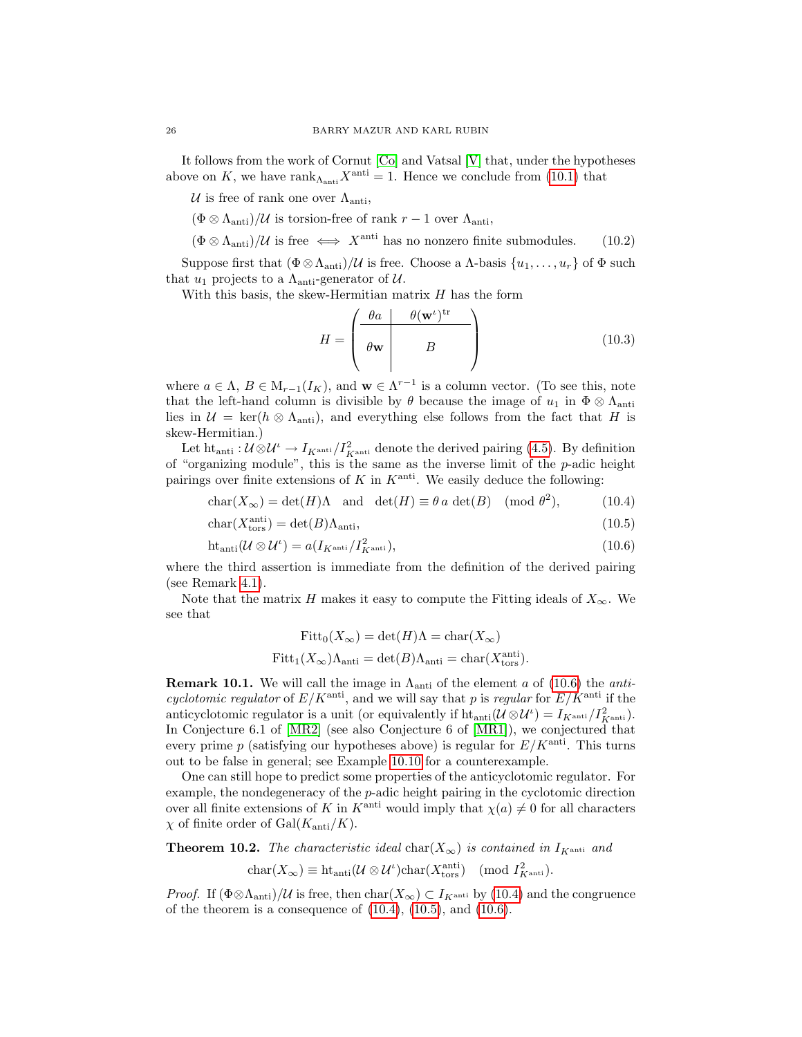It follows from the work of Cornut [\[Co\]](#page-31-2) and Vatsal [\[V\]](#page-32-9) that, under the hypotheses above on K, we have  $\text{rank}_{\Lambda_{\text{anti}}}X^{\text{anti}} = 1$ . Hence we conclude from [\(10.1\)](#page-24-2) that

U is free of rank one over  $\Lambda_{\text{anti}}$ ,

 $(\Phi \otimes \Lambda_{\text{anti}})/\mathcal{U}$  is torsion-free of rank  $r-1$  over  $\Lambda_{\text{anti}}$ ,

 $(\Phi \otimes \Lambda_{\text{anti}})/\mathcal{U}$  is free  $\iff X^{\text{anti}}$  has no nonzero finite submodules. (10.2)

Suppose first that  $(\Phi \otimes \Lambda_{\text{anti}})/\mathcal{U}$  is free. Choose a  $\Lambda$ -basis  $\{u_1, \ldots, u_r\}$  of  $\Phi$  such that  $u_1$  projects to a  $\Lambda_{\text{anti-generator}}$  of U.

With this basis, the skew-Hermitian matrix  $H$  has the form

<span id="page-25-5"></span><span id="page-25-4"></span><span id="page-25-2"></span><span id="page-25-1"></span>
$$
H = \begin{pmatrix} \theta a & \theta (\mathbf{w}^t)^{\text{tr}} \\ \theta \mathbf{w} & B \end{pmatrix} \tag{10.3}
$$

where  $a \in \Lambda$ ,  $B \in M_{r-1}(I_K)$ , and  $\mathbf{w} \in \Lambda^{r-1}$  is a column vector. (To see this, note that the left-hand column is divisible by  $\theta$  because the image of  $u_1$  in  $\Phi \otimes \Lambda_{\text{anti}}$ lies in  $\mathcal{U} = \text{ker}(h \otimes \Lambda_{\text{anti}})$ , and everything else follows from the fact that H is skew-Hermitian.)

Let  $\text{ht}_{\text{anti}}: \mathcal{U} \otimes \mathcal{U} \to I_{K^{\text{anti}}}/I_{K^{\text{anti}}}^2$  denote the derived pairing [\(4.5\)](#page-7-1). By definition of "organizing module", this is the same as the inverse limit of the p-adic height pairings over finite extensions of K in  $K^{\text{anti}}$ . We easily deduce the following:

$$
char(X_{\infty}) = det(H)\Lambda \text{ and } det(H) \equiv \theta a \det(B) \pmod{\theta^2}, \tag{10.4}
$$

$$
char(Xtorsanti) = det(B) \Lambdaanti,
$$
\n(10.5)

$$
ht_{\text{anti}}(\mathcal{U}\otimes\mathcal{U}^{\iota})=a(I_{K^{\text{anti}}}/I_{K^{\text{anti}}}^{2}),
$$
\n(10.6)

where the third assertion is immediate from the definition of the derived pairing (see Remark [4.1\)](#page-7-4).

Note that the matrix H makes it easy to compute the Fitting ideals of  $X_{\infty}$ . We see that

<span id="page-25-0"></span>
$$
Fitt_0(X_{\infty}) = \det(H)\Lambda = \text{char}(X_{\infty})
$$
  

$$
Fitt_1(X_{\infty})\Lambda_{\text{anti}} = \det(B)\Lambda_{\text{anti}} = \text{char}(X_{\text{tors}}^{\text{anti}}).
$$

<span id="page-25-6"></span>**Remark 10.1.** We will call the image in  $\Lambda$ <sub>anti</sub> of the element a of [\(10.6\)](#page-25-0) the anticyclotomic regulator of  $E/K^{\text{anti}}$ , and we will say that p is regular for  $E/K^{\text{anti}}$  if the anticyclotomic regulator is a unit (or equivalently if  $\text{ht}_{\text{anti}}(\mathcal{U}\otimes\mathcal{U}^{\iota})=I_{K^{\text{anti}}}/I_{K^{\text{anti}}}^2$ ). In Conjecture 6.1 of [\[MR2\]](#page-32-1) (see also Conjecture 6 of [\[MR1\]](#page-32-0)), we conjectured that every prime p (satisfying our hypotheses above) is regular for  $E/K^{\text{anti}}$ . This turns out to be false in general; see Example [10.10](#page-27-1) for a counterexample.

One can still hope to predict some properties of the anticyclotomic regulator. For example, the nondegeneracy of the p-adic height pairing in the cyclotomic direction over all finite extensions of K in K<sup>anti</sup> would imply that  $\chi(a) \neq 0$  for all characters  $\chi$  of finite order of Gal( $K_{\text{anti}}/K$ ).

<span id="page-25-3"></span>**Theorem 10.2.** The characteristic ideal char $(X_{\infty})$  is contained in  $I_{K^{\text{anti}}}$  and

$$
char(X_{\infty}) \equiv ht_{anti}(\mathcal{U} \otimes \mathcal{U}^{\iota})char(X_{tors}^{anti}) \pmod{I_{K^{anti}}^{2}}.
$$

*Proof.* If  $(\Phi \otimes \Lambda_{\text{anti}})/\mathcal{U}$  is free, then  $\text{char}(X_{\infty}) \subset I_{K^{\text{anti}}}$  by [\(10.4\)](#page-25-1) and the congruence of the theorem is a consequence of  $(10.4)$ ,  $(10.5)$ , and  $(10.6)$ .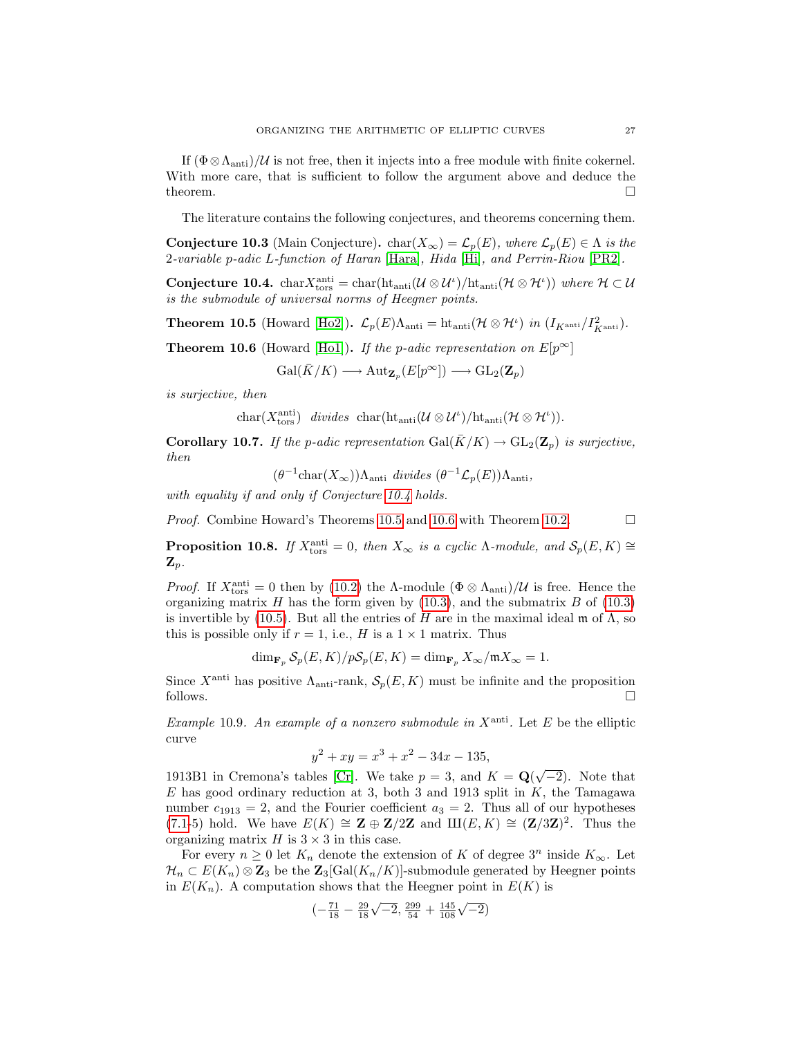If  $(\Phi \otimes \Lambda_{\text{anti}})/\mathcal{U}$  is not free, then it injects into a free module with finite cokernel. With more care, that is sufficient to follow the argument above and deduce the theorem.  $\Box$ 

The literature contains the following conjectures, and theorems concerning them.

**Conjecture 10.3** (Main Conjecture). char $(X_{\infty}) = \mathcal{L}_p(E)$ , where  $\mathcal{L}_p(E) \in \Lambda$  is the 2-variable p-adic L-function of Haran [\[Hara\]](#page-31-11), Hida [\[Hi\]](#page-31-12), and Perrin-Riou [\[PR2\]](#page-32-6).

<span id="page-26-0"></span>Conjecture 10.4. char $X_{\text{tors}}^{\text{anti}} = \text{char}(\text{ht}_{\text{anti}}(\mathcal{U}\otimes\mathcal{U}^{\iota})/\text{ht}_{\text{anti}}(\mathcal{H}\otimes\mathcal{H}^{\iota}))$  where  $\mathcal{H}\subset\mathcal{U}$ is the submodule of universal norms of Heegner points.

<span id="page-26-1"></span>**Theorem 10.5** (Howard [\[Ho2\]](#page-32-3)).  $\mathcal{L}_p(E)\Lambda_{\text{anti}} = \text{ht}_{\text{anti}}(\mathcal{H} \otimes \mathcal{H}^{\iota})$  in  $(I_{K^{\text{anti}}}/I_{K^{\text{anti}}}^2)$ .

<span id="page-26-2"></span>**Theorem 10.6** (Howard [\[Ho1\]](#page-31-5)). If the p-adic representation on  $E[p^{\infty}]$ 

 $Gal(\bar{K}/K) \longrightarrow Aut_{\mathbf{Z}_{p}}(E[p^{\infty}]) \longrightarrow GL_{2}(\mathbf{Z}_{p})$ 

is surjective, then

$$
char(X_{tors}^{anti}) \ \ divides \ \ char(ht_{anti}(\mathcal{U} \otimes \mathcal{U}^{\iota})/ht_{anti}(\mathcal{H} \otimes \mathcal{H}^{\iota})).
$$

**Corollary 10.7.** If the p-adic representation  $Gal(\bar{K}/K) \rightarrow GL_2(\mathbb{Z}_p)$  is surjective, then

 $(\theta^{-1} \text{char}(X_{\infty}))\Lambda_{\text{anti}}$  divides  $(\theta^{-1}\mathcal{L}_p(E))\Lambda_{\text{anti}}$ ,

with equality if and only if Conjecture [10.4](#page-26-0) holds.

*Proof.* Combine Howard's Theorems [10.5](#page-26-1) and [10.6](#page-26-2) with Theorem [10.2.](#page-25-3)  $\Box$ 

<span id="page-26-3"></span>**Proposition 10.8.** If  $X_{\text{tors}}^{\text{anti}} = 0$ , then  $X_{\infty}$  is a cyclic  $\Lambda$ -module, and  $\mathcal{S}_p(E, K) \cong$  $\mathbf{Z}_p$ .

*Proof.* If  $X_{\text{tors}}^{\text{anti}} = 0$  then by [\(10.2\)](#page-25-4) the Λ-module  $(\Phi \otimes \Lambda_{\text{anti}})/\mathcal{U}$  is free. Hence the organizing matrix  $H$  has the form given by [\(10.3\)](#page-25-5), and the submatrix  $B$  of (10.3) is invertible by [\(10.5\)](#page-25-2). But all the entries of H are in the maximal ideal  $\mathfrak{m}$  of  $\Lambda$ , so this is possible only if  $r = 1$ , i.e., H is a  $1 \times 1$  matrix. Thus

$$
\dim_{\mathbf{F}_p} \mathcal{S}_p(E, K) / p \mathcal{S}_p(E, K) = \dim_{\mathbf{F}_p} X_{\infty} / \mathfrak{m} X_{\infty} = 1.
$$

Since  $X^{\text{anti}}$  has positive  $\Lambda_{\text{anti-Tank}}$ ,  $\mathcal{S}_p(E, K)$  must be infinite and the proposition follows.  $\Box$ 

Example 10.9. An example of a nonzero submodule in  $X^{\text{anti}}$ . Let E be the elliptic curve

$$
y^2 + xy = x^3 + x^2 - 34x - 135,
$$

1913B1 in Cremona's tables [\[Cr\]](#page-31-6). We take  $p = 3$ , and  $K = \mathbf{Q}(\sqrt{-2})$ . Note that  $E$  has good ordinary reduction at 3, both 3 and 1913 split in  $K$ , the Tamagawa number  $c_{1913} = 2$ , and the Fourier coefficient  $a_3 = 2$ . Thus all of our hypotheses [\(7.1-](#page-15-2)5) hold. We have  $E(K) \cong \mathbf{Z} \oplus \mathbf{Z}/2\mathbf{Z}$  and  $\amalg(E, K) \cong (\mathbf{Z}/3\mathbf{Z})^2$ . Thus the organizing matrix  $H$  is  $3 \times 3$  in this case.

For every  $n \geq 0$  let  $K_n$  denote the extension of K of degree  $3^n$  inside  $K_{\infty}$ . Let  $\mathcal{H}_n \subset E(K_n) \otimes \mathbf{Z}_3$  be the  $\mathbf{Z}_3[\text{Gal}(K_n/K)]$ -submodule generated by Heegner points in  $E(K_n)$ . A computation shows that the Heegner point in  $E(K)$  is

$$
\left(-\frac{71}{18} - \frac{29}{18}\sqrt{-2}, \frac{299}{54} + \frac{145}{108}\sqrt{-2}\right)
$$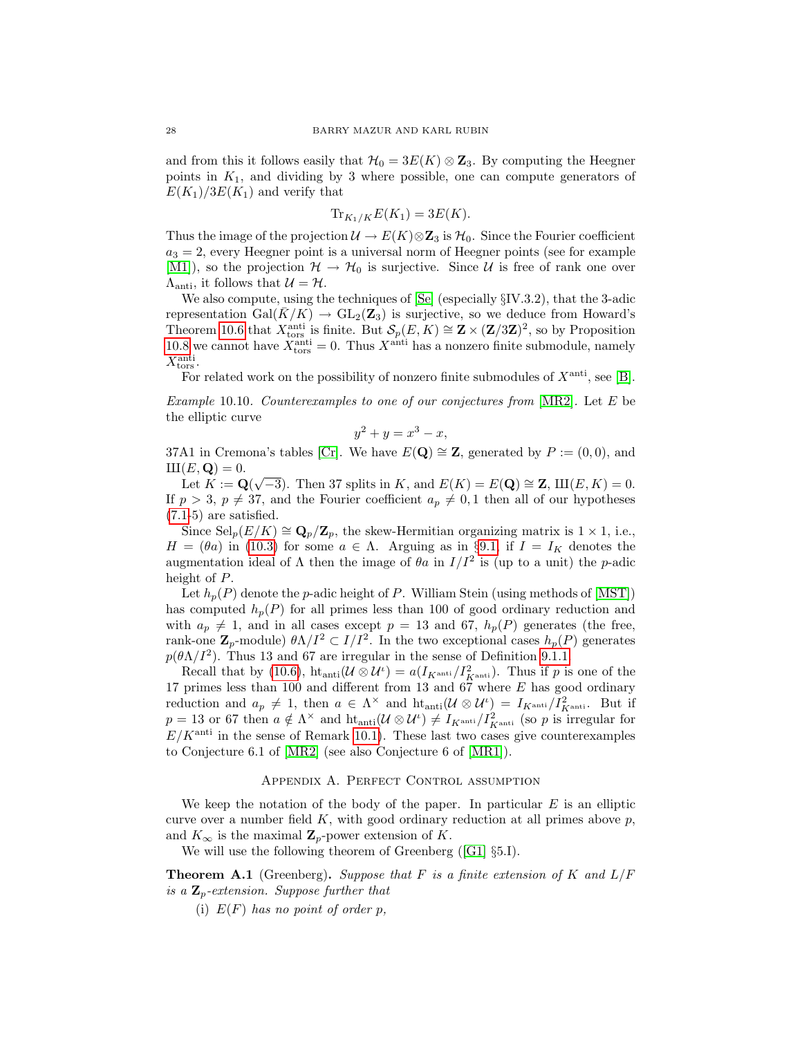and from this it follows easily that  $\mathcal{H}_0 = 3E(K) \otimes \mathbb{Z}_3$ . By computing the Heegner points in  $K_1$ , and dividing by 3 where possible, one can compute generators of  $E(K_1)/3E(K_1)$  and verify that

$$
\operatorname{Tr}_{K_1/K} E(K_1) = 3E(K).
$$

Thus the image of the projection  $\mathcal{U} \to E(K) \otimes \mathbb{Z}_3$  is  $\mathcal{H}_0$ . Since the Fourier coefficient  $a_3 = 2$ , every Heegner point is a universal norm of Heegner points (see for example [\[M1\]](#page-32-15)), so the projection  $\mathcal{H} \to \mathcal{H}_0$  is surjective. Since U is free of rank one over  $\Lambda_{\text{anti}}$ , it follows that  $\mathcal{U} = \mathcal{H}$ .

We also compute, using the techniques of [\[Se\]](#page-32-16) (especially §IV.3.2), that the 3-adic representation Gal( $K/K$ )  $\rightarrow$  GL<sub>2</sub>( $\mathbb{Z}_3$ ) is surjective, so we deduce from Howard's Theorem [10.6](#page-26-2) that  $X_{\text{tors}}^{\text{anti}}$  is finite. But  $\mathcal{S}_p(E,K) \cong \mathbf{Z} \times (\mathbf{Z}/3\mathbf{Z})^2$ , so by Proposition [10.8](#page-26-3) we cannot have  $X_{\text{tors}}^{\text{anti}} = 0$ . Thus  $X^{\text{anti}}$  has a nonzero finite submodule, namely  $X_{\text{tors}}^{\text{anti}}$ .

For related work on the possibility of nonzero finite submodules of  $X^{\text{anti}}$ , see [\[B\]](#page-31-13).

<span id="page-27-1"></span>Example 10.10. Counterexamples to one of our conjectures from [\[MR2\]](#page-32-1). Let E be the elliptic curve

$$
y^2 + y = x^3 - x,
$$

37A1 in Cremona's tables [\[Cr\]](#page-31-6). We have  $E(Q) \cong Z$ , generated by  $P := (0,0)$ , and  $\amalg(E, \mathbf{Q}) = 0.$ 

 $(L, \mathbf{Q}) = 0.$ <br>Let  $K := \mathbf{Q}(\sqrt{-3})$ . Then 37 splits in K, and  $E(K) = E(\mathbf{Q}) \cong \mathbf{Z}$ ,  $\mathbf{III}(E, K) = 0$ . If  $p > 3$ ,  $p \neq 37$ , and the Fourier coefficient  $a_p \neq 0, 1$  then all of our hypotheses [\(7.1-](#page-15-2)5) are satisfied.

Since  $\text{Sel}_p(E/K) \cong \mathbf{Q}_p/\mathbf{Z}_p$ , the skew-Hermitian organizing matrix is  $1 \times 1$ , i.e.,  $H = (\theta a)$  in [\(10.3\)](#page-25-5) for some  $a \in \Lambda$ . Arguing as in §[9.1,](#page-21-1) if  $I = I_K$  denotes the augmentation ideal of  $\Lambda$  then the image of  $\theta a$  in  $I/I^2$  is (up to a unit) the *p*-adic height of P.

Let  $h_p(P)$  denote the p-adic height of P. William Stein (using methods of [\[MST\]](#page-32-14)) has computed  $h_p(P)$  for all primes less than 100 of good ordinary reduction and with  $a_p \neq 1$ , and in all cases except  $p = 13$  and 67,  $h_p(P)$  generates (the free, rank-one  $\mathbb{Z}_p$ -module)  $\theta \Lambda / I^2 \subset I/I^2$ . In the two exceptional cases  $h_p(P)$  generates  $p(\theta \Lambda / I^2)$ . Thus 13 and 67 are irregular in the sense of Definition [9.1.1.](#page-21-2)

Recall that by [\(10.6\)](#page-25-0),  $\text{ht}_{\text{anti}}(\mathcal{U} \otimes \mathcal{U}^{\iota}) = a(I_{K^{\text{anti}}}/I_{K^{\text{anti}}}^2)$ . Thus if p is one of the 17 primes less than 100 and different from 13 and 67 where  $E$  has good ordinary reduction and  $a_p \neq 1$ , then  $a \in \Lambda^\times$  and  $\mathrm{ht}_{\mathrm{anti}}(\mathcal{U} \otimes \mathcal{U}^{\iota}) = I_{K^{\mathrm{anti}}}/I_{K^{\mathrm{anti}}}^2$ . But if  $p = 13$  or 67 then  $a \notin \Lambda^{\times}$  and  $\text{ht}_{\text{anti}}(\mathcal{U} \otimes \mathcal{U}^{\iota}) \neq I_{K^{\text{anti}}}/I_{K^{\text{anti}}}^2$  (so p is irregular for  $E/K<sup>anti</sup>$  in the sense of Remark [10.1\)](#page-25-6). These last two cases give counterexamples to Conjecture 6.1 of [\[MR2\]](#page-32-1) (see also Conjecture 6 of [\[MR1\]](#page-32-0)).

### Appendix A. Perfect Control assumption

<span id="page-27-0"></span>We keep the notation of the body of the paper. In particular  $E$  is an elliptic curve over a number field  $K$ , with good ordinary reduction at all primes above  $p$ , and  $K_{\infty}$  is the maximal  $\mathbf{Z}_p$ -power extension of K.

We will use the following theorem of Greenberg([\[G1\]](#page-31-3) §5.I).

<span id="page-27-2"></span>**Theorem A.1** (Greenberg). Suppose that F is a finite extension of K and  $L/F$ is a  $\mathbf{Z}_p$ -extension. Suppose further that

(i)  $E(F)$  has no point of order p,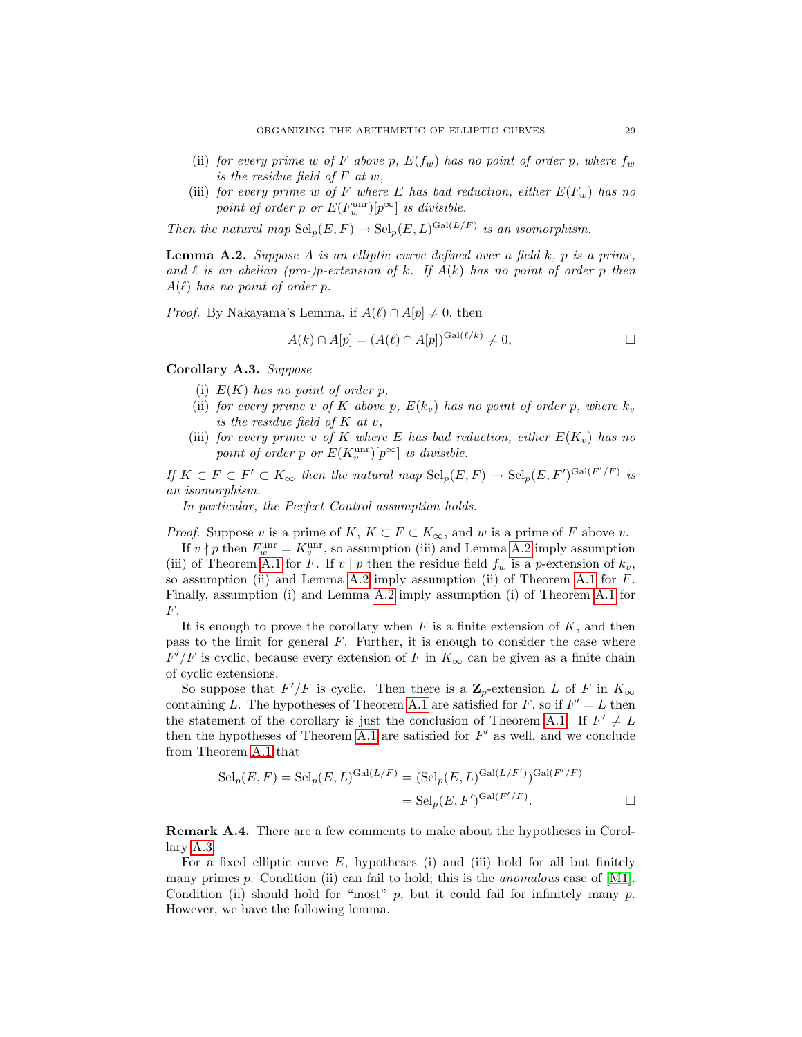- (ii) for every prime w of F above p,  $E(f_w)$  has no point of order p, where  $f_w$ is the residue field of F at w,
- (iii) for every prime w of F where E has bad reduction, either  $E(F_w)$  has no point of order p or  $E(F_w^{\text{unr}})[p^{\infty}]$  is divisible.

Then the natural map  $\text{Sel}_p(E, F) \to \text{Sel}_p(E, L)^{\text{Gal}(L/F)}$  is an isomorphism.

<span id="page-28-1"></span>**Lemma A.2.** Suppose A is an elliptic curve defined over a field  $k$ , p is a prime, and  $\ell$  is an abelian (pro-)p-extension of k. If  $A(k)$  has no point of order p then  $A(\ell)$  has no point of order p.

*Proof.* By Nakayama's Lemma, if  $A(\ell) \cap A[p] \neq 0$ , then

$$
A(k) \cap A[p] = (A(\ell) \cap A[p])^{\text{Gal}(\ell/k)} \neq 0,
$$

<span id="page-28-0"></span>Corollary A.3. Suppose

- (i)  $E(K)$  has no point of order p,
- (ii) for every prime v of K above p,  $E(k_v)$  has no point of order p, where  $k_v$ is the residue field of K at v,
- (iii) for every prime v of K where E has bad reduction, either  $E(K_v)$  has no point of order p or  $E(K_v^{\text{unr}})[p^{\infty}]$  is divisible.

If  $K \subset F \subset F' \subset K_\infty$  then the natural map  $\text{Sel}_p(E, F) \to \text{Sel}_p(E, F')^{\text{Gal}(F'/F)}$  is an isomorphism.

In particular, the Perfect Control assumption holds.

*Proof.* Suppose v is a prime of K,  $K \subset F \subset K_{\infty}$ , and w is a prime of F above v.

If  $v \nmid p$  then  $F_w^{\text{unr}} = K_v^{\text{unr}}$ , so assumption (iii) and Lemma [A.2](#page-28-1) imply assumption (iii) of Theorem [A.1](#page-27-2) for F. If v | p then the residue field  $f_w$  is a p-extension of  $k_v$ , so assumption (ii) and Lemma [A.2](#page-28-1) imply assumption (ii) of Theorem [A.1](#page-27-2) for  $F$ . Finally, assumption (i) and Lemma [A.2](#page-28-1) imply assumption (i) of Theorem [A.1](#page-27-2) for F.

It is enough to prove the corollary when  $F$  is a finite extension of  $K$ , and then pass to the limit for general  $F$ . Further, it is enough to consider the case where  $F'/F$  is cyclic, because every extension of F in  $K_{\infty}$  can be given as a finite chain of cyclic extensions.

So suppose that  $F'/F$  is cyclic. Then there is a  $\mathbb{Z}_p$ -extension L of F in  $K_{\infty}$ containing L. The hypotheses of Theorem [A.1](#page-27-2) are satisfied for F, so if  $F' = L$  then the statement of the corollary is just the conclusion of Theorem [A.1.](#page-27-2) If  $F' \neq L$ then the hypotheses of Theorem [A.1](#page-27-2) are satisfied for  $F'$  as well, and we conclude from Theorem [A.1](#page-27-2) that

$$
Selp(E, F) = Selp(E, L)Gal(L/F) = (Selp(E, L)Gal(L/F'))Gal(F'/F)
$$
  
= Sel<sub>p</sub>(E, F')<sup>Gal(F'/F)</sup>.

Remark A.4. There are a few comments to make about the hypotheses in Corollary [A.3.](#page-28-0)

For a fixed elliptic curve  $E$ , hypotheses (i) and (iii) hold for all but finitely many primes  $p$ . Condition (ii) can fail to hold; this is the *anomalous* case of [\[M1\]](#page-32-11). Condition (ii) should hold for "most"  $p$ , but it could fail for infinitely many  $p$ . However, we have the following lemma.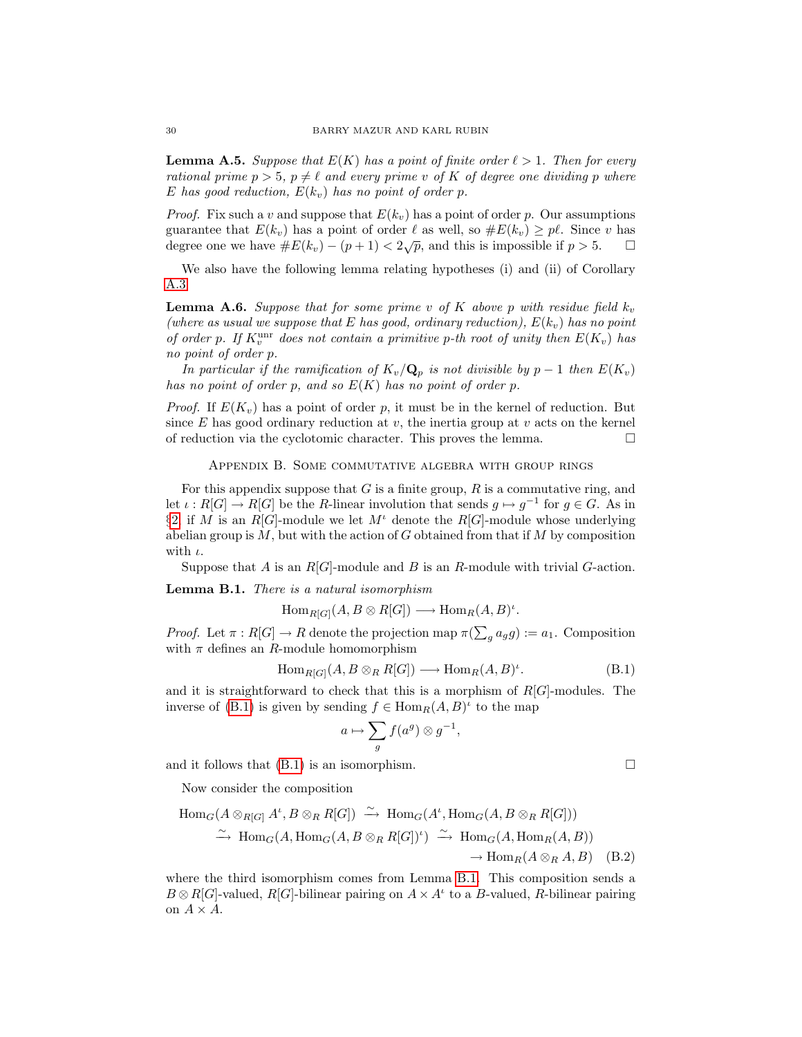**Lemma A.5.** Suppose that  $E(K)$  has a point of finite order  $\ell > 1$ . Then for every rational prime  $p > 5$ ,  $p \neq \ell$  and every prime v of K of degree one dividing p where E has good reduction,  $E(k_v)$  has no point of order p.

*Proof.* Fix such a v and suppose that  $E(k_v)$  has a point of order p. Our assumptions guarantee that  $E(k_v)$  has a point of order  $\ell$  as well, so  $\#E(k_v) \geq p\ell$ . Since v has degree one we have  $\#E(k_v) - (p+1) < 2\sqrt{p}$ , and this is impossible if  $p > 5$ .

We also have the following lemma relating hypotheses (i) and (ii) of Corollary [A.3.](#page-28-0)

<span id="page-29-3"></span>**Lemma A.6.** Suppose that for some prime v of K above p with residue field  $k_v$ (where as usual we suppose that E has good, ordinary reduction),  $E(k_v)$  has no point of order p. If  $K_v^{\text{unr}}$  does not contain a primitive p-th root of unity then  $E(K_v)$  has no point of order p.

In particular if the ramification of  $K_v/\mathbf{Q}_p$  is not divisible by  $p-1$  then  $E(K_v)$ has no point of order p, and so  $E(K)$  has no point of order p.

*Proof.* If  $E(K_v)$  has a point of order p, it must be in the kernel of reduction. But since  $E$  has good ordinary reduction at  $v$ , the inertia group at  $v$  acts on the kernel of reduction via the cyclotomic character. This proves the lemma.  $\Box$ 

Appendix B. Some commutative algebra with group rings

<span id="page-29-1"></span>For this appendix suppose that  $G$  is a finite group,  $R$  is a commutative ring, and let  $\iota: R[G] \to R[G]$  be the R-linear involution that sends  $g \mapsto g^{-1}$  for  $g \in G$ . As in §[2,](#page-3-1) if M is an  $R[G]$ -module we let  $M^{\iota}$  denote the  $R[G]$ -module whose underlying abelian group is  $M$ , but with the action of  $G$  obtained from that if  $M$  by composition with  $\iota$ .

Suppose that A is an  $R[G]$ -module and B is an R-module with trivial G-action.

<span id="page-29-0"></span>Lemma B.1. There is a natural isomorphism

 $\text{Hom}_{R[G]}(A, B \otimes R[G]) \longrightarrow \text{Hom}_{R}(A, B)^{\iota}.$ 

*Proof.* Let  $\pi : R[G] \to R$  denote the projection map  $\pi(\sum_g a_g g) := a_1$ . Composition with  $\pi$  defines an R-module homomorphism

<span id="page-29-4"></span>
$$
\text{Hom}_{R[G]}(A, B \otimes_R R[G]) \longrightarrow \text{Hom}_{R}(A, B)^{\iota}.
$$
 (B.1)

and it is straightforward to check that this is a morphism of  $R[G]$ -modules. The inverse of [\(B.1\)](#page-29-4) is given by sending  $f \in \text{Hom}_R(A, B)^t$  to the map

$$
a \mapsto \sum_{g} f(a^g) \otimes g^{-1},
$$

and it follows that  $(B.1)$  is an isomorphism.

Now consider the composition

$$
\text{Hom}_G(A \otimes_{R[G]} A^{\iota}, B \otimes_R R[G]) \xrightarrow{\sim} \text{Hom}_G(A^{\iota}, \text{Hom}_G(A, B \otimes_R R[G]))
$$
  

$$
\xrightarrow{\sim} \text{Hom}_G(A, \text{Hom}_G(A, B \otimes_R R[G])^{\iota}) \xrightarrow{\sim} \text{Hom}_G(A, \text{Hom}_R(A, B))
$$
  

$$
\rightarrow \text{Hom}_R(A \otimes_R A, B) \quad (B.2)
$$

<span id="page-29-2"></span>where the third isomorphism comes from Lemma [B.1.](#page-29-0) This composition sends a  $B \otimes R[G]$ -valued,  $R[G]$ -bilinear pairing on  $A \times A^t$  to a B-valued, R-bilinear pairing on  $A \times A$ .

<span id="page-29-5"></span>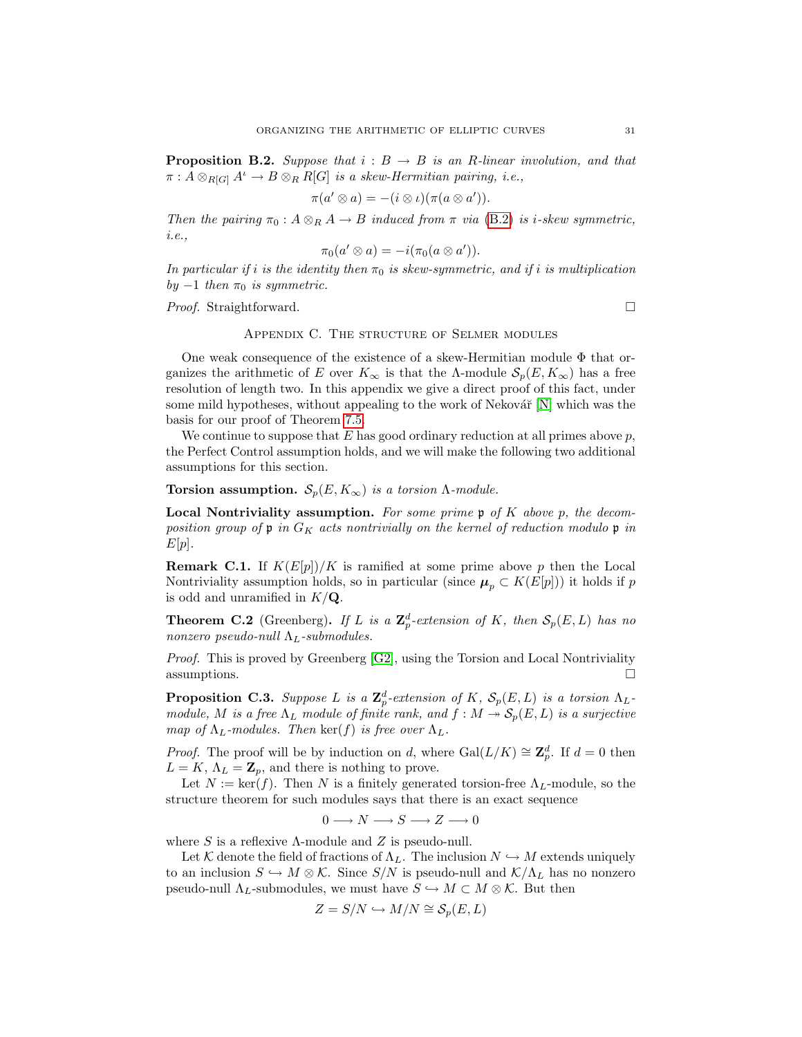**Proposition B.2.** Suppose that  $i : B \rightarrow B$  is an R-linear involution, and that  $\pi: A \otimes_{R[G]} A^{\iota} \to B \otimes_R R[G]$  is a skew-Hermitian pairing, i.e.,

$$
\pi(a' \otimes a) = -(i \otimes \iota)(\pi(a \otimes a')).
$$

Then the pairing  $\pi_0$ :  $A \otimes_R A \to B$  induced from  $\pi$  via [\(B.2\)](#page-29-5) is i-skew symmetric, i.e.,

$$
\pi_0(a' \otimes a) = -i(\pi_0(a \otimes a')).
$$

In particular if i is the identity then  $\pi_0$  is skew-symmetric, and if i is multiplication by  $-1$  then  $\pi_0$  is symmetric.

*Proof.* Straightforward. □

# Appendix C. The structure of Selmer modules

One weak consequence of the existence of a skew-Hermitian module  $\Phi$  that organizes the arithmetic of E over  $K_{\infty}$  is that the  $\Lambda$ -module  $\mathcal{S}_p(E, K_{\infty})$  has a free resolution of length two. In this appendix we give a direct proof of this fact, under some mild hypotheses, without appealing to the work of Nekovář  $[N]$  which was the basis for our proof of Theorem [7.5.](#page-16-0)

We continue to suppose that  $E$  has good ordinary reduction at all primes above  $p$ , the Perfect Control assumption holds, and we will make the following two additional assumptions for this section.

Torsion assumption.  $S_p(E, K_\infty)$  is a torsion  $\Lambda$ -module.

**Local Nontriviality assumption.** For some prime  $\mathfrak{p}$  of K above p, the decomposition group of  $\mathfrak p$  in  $G_K$  acts nontrivially on the kernel of reduction modulo  $\mathfrak p$  in  $E[p]$ .

**Remark C.1.** If  $K(E[p])/K$  is ramified at some prime above p then the Local Nontriviality assumption holds, so in particular (since  $\mu_p \subset K(E[p])$ ) it holds if p is odd and unramified in  $K/\mathbf{Q}$ .

<span id="page-30-0"></span>**Theorem C.2** (Greenberg). If L is a  $\mathbb{Z}_p^d$ -extension of K, then  $\mathcal{S}_p(E, L)$  has no nonzero pseudo-null  $\Lambda_L$ -submodules.

Proof. This is proved by Greenberg [\[G2\]](#page-31-4), using the Torsion and Local Nontriviality assumptions.

<span id="page-30-1"></span>**Proposition C.3.** Suppose L is a  $\mathbb{Z}_p^d$ -extension of K,  $\mathcal{S}_p(E,L)$  is a torsion  $\Lambda_L$ module, M is a free  $\Lambda_L$  module of finite rank, and  $f : M \to \mathcal{S}_p(E, L)$  is a surjective map of  $\Lambda_L$ -modules. Then ker(f) is free over  $\Lambda_L$ .

*Proof.* The proof will be by induction on d, where  $Gal(L/K) \cong \mathbb{Z}_p^d$ . If  $d = 0$  then  $L = K$ ,  $\Lambda_L = \mathbb{Z}_p$ , and there is nothing to prove.

Let  $N := \text{ker}(f)$ . Then N is a finitely generated torsion-free  $\Lambda_L$ -module, so the structure theorem for such modules says that there is an exact sequence

$$
0 \longrightarrow N \longrightarrow S \longrightarrow Z \longrightarrow 0
$$

where S is a reflexive  $\Lambda$ -module and Z is pseudo-null.

Let K denote the field of fractions of  $\Lambda_L$ . The inclusion  $N \hookrightarrow M$  extends uniquely to an inclusion  $S \hookrightarrow M \otimes \mathcal{K}$ . Since  $S/N$  is pseudo-null and  $\mathcal{K}/\Lambda_L$  has no nonzero pseudo-null  $\Lambda_L$ -submodules, we must have  $S \hookrightarrow M \subset M \otimes \mathcal{K}$ . But then

$$
Z = S/N \hookrightarrow M/N \cong \mathcal{S}_p(E, L)
$$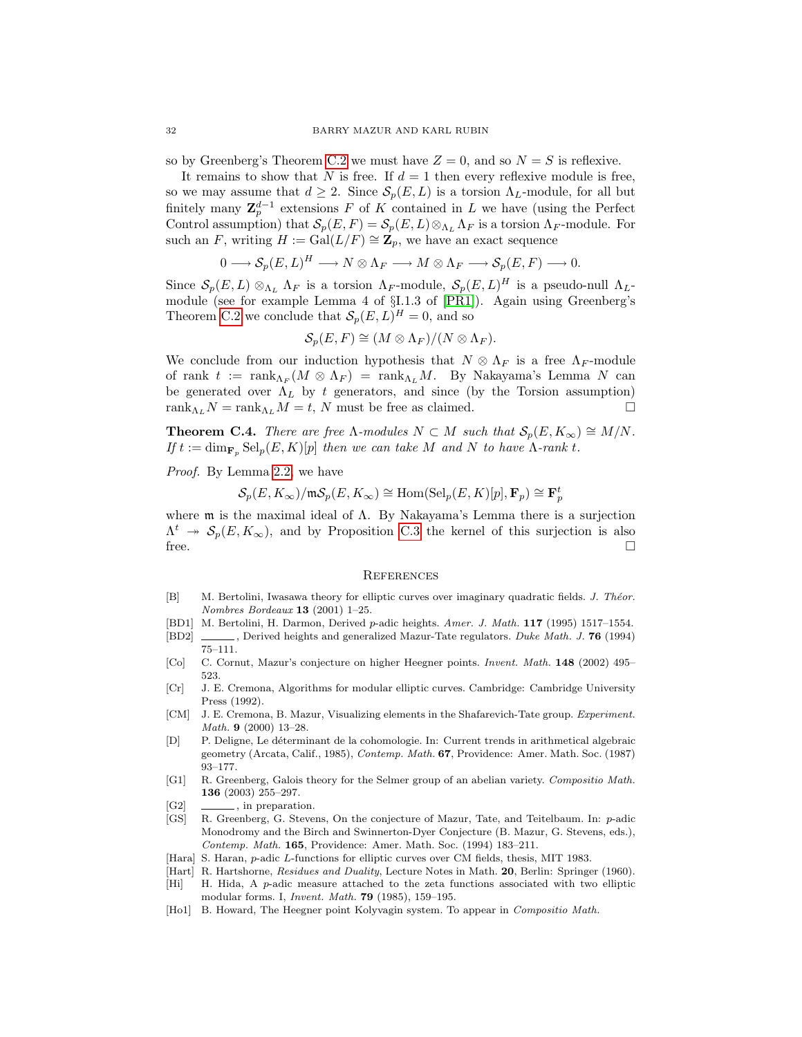so by Greenberg's Theorem [C.2](#page-30-0) we must have  $Z = 0$ , and so  $N = S$  is reflexive.

It remains to show that N is free. If  $d = 1$  then every reflexive module is free, so we may assume that  $d \geq 2$ . Since  $\mathcal{S}_p(E, L)$  is a torsion  $\Lambda_L$ -module, for all but finitely many  $\mathbf{Z}_{p}^{d-1}$  extensions F of K contained in L we have (using the Perfect Control assumption) that  $S_p(E, F) = S_p(E, L) \otimes_{\Lambda_L} \Lambda_F$  is a torsion  $\Lambda_F$ -module. For such an F, writing  $H := \text{Gal}(L/F) \cong \mathbb{Z}_p$ , we have an exact sequence

$$
0 \longrightarrow \mathcal{S}_p(E, L)^H \longrightarrow N \otimes \Lambda_F \longrightarrow M \otimes \Lambda_F \longrightarrow \mathcal{S}_p(E, F) \longrightarrow 0.
$$

Since  $\mathcal{S}_p(E,L) \otimes_{\Lambda_L} \Lambda_F$  is a torsion  $\Lambda_F$ -module,  $\mathcal{S}_p(E,L)^H$  is a pseudo-null  $\Lambda_L$ module (see for example Lemma 4 of §I.1.3 of [\[PR1\]](#page-32-5)). Again using Greenberg's Theorem [C.2](#page-30-0) we conclude that  $\mathcal{S}_p(E, L)^H = 0$ , and so

$$
\mathcal{S}_p(E,F) \cong (M \otimes \Lambda_F)/(N \otimes \Lambda_F).
$$

We conclude from our induction hypothesis that  $N \otimes \Lambda_F$  is a free  $\Lambda_F$ -module of rank  $t := \text{rank}_{\Lambda_F}(M \otimes \Lambda_F) = \text{rank}_{\Lambda_L}M$ . By Nakayama's Lemma N can be generated over  $\Lambda_L$  by t generators, and since (by the Torsion assumption) rank<sub>Λ</sub> $N = \text{rank}_{Λ_L} M = t$ , N must be free as claimed.

**Theorem C.4.** There are free  $\Lambda$ -modules  $N \subset M$  such that  $\mathcal{S}_p(E, K_\infty) \cong M/N$ . If  $t := \dim_{\mathbf{F}_n} \text{Sel}_p(E, K)[p]$  then we can take M and N to have  $\Lambda$ -rank t.

Proof. By Lemma [2.2,](#page-4-1) we have

$$
\mathcal{S}_p(E, K_\infty)/\mathfrak{m}\mathcal{S}_p(E, K_\infty)\cong \mathrm{Hom}(\mathrm{Sel}_p(E, K)[p], \mathbf{F}_p)\cong \mathbf{F}_p^t
$$

where m is the maximal ideal of Λ. By Nakayama's Lemma there is a surjection  $\Lambda^t$   $\rightarrow$   $\mathcal{S}_p(E, K_\infty)$ , and by Proposition [C.3](#page-30-1) the kernel of this surjection is also free.  $\Box$ 

#### **REFERENCES**

- <span id="page-31-13"></span>[B] M. Bertolini, Iwasawa theory for elliptic curves over imaginary quadratic fields. J. Théor. Nombres Bordeaux 13 (2001) 1–25.
- <span id="page-31-0"></span>[BD1] M. Bertolini, H. Darmon, Derived p-adic heights. Amer. J. Math. 117 (1995) 1517–1554.
- <span id="page-31-1"></span>[BD2] , Derived heights and generalized Mazur-Tate regulators. Duke Math. J. 76 (1994) 75–111.
- <span id="page-31-2"></span>[Co] C. Cornut, Mazur's conjecture on higher Heegner points. Invent. Math. 148 (2002) 495– 523.
- <span id="page-31-6"></span>[Cr] J. E. Cremona, Algorithms for modular elliptic curves. Cambridge: Cambridge University Press (1992).
- <span id="page-31-10"></span>[CM] J. E. Cremona, B. Mazur, Visualizing elements in the Shafarevich-Tate group. Experiment. Math. 9 (2000) 13–28.
- <span id="page-31-9"></span>[D] P. Deligne, Le d´eterminant de la cohomologie. In: Current trends in arithmetical algebraic geometry (Arcata, Calif., 1985), Contemp. Math. 67, Providence: Amer. Math. Soc. (1987) 93–177.
- <span id="page-31-3"></span>[G1] R. Greenberg, Galois theory for the Selmer group of an abelian variety. Compositio Math. 136 (2003) 255–297.
- <span id="page-31-4"></span>[G2] , in preparation.
- <span id="page-31-7"></span>[GS] R. Greenberg, G. Stevens, On the conjecture of Mazur, Tate, and Teitelbaum. In: p-adic Monodromy and the Birch and Swinnerton-Dyer Conjecture (B. Mazur, G. Stevens, eds.), Contemp. Math. 165, Providence: Amer. Math. Soc. (1994) 183–211.
- <span id="page-31-11"></span>[Hara] S. Haran, *p*-adic L-functions for elliptic curves over CM fields, thesis, MIT 1983.
- <span id="page-31-8"></span>[Hart] R. Hartshorne, Residues and Duality, Lecture Notes in Math. 20, Berlin: Springer (1960).
- <span id="page-31-12"></span>[Hi] H. Hida, A p-adic measure attached to the zeta functions associated with two elliptic modular forms. I, Invent. Math. 79 (1985), 159–195.
- <span id="page-31-5"></span>[Ho1] B. Howard, The Heegner point Kolyvagin system. To appear in Compositio Math.